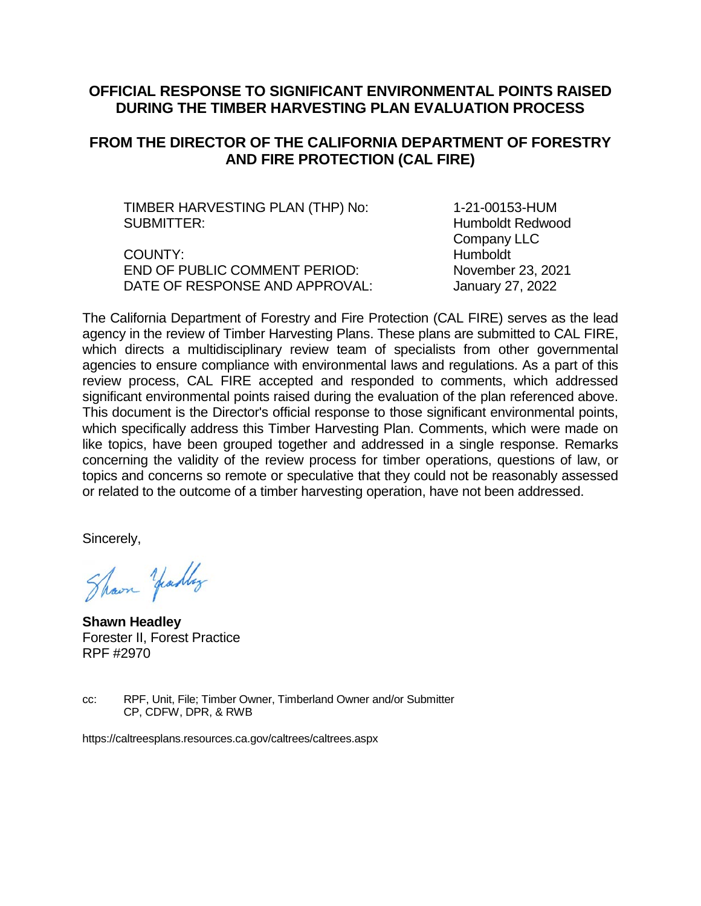#### **OFFICIAL RESPONSE TO SIGNIFICANT ENVIRONMENTAL POINTS RAISED DURING THE TIMBER HARVESTING PLAN EVALUATION PROCESS**

### **FROM THE DIRECTOR OF THE CALIFORNIA DEPARTMENT OF FORESTRY AND FIRE PROTECTION (CAL FIRE)**

TIMBER HARVESTING PLAN (THP) No: 1-21-00153-HUM SUBMITTER: **Humboldt Redwood** 

COUNTY: Humboldt END OF PUBLIC COMMENT PERIOD: November 23, 2021 DATE OF RESPONSE AND APPROVAL: January 27, 2022

Company LLC

The California Department of Forestry and Fire Protection (CAL FIRE) serves as the lead agency in the review of Timber Harvesting Plans. These plans are submitted to CAL FIRE, which directs a multidisciplinary review team of specialists from other governmental agencies to ensure compliance with environmental laws and regulations. As a part of this review process, CAL FIRE accepted and responded to comments, which addressed significant environmental points raised during the evaluation of the plan referenced above. This document is the Director's official response to those significant environmental points, which specifically address this Timber Harvesting Plan. Comments, which were made on like topics, have been grouped together and addressed in a single response. Remarks concerning the validity of the review process for timber operations, questions of law, or topics and concerns so remote or speculative that they could not be reasonably assessed or related to the outcome of a timber harvesting operation, have not been addressed.

Sincerely,

Shown Yeadley

**Shawn Headley** Forester II, Forest Practice RPF #2970

cc: RPF, Unit, File; Timber Owner, Timberland Owner and/or Submitter CP, CDFW, DPR, & RWB

https://caltreesplans.resources.ca.gov/caltrees/caltrees.aspx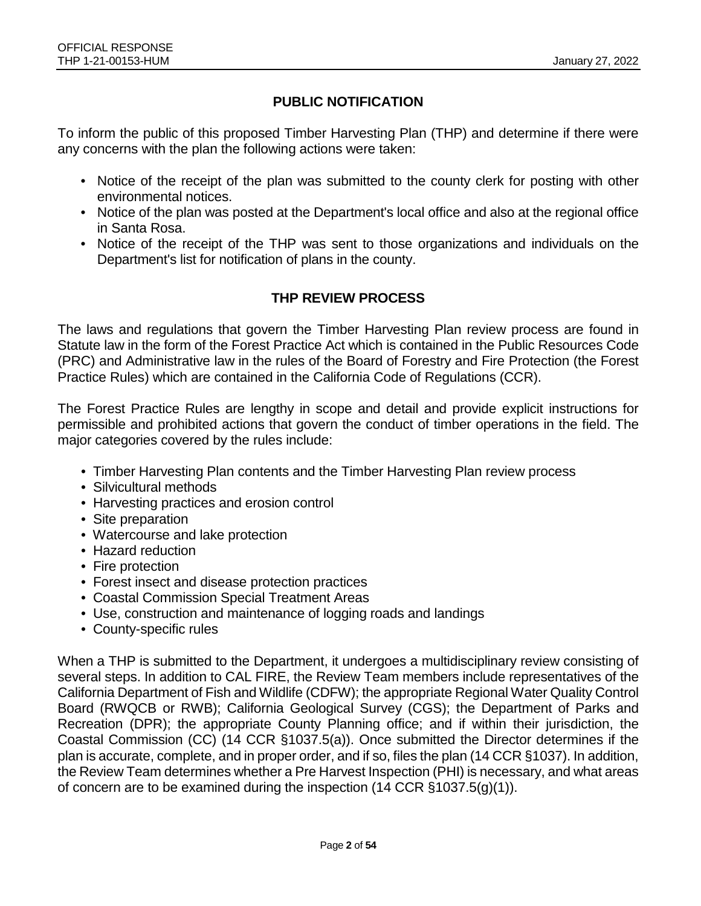## **PUBLIC NOTIFICATION**

To inform the public of this proposed Timber Harvesting Plan (THP) and determine if there were any concerns with the plan the following actions were taken:

- Notice of the receipt of the plan was submitted to the county clerk for posting with other environmental notices.
- Notice of the plan was posted at the Department's local office and also at the regional office in Santa Rosa.
- Notice of the receipt of the THP was sent to those organizations and individuals on the Department's list for notification of plans in the county.

## **THP REVIEW PROCESS**

The laws and regulations that govern the Timber Harvesting Plan review process are found in Statute law in the form of the Forest Practice Act which is contained in the Public Resources Code (PRC) and Administrative law in the rules of the Board of Forestry and Fire Protection (the Forest Practice Rules) which are contained in the California Code of Regulations (CCR).

The Forest Practice Rules are lengthy in scope and detail and provide explicit instructions for permissible and prohibited actions that govern the conduct of timber operations in the field. The major categories covered by the rules include:

- Timber Harvesting Plan contents and the Timber Harvesting Plan review process
- Silvicultural methods
- Harvesting practices and erosion control
- Site preparation
- Watercourse and lake protection
- Hazard reduction
- Fire protection
- Forest insect and disease protection practices
- Coastal Commission Special Treatment Areas
- Use, construction and maintenance of logging roads and landings
- County-specific rules

When a THP is submitted to the Department, it undergoes a multidisciplinary review consisting of several steps. In addition to CAL FIRE, the Review Team members include representatives of the California Department of Fish and Wildlife (CDFW); the appropriate Regional Water Quality Control Board (RWQCB or RWB); California Geological Survey (CGS); the Department of Parks and Recreation (DPR); the appropriate County Planning office; and if within their jurisdiction, the Coastal Commission (CC) (14 CCR §1037.5(a)). Once submitted the Director determines if the plan is accurate, complete, and in proper order, and if so, files the plan (14 CCR §1037). In addition, the Review Team determines whether a Pre Harvest Inspection (PHI) is necessary, and what areas of concern are to be examined during the inspection (14 CCR §1037.5(g)(1)).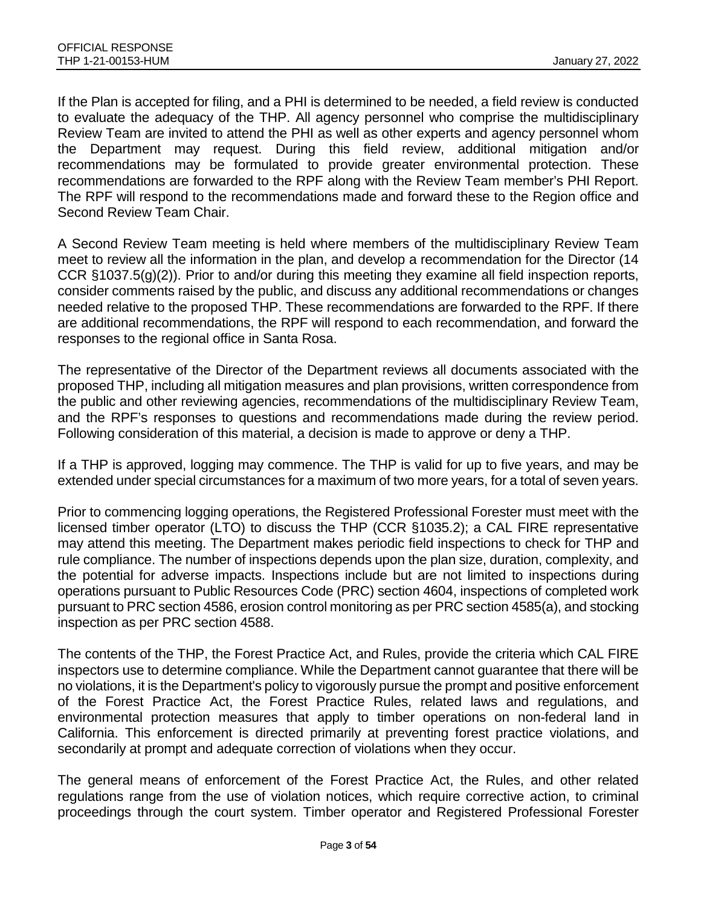If the Plan is accepted for filing, and a PHI is determined to be needed, a field review is conducted to evaluate the adequacy of the THP. All agency personnel who comprise the multidisciplinary Review Team are invited to attend the PHI as well as other experts and agency personnel whom the Department may request. During this field review, additional mitigation and/or recommendations may be formulated to provide greater environmental protection. These recommendations are forwarded to the RPF along with the Review Team member's PHI Report. The RPF will respond to the recommendations made and forward these to the Region office and Second Review Team Chair.

A Second Review Team meeting is held where members of the multidisciplinary Review Team meet to review all the information in the plan, and develop a recommendation for the Director (14 CCR §1037.5(g)(2)). Prior to and/or during this meeting they examine all field inspection reports, consider comments raised by the public, and discuss any additional recommendations or changes needed relative to the proposed THP. These recommendations are forwarded to the RPF. If there are additional recommendations, the RPF will respond to each recommendation, and forward the responses to the regional office in Santa Rosa.

The representative of the Director of the Department reviews all documents associated with the proposed THP, including all mitigation measures and plan provisions, written correspondence from the public and other reviewing agencies, recommendations of the multidisciplinary Review Team, and the RPF's responses to questions and recommendations made during the review period. Following consideration of this material, a decision is made to approve or deny a THP.

If a THP is approved, logging may commence. The THP is valid for up to five years, and may be extended under special circumstances for a maximum of two more years, for a total of seven years.

Prior to commencing logging operations, the Registered Professional Forester must meet with the licensed timber operator (LTO) to discuss the THP (CCR §1035.2); a CAL FIRE representative may attend this meeting. The Department makes periodic field inspections to check for THP and rule compliance. The number of inspections depends upon the plan size, duration, complexity, and the potential for adverse impacts. Inspections include but are not limited to inspections during operations pursuant to Public Resources Code (PRC) section 4604, inspections of completed work pursuant to PRC section 4586, erosion control monitoring as per PRC section 4585(a), and stocking inspection as per PRC section 4588.

The contents of the THP, the Forest Practice Act, and Rules, provide the criteria which CAL FIRE inspectors use to determine compliance. While the Department cannot guarantee that there will be no violations, it is the Department's policy to vigorously pursue the prompt and positive enforcement of the Forest Practice Act, the Forest Practice Rules, related laws and regulations, and environmental protection measures that apply to timber operations on non-federal land in California. This enforcement is directed primarily at preventing forest practice violations, and secondarily at prompt and adequate correction of violations when they occur.

The general means of enforcement of the Forest Practice Act, the Rules, and other related regulations range from the use of violation notices, which require corrective action, to criminal proceedings through the court system. Timber operator and Registered Professional Forester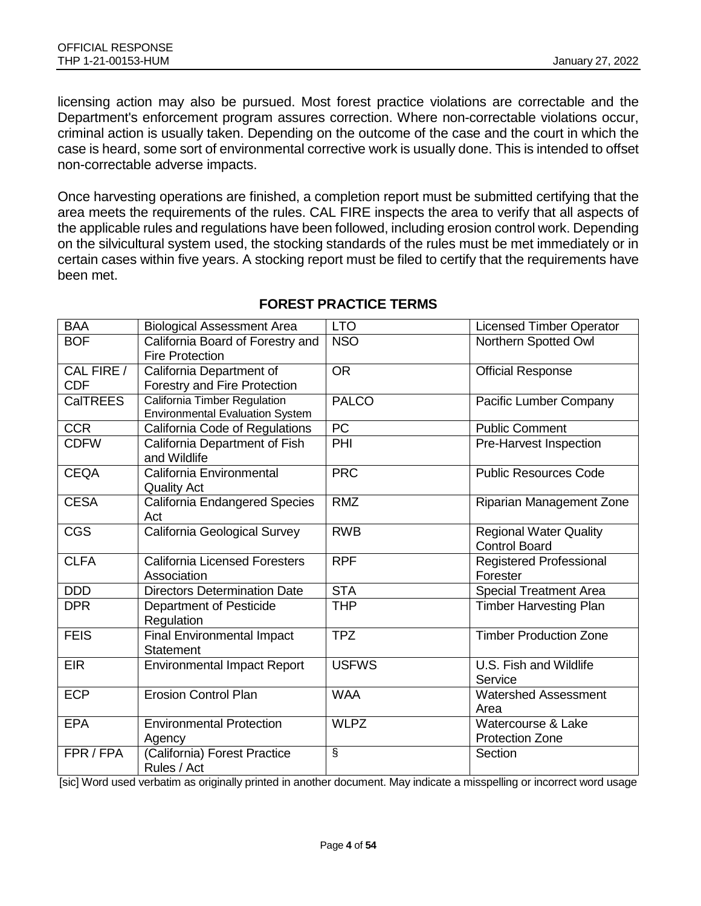licensing action may also be pursued. Most forest practice violations are correctable and the Department's enforcement program assures correction. Where non-correctable violations occur, criminal action is usually taken. Depending on the outcome of the case and the court in which the case is heard, some sort of environmental corrective work is usually done. This is intended to offset non-correctable adverse impacts.

Once harvesting operations are finished, a completion report must be submitted certifying that the area meets the requirements of the rules. CAL FIRE inspects the area to verify that all aspects of the applicable rules and regulations have been followed, including erosion control work. Depending on the silvicultural system used, the stocking standards of the rules must be met immediately or in certain cases within five years. A stocking report must be filed to certify that the requirements have been met.

| <b>BAA</b>               | <b>Biological Assessment Area</b>                                             | <b>LTO</b>     | <b>Licensed Timber Operator</b>                       |
|--------------------------|-------------------------------------------------------------------------------|----------------|-------------------------------------------------------|
| <b>BOF</b>               | California Board of Forestry and<br><b>Fire Protection</b>                    | <b>NSO</b>     | Northern Spotted Owl                                  |
| CAL FIRE /<br><b>CDF</b> | California Department of<br>Forestry and Fire Protection                      | <b>OR</b>      | <b>Official Response</b>                              |
| <b>CalTREES</b>          | <b>California Timber Regulation</b><br><b>Environmental Evaluation System</b> | <b>PALCO</b>   | Pacific Lumber Company                                |
| <b>CCR</b>               | California Code of Regulations                                                | PC             | <b>Public Comment</b>                                 |
| <b>CDFW</b>              | California Department of Fish<br>and Wildlife                                 | PHI            | Pre-Harvest Inspection                                |
| <b>CEQA</b>              | California Environmental<br><b>Quality Act</b>                                | <b>PRC</b>     | <b>Public Resources Code</b>                          |
| <b>CESA</b>              | California Endangered Species<br>Act                                          | <b>RMZ</b>     | Riparian Management Zone                              |
| <b>CGS</b>               | California Geological Survey                                                  | <b>RWB</b>     | <b>Regional Water Quality</b><br><b>Control Board</b> |
| <b>CLFA</b>              | <b>California Licensed Foresters</b><br>Association                           | <b>RPF</b>     | Registered Professional<br>Forester                   |
| <b>DDD</b>               | <b>Directors Determination Date</b>                                           | <b>STA</b>     | <b>Special Treatment Area</b>                         |
| <b>DPR</b>               | Department of Pesticide<br>Regulation                                         | <b>THP</b>     | <b>Timber Harvesting Plan</b>                         |
| <b>FEIS</b>              | <b>Final Environmental Impact</b><br>Statement                                | <b>TPZ</b>     | <b>Timber Production Zone</b>                         |
| <b>EIR</b>               | <b>Environmental Impact Report</b>                                            | <b>USFWS</b>   | U.S. Fish and Wildlife<br>Service                     |
| <b>ECP</b>               | <b>Erosion Control Plan</b>                                                   | <b>WAA</b>     | <b>Watershed Assessment</b><br>Area                   |
| <b>EPA</b>               | <b>Environmental Protection</b><br>Agency                                     | <b>WLPZ</b>    | Watercourse & Lake<br><b>Protection Zone</b>          |
| FPR / FPA                | (California) Forest Practice<br>Rules / Act                                   | $\overline{s}$ | Section                                               |

## **FOREST PRACTICE TERMS**

[sic] Word used verbatim as originally printed in another document. May indicate a misspelling or incorrect word usage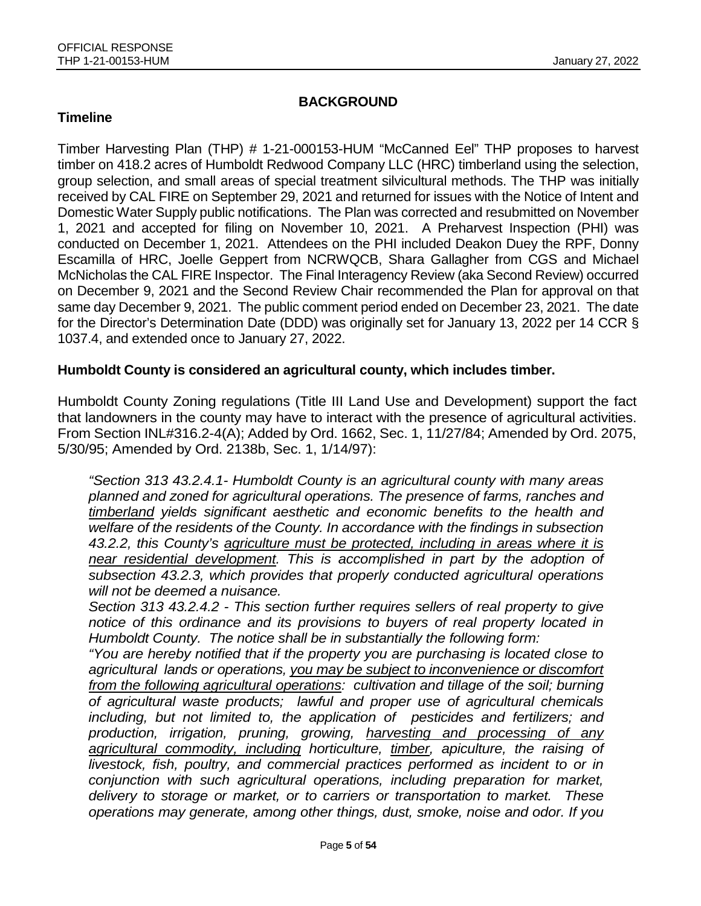### **BACKGROUND**

#### **Timeline**

Timber Harvesting Plan (THP) # 1-21-000153-HUM "McCanned Eel" THP proposes to harvest timber on 418.2 acres of Humboldt Redwood Company LLC (HRC) timberland using the selection, group selection, and small areas of special treatment silvicultural methods. The THP was initially received by CAL FIRE on September 29, 2021 and returned for issues with the Notice of Intent and Domestic Water Supply public notifications. The Plan was corrected and resubmitted on November 1, 2021 and accepted for filing on November 10, 2021. A Preharvest Inspection (PHI) was conducted on December 1, 2021. Attendees on the PHI included Deakon Duey the RPF, Donny Escamilla of HRC, Joelle Geppert from NCRWQCB, Shara Gallagher from CGS and Michael McNicholas the CAL FIRE Inspector. The Final Interagency Review (aka Second Review) occurred on December 9, 2021 and the Second Review Chair recommended the Plan for approval on that same day December 9, 2021. The public comment period ended on December 23, 2021. The date for the Director's Determination Date (DDD) was originally set for January 13, 2022 per 14 CCR § 1037.4, and extended once to January 27, 2022.

#### **Humboldt County is considered an agricultural county, which includes timber.**

Humboldt County Zoning regulations (Title III Land Use and Development) support the fact that landowners in the county may have to interact with the presence of agricultural activities. From Section INL#316.2-4(A); Added by Ord. 1662, Sec. 1, 11/27/84; Amended by Ord. 2075, 5/30/95; Amended by Ord. 2138b, Sec. 1, 1/14/97):

*"Section 313 43.2.4.1- Humboldt County is an agricultural county with many areas planned and zoned for agricultural operations. The presence of farms, ranches and timberland yields significant aesthetic and economic benefits to the health and welfare of the residents of the County. In accordance with the findings in subsection 43.2.2, this County's agriculture must be protected, including in areas where it is near residential development. This is accomplished in part by the adoption of subsection 43.2.3, which provides that properly conducted agricultural operations will not be deemed a nuisance.* 

*Section 313 43.2.4.2 - This section further requires sellers of real property to give notice of this ordinance and its provisions to buyers of real property located in Humboldt County. The notice shall be in substantially the following form:* 

*"You are hereby notified that if the property you are purchasing is located close to agricultural lands or operations, you may be subject to inconvenience or discomfort from the following agricultural operations: cultivation and tillage of the soil; burning of agricultural waste products; lawful and proper use of agricultural chemicals including, but not limited to, the application of pesticides and fertilizers; and production, irrigation, pruning, growing, harvesting and processing of any agricultural commodity, including horticulture, timber, apiculture, the raising of livestock, fish, poultry, and commercial practices performed as incident to or in conjunction with such agricultural operations, including preparation for market, delivery to storage or market, or to carriers or transportation to market. These operations may generate, among other things, dust, smoke, noise and odor. If you*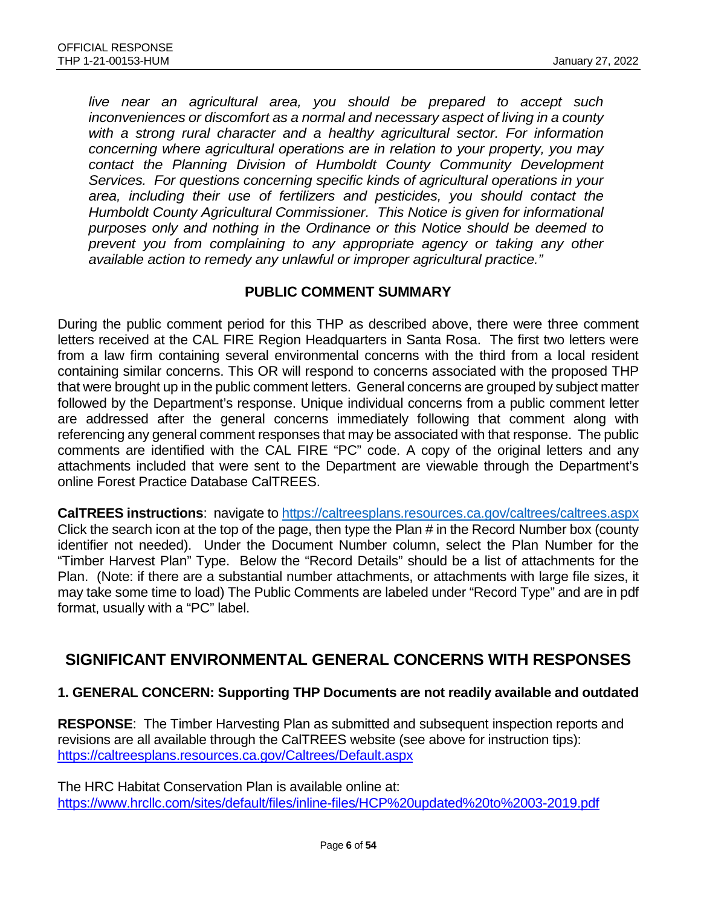*live near an agricultural area, you should be prepared to accept such inconveniences or discomfort as a normal and necessary aspect of living in a county with a strong rural character and a healthy agricultural sector. For information concerning where agricultural operations are in relation to your property, you may contact the Planning Division of Humboldt County Community Development Services. For questions concerning specific kinds of agricultural operations in your area, including their use of fertilizers and pesticides, you should contact the Humboldt County Agricultural Commissioner. This Notice is given for informational purposes only and nothing in the Ordinance or this Notice should be deemed to prevent you from complaining to any appropriate agency or taking any other available action to remedy any unlawful or improper agricultural practice."*

#### **PUBLIC COMMENT SUMMARY**

During the public comment period for this THP as described above, there were three comment letters received at the CAL FIRE Region Headquarters in Santa Rosa. The first two letters were from a law firm containing several environmental concerns with the third from a local resident containing similar concerns. This OR will respond to concerns associated with the proposed THP that were brought up in the public comment letters. General concerns are grouped by subject matter followed by the Department's response. Unique individual concerns from a public comment letter are addressed after the general concerns immediately following that comment along with referencing any general comment responses that may be associated with that response. The public comments are identified with the CAL FIRE "PC" code. A copy of the original letters and any attachments included that were sent to the Department are viewable through the Department's online Forest Practice Database CalTREES.

**CalTREES instructions**: navigate to<https://caltreesplans.resources.ca.gov/caltrees/caltrees.aspx> Click the search icon at the top of the page, then type the Plan # in the Record Number box (county identifier not needed). Under the Document Number column, select the Plan Number for the "Timber Harvest Plan" Type. Below the "Record Details" should be a list of attachments for the Plan. (Note: if there are a substantial number attachments, or attachments with large file sizes, it may take some time to load) The Public Comments are labeled under "Record Type" and are in pdf format, usually with a "PC" label.

# **SIGNIFICANT ENVIRONMENTAL GENERAL CONCERNS WITH RESPONSES**

#### **1. GENERAL CONCERN: Supporting THP Documents are not readily available and outdated**

**RESPONSE**: The Timber Harvesting Plan as submitted and subsequent inspection reports and revisions are all available through the CalTREES website (see above for instruction tips): <https://caltreesplans.resources.ca.gov/Caltrees/Default.aspx>

The HRC Habitat Conservation Plan is available online at: <https://www.hrcllc.com/sites/default/files/inline-files/HCP%20updated%20to%2003-2019.pdf>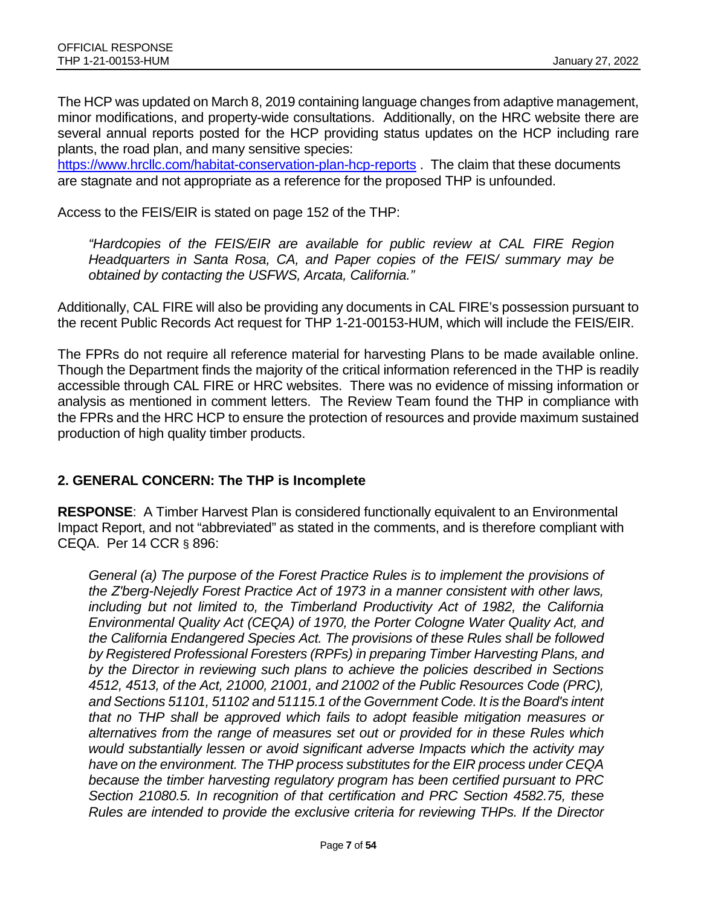The HCP was updated on March 8, 2019 containing language changes from adaptive management, minor modifications, and property-wide consultations. Additionally, on the HRC website there are several annual reports posted for the HCP providing status updates on the HCP including rare plants, the road plan, and many sensitive species:

<https://www.hrcllc.com/habitat-conservation-plan-hcp-reports> . The claim that these documents are stagnate and not appropriate as a reference for the proposed THP is unfounded.

Access to the FEIS/EIR is stated on page 152 of the THP:

*"Hardcopies of the FEIS/EIR are available for public review at CAL FIRE Region Headquarters in Santa Rosa, CA, and Paper copies of the FEIS/ summary may be obtained by contacting the USFWS, Arcata, California."*

Additionally, CAL FIRE will also be providing any documents in CAL FIRE's possession pursuant to the recent Public Records Act request for THP 1-21-00153-HUM, which will include the FEIS/EIR.

The FPRs do not require all reference material for harvesting Plans to be made available online. Though the Department finds the majority of the critical information referenced in the THP is readily accessible through CAL FIRE or HRC websites. There was no evidence of missing information or analysis as mentioned in comment letters. The Review Team found the THP in compliance with the FPRs and the HRC HCP to ensure the protection of resources and provide maximum sustained production of high quality timber products.

### **2. GENERAL CONCERN: The THP is Incomplete**

**RESPONSE**: A Timber Harvest Plan is considered functionally equivalent to an Environmental Impact Report, and not "abbreviated" as stated in the comments, and is therefore compliant with CEQA. Per 14 CCR § 896:

*General (a) The purpose of the Forest Practice Rules is to implement the provisions of the Z'berg-Nejedly Forest Practice Act of 1973 in a manner consistent with other laws, including but not limited to, the Timberland Productivity Act of 1982, the California Environmental Quality Act (CEQA) of 1970, the Porter Cologne Water Quality Act, and the California Endangered Species Act. The provisions of these Rules shall be followed by Registered Professional Foresters (RPFs) in preparing Timber Harvesting Plans, and by the Director in reviewing such plans to achieve the policies described in Sections 4512, 4513, of the Act, 21000, 21001, and 21002 of the Public Resources Code (PRC), and Sections 51101, 51102 and 51115.1 of the Government Code. It is the Board's intent that no THP shall be approved which fails to adopt feasible mitigation measures or alternatives from the range of measures set out or provided for in these Rules which would substantially lessen or avoid significant adverse Impacts which the activity may have on the environment. The THP process substitutes for the EIR process under CEQA because the timber harvesting regulatory program has been certified pursuant to PRC Section 21080.5. In recognition of that certification and PRC Section 4582.75, these Rules are intended to provide the exclusive criteria for reviewing THPs. If the Director*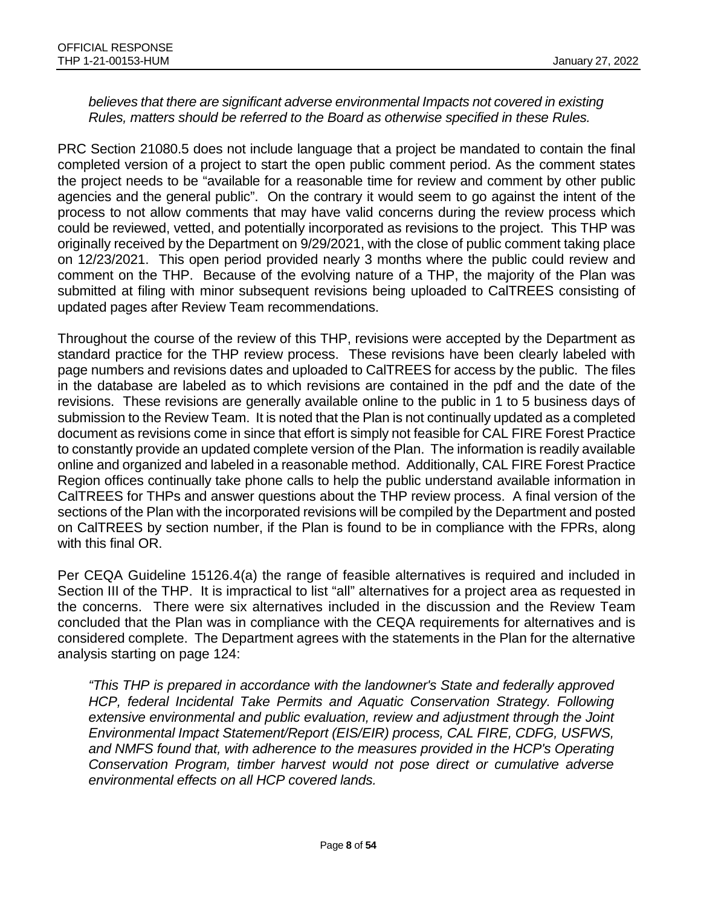#### *believes that there are significant adverse environmental Impacts not covered in existing Rules, matters should be referred to the Board as otherwise specified in these Rules.*

PRC Section 21080.5 does not include language that a project be mandated to contain the final completed version of a project to start the open public comment period. As the comment states the project needs to be "available for a reasonable time for review and comment by other public agencies and the general public". On the contrary it would seem to go against the intent of the process to not allow comments that may have valid concerns during the review process which could be reviewed, vetted, and potentially incorporated as revisions to the project. This THP was originally received by the Department on 9/29/2021, with the close of public comment taking place on 12/23/2021. This open period provided nearly 3 months where the public could review and comment on the THP. Because of the evolving nature of a THP, the majority of the Plan was submitted at filing with minor subsequent revisions being uploaded to CalTREES consisting of updated pages after Review Team recommendations.

Throughout the course of the review of this THP, revisions were accepted by the Department as standard practice for the THP review process. These revisions have been clearly labeled with page numbers and revisions dates and uploaded to CalTREES for access by the public. The files in the database are labeled as to which revisions are contained in the pdf and the date of the revisions. These revisions are generally available online to the public in 1 to 5 business days of submission to the Review Team. It is noted that the Plan is not continually updated as a completed document as revisions come in since that effort is simply not feasible for CAL FIRE Forest Practice to constantly provide an updated complete version of the Plan. The information is readily available online and organized and labeled in a reasonable method. Additionally, CAL FIRE Forest Practice Region offices continually take phone calls to help the public understand available information in CalTREES for THPs and answer questions about the THP review process. A final version of the sections of the Plan with the incorporated revisions will be compiled by the Department and posted on CalTREES by section number, if the Plan is found to be in compliance with the FPRs, along with this final OR.

Per CEQA Guideline 15126.4(a) the range of feasible alternatives is required and included in Section III of the THP. It is impractical to list "all" alternatives for a project area as requested in the concerns. There were six alternatives included in the discussion and the Review Team concluded that the Plan was in compliance with the CEQA requirements for alternatives and is considered complete. The Department agrees with the statements in the Plan for the alternative analysis starting on page 124:

*"This THP is prepared in accordance with the landowner's State and federally approved HCP, federal Incidental Take Permits and Aquatic Conservation Strategy. Following extensive environmental and public evaluation, review and adjustment through the Joint Environmental Impact Statement/Report (EIS/EIR) process, CAL FIRE, CDFG, USFWS, and NMFS found that, with adherence to the measures provided in the HCP's Operating Conservation Program, timber harvest would not pose direct or cumulative adverse environmental effects on all HCP covered lands.*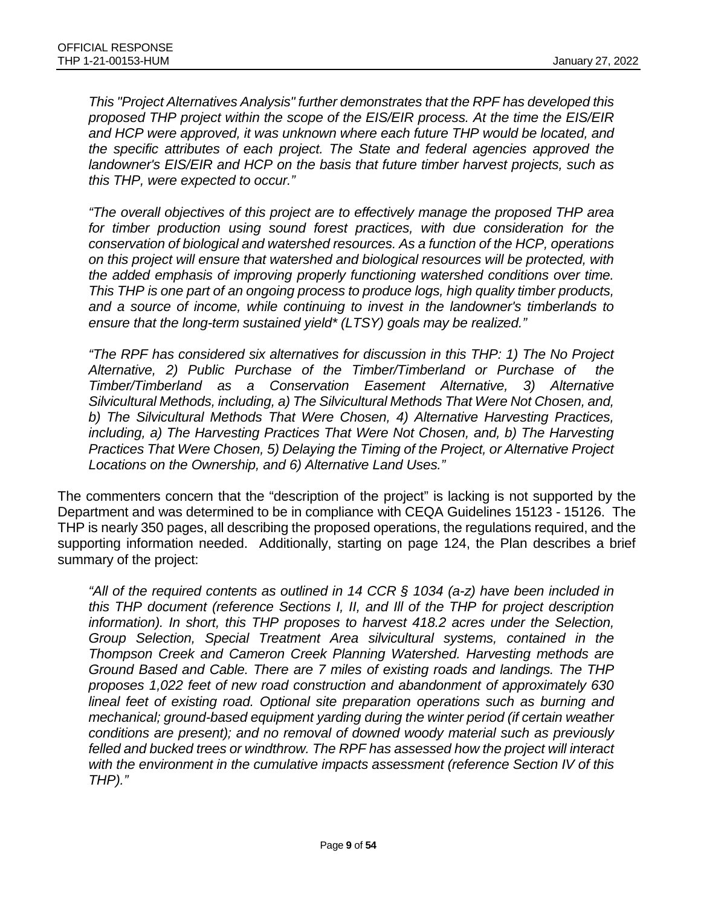*This "Project Alternatives Analysis" further demonstrates that the RPF has developed this proposed THP project within the scope of the EIS/EIR process. At the time the EIS/EIR and HCP were approved, it was unknown where each future THP would be located, and the specific attributes of each project. The State and federal agencies approved the landowner's EIS/EIR and HCP on the basis that future timber harvest projects, such as this THP, were expected to occur."*

*"The overall objectives of this project are to effectively manage the proposed THP area for timber production using sound forest practices, with due consideration for the conservation of biological and watershed resources. As a function of the HCP, operations on this project will ensure that watershed and biological resources will be protected, with the added emphasis of improving properly functioning watershed conditions over time. This THP is one part of an ongoing process to produce logs, high quality timber products, and a source of income, while continuing to invest in the landowner's timberlands to ensure that the long-term sustained yield\* (LTSY) goals may be realized."* 

*"The RPF has considered six alternatives for discussion in this THP: 1) The No Project Alternative, 2) Public Purchase of the Timber/Timberland or Purchase of the Timber/Timberland as a Conservation Easement Alternative, 3) Alternative Silvicultural Methods, including, a) The Silvicultural Methods That Were Not Chosen, and, b) The Silvicultural Methods That Were Chosen, 4) Alternative Harvesting Practices, including, a) The Harvesting Practices That Were Not Chosen, and, b) The Harvesting Practices That Were Chosen, 5) Delaying the Timing of the Project, or Alternative Project Locations on the Ownership, and 6) Alternative Land Uses."*

The commenters concern that the "description of the project" is lacking is not supported by the Department and was determined to be in compliance with CEQA Guidelines 15123 - 15126. The THP is nearly 350 pages, all describing the proposed operations, the regulations required, and the supporting information needed. Additionally, starting on page 124, the Plan describes a brief summary of the project:

*"All of the required contents as outlined in 14 CCR § 1034 (a-z) have been included in this THP document (reference Sections I, II, and Ill of the THP for project description information). In short, this THP proposes to harvest 418.2 acres under the Selection, Group Selection, Special Treatment Area silvicultural systems, contained in the Thompson Creek and Cameron Creek Planning Watershed. Harvesting methods are Ground Based and Cable. There are 7 miles of existing roads and landings. The THP proposes 1,022 feet of new road construction and abandonment of approximately 630 lineal feet of existing road. Optional site preparation operations such as burning and mechanical; ground-based equipment yarding during the winter period (if certain weather conditions are present); and no removal of downed woody material such as previously felled and bucked trees or windthrow. The RPF has assessed how the project will interact with the environment in the cumulative impacts assessment (reference Section IV of this THP)."*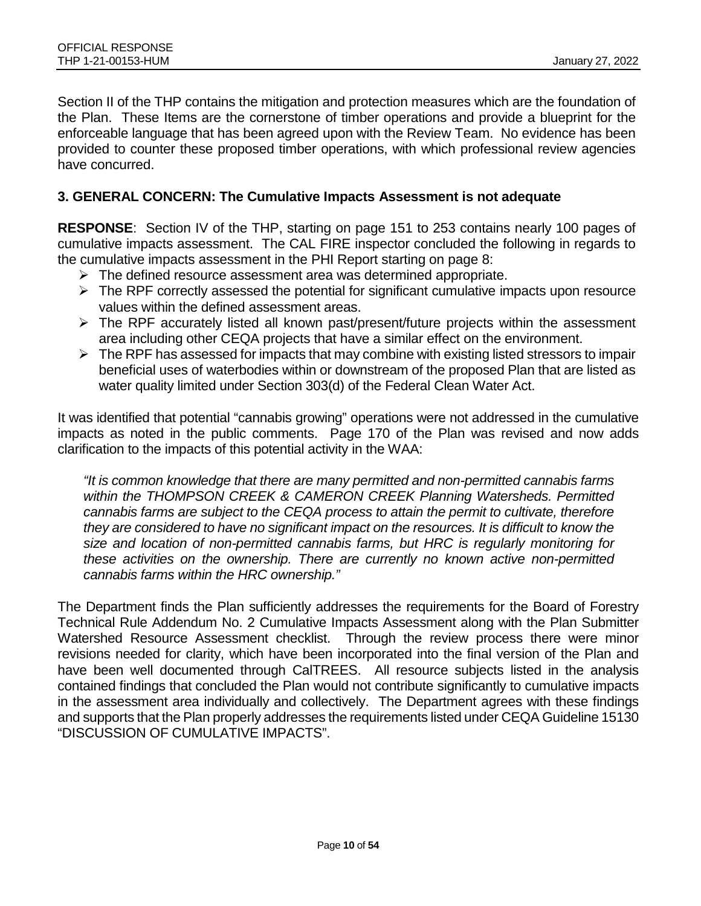Section II of the THP contains the mitigation and protection measures which are the foundation of the Plan. These Items are the cornerstone of timber operations and provide a blueprint for the enforceable language that has been agreed upon with the Review Team. No evidence has been provided to counter these proposed timber operations, with which professional review agencies have concurred.

#### **3. GENERAL CONCERN: The Cumulative Impacts Assessment is not adequate**

**RESPONSE**: Section IV of the THP, starting on page 151 to 253 contains nearly 100 pages of cumulative impacts assessment. The CAL FIRE inspector concluded the following in regards to the cumulative impacts assessment in the PHI Report starting on page 8:

- $\triangleright$  The defined resource assessment area was determined appropriate.
- $\triangleright$  The RPF correctly assessed the potential for significant cumulative impacts upon resource values within the defined assessment areas.
- $\triangleright$  The RPF accurately listed all known past/present/future projects within the assessment area including other CEQA projects that have a similar effect on the environment.
- $\triangleright$  The RPF has assessed for impacts that may combine with existing listed stressors to impair beneficial uses of waterbodies within or downstream of the proposed Plan that are listed as water quality limited under Section 303(d) of the Federal Clean Water Act.

It was identified that potential "cannabis growing" operations were not addressed in the cumulative impacts as noted in the public comments. Page 170 of the Plan was revised and now adds clarification to the impacts of this potential activity in the WAA:

*"It is common knowledge that there are many permitted and non-permitted cannabis farms within the THOMPSON CREEK & CAMERON CREEK Planning Watersheds. Permitted cannabis farms are subject to the CEQA process to attain the permit to cultivate, therefore they are considered to have no significant impact on the resources. It is difficult to know the size and location of non-permitted cannabis farms, but HRC is regularly monitoring for these activities on the ownership. There are currently no known active non-permitted cannabis farms within the HRC ownership."*

The Department finds the Plan sufficiently addresses the requirements for the Board of Forestry Technical Rule Addendum No. 2 Cumulative Impacts Assessment along with the Plan Submitter Watershed Resource Assessment checklist. Through the review process there were minor revisions needed for clarity, which have been incorporated into the final version of the Plan and have been well documented through CalTREES. All resource subjects listed in the analysis contained findings that concluded the Plan would not contribute significantly to cumulative impacts in the assessment area individually and collectively. The Department agrees with these findings and supports that the Plan properly addresses the requirements listed under CEQA Guideline 15130 "DISCUSSION OF CUMULATIVE IMPACTS".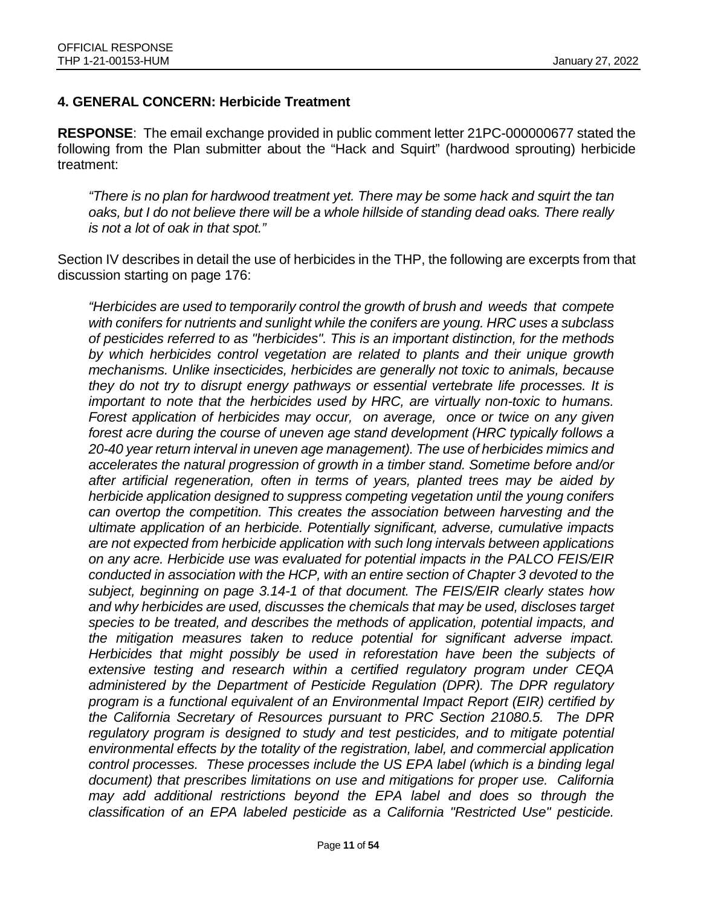#### **4. GENERAL CONCERN: Herbicide Treatment**

**RESPONSE**: The email exchange provided in public comment letter 21PC-000000677 stated the following from the Plan submitter about the "Hack and Squirt" (hardwood sprouting) herbicide treatment:

*"There is no plan for hardwood treatment yet. There may be some hack and squirt the tan oaks, but I do not believe there will be a whole hillside of standing dead oaks. There really is not a lot of oak in that spot."*

Section IV describes in detail the use of herbicides in the THP, the following are excerpts from that discussion starting on page 176:

*"Herbicides are used to temporarily control the growth of brush and weeds that compete with conifers for nutrients and sunlight while the conifers are young. HRC uses a subclass of pesticides referred to as "herbicides". This is an important distinction, for the methods by which herbicides control vegetation are related to plants and their unique growth mechanisms. Unlike insecticides, herbicides are generally not toxic to animals, because they do not try to disrupt energy pathways or essential vertebrate life processes. It is important to note that the herbicides used by HRC, are virtually non-toxic to humans. Forest application of herbicides may occur, on average, once or twice on any given forest acre during the course of uneven age stand development (HRC typically follows a 20-40 year return interval in uneven age management). The use of herbicides mimics and accelerates the natural progression of growth in a timber stand. Sometime before and/or after artificial regeneration, often in terms of years, planted trees may be aided by herbicide application designed to suppress competing vegetation until the young conifers can overtop the competition. This creates the association between harvesting and the ultimate application of an herbicide. Potentially significant, adverse, cumulative impacts are not expected from herbicide application with such long intervals between applications on any acre. Herbicide use was evaluated for potential impacts in the PALCO FEIS/EIR conducted in association with the HCP, with an entire section of Chapter 3 devoted to the subject, beginning on page 3.14-1 of that document. The FEIS/EIR clearly states how and why herbicides are used, discusses the chemicals that may be used, discloses target species to be treated, and describes the methods of application, potential impacts, and the mitigation measures taken to reduce potential for significant adverse impact. Herbicides that might possibly be used in reforestation have been the subjects of extensive testing and research within a certified regulatory program under CEQA administered by the Department of Pesticide Regulation (DPR). The DPR regulatory program is a functional equivalent of an Environmental Impact Report (EIR) certified by the California Secretary of Resources pursuant to PRC Section 21080.5. The DPR regulatory program is designed to study and test pesticides, and to mitigate potential environmental effects by the totality of the registration, label, and commercial application control processes. These processes include the US EPA label (which is a binding legal document) that prescribes limitations on use and mitigations for proper use. California may add additional restrictions beyond the EPA label and does so through the classification of an EPA labeled pesticide as a California "Restricted Use" pesticide.*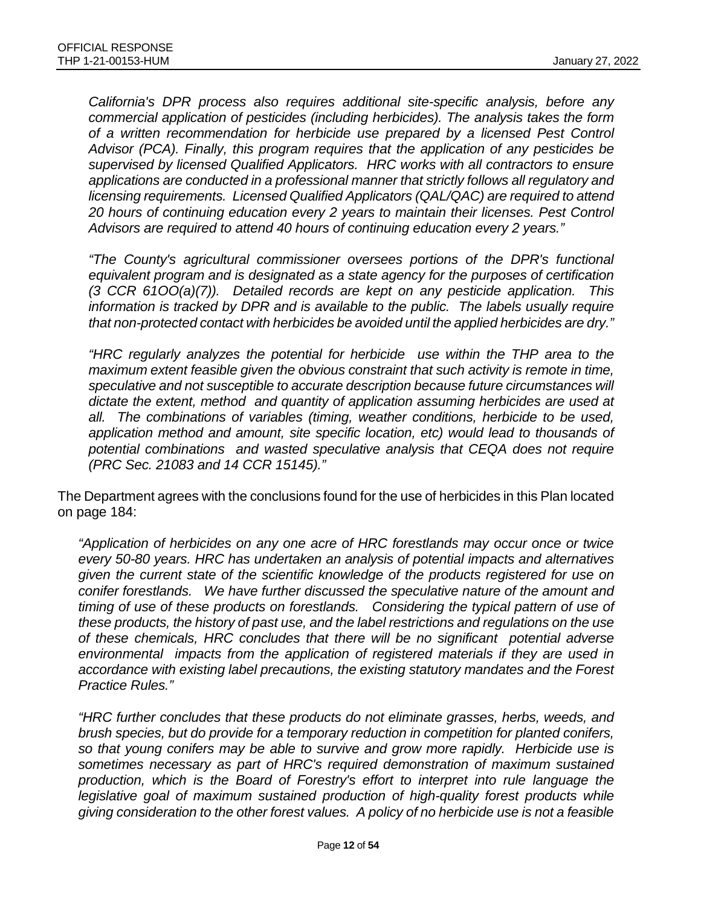*California's DPR process also requires additional site-specific analysis, before any commercial application of pesticides (including herbicides). The analysis takes the form of a written recommendation for herbicide use prepared by a licensed Pest Control Advisor (PCA). Finally, this program requires that the application of any pesticides be supervised by licensed Qualified Applicators. HRC works with all contractors to ensure applications are conducted in a professional manner that strictly follows all regulatory and licensing requirements. Licensed Qualified Applicators (QAL/QAC) are required to attend 20 hours of continuing education every 2 years to maintain their licenses. Pest Control Advisors are required to attend 40 hours of continuing education every 2 years."*

*"The County's agricultural commissioner oversees portions of the DPR's functional equivalent program and is designated as a state agency for the purposes of certification (3 CCR 61OO(a)(7)). Detailed records are kept on any pesticide application. This information is tracked by DPR and is available to the public. The labels usually require that non-protected contact with herbicides be avoided until the applied herbicides are dry."*

*"HRC regularly analyzes the potential for herbicide use within the THP area to the maximum extent feasible given the obvious constraint that such activity is remote in time, speculative and not susceptible to accurate description because future circumstances will dictate the extent, method and quantity of application assuming herbicides are used at all. The combinations of variables (timing, weather conditions, herbicide to be used, application method and amount, site specific location, etc) would lead to thousands of potential combinations and wasted speculative analysis that CEQA does not require (PRC Sec. 21083 and 14 CCR 15145)."*

The Department agrees with the conclusions found for the use of herbicides in this Plan located on page 184:

*"Application of herbicides on any one acre of HRC forestlands may occur once or twice every 50-80 years. HRC has undertaken an analysis of potential impacts and alternatives given the current state of the scientific knowledge of the products registered for use on conifer forestlands. We have further discussed the speculative nature of the amount and timing of use of these products on forestlands. Considering the typical pattern of use of these products, the history of past use, and the label restrictions and regulations on the use of these chemicals, HRC concludes that there will be no significant potential adverse environmental impacts from the application of registered materials if they are used in accordance with existing label precautions, the existing statutory mandates and the Forest Practice Rules."*

*"HRC further concludes that these products do not eliminate grasses, herbs, weeds, and brush species, but do provide for a temporary reduction in competition for planted conifers, so that young conifers may be able to survive and grow more rapidly. Herbicide use is sometimes necessary as part of HRC's required demonstration of maximum sustained production, which is the Board of Forestry's effort to interpret into rule language the*  legislative goal of maximum sustained production of high-quality forest products while *giving consideration to the other forest values. A policy of no herbicide use is not a feasible*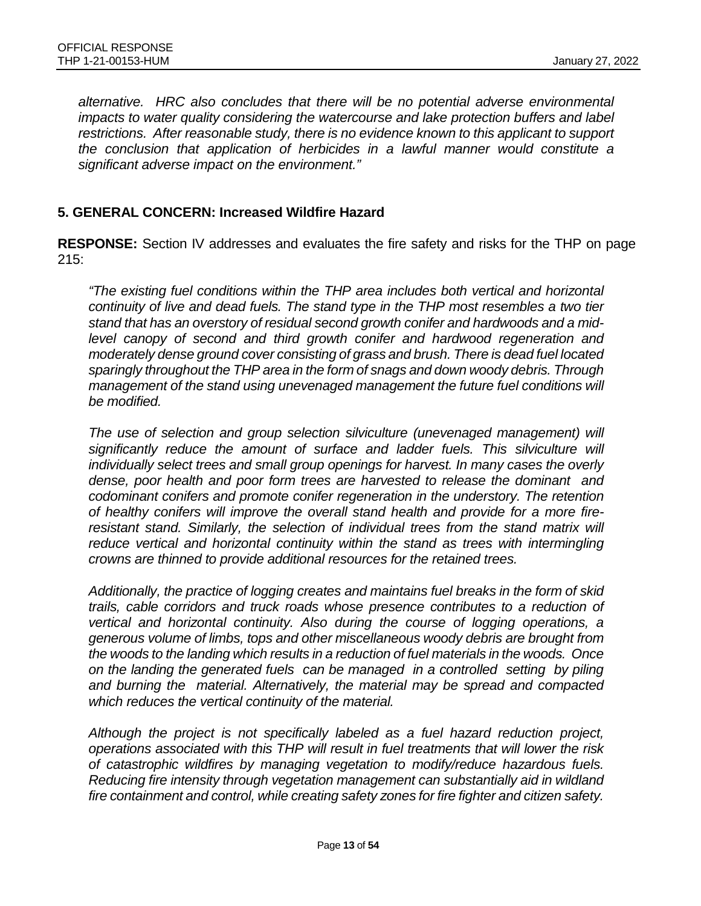*alternative. HRC also concludes that there will be no potential adverse environmental impacts to water quality considering the watercourse and lake protection buffers and label restrictions. After reasonable study, there is no evidence known to this applicant to support the conclusion that application of herbicides in a lawful manner would constitute a significant adverse impact on the environment."*

#### **5. GENERAL CONCERN: Increased Wildfire Hazard**

**RESPONSE:** Section IV addresses and evaluates the fire safety and risks for the THP on page 215:

*"The existing fuel conditions within the THP area includes both vertical and horizontal continuity of live and dead fuels. The stand type in the THP most resembles a two tier stand that has an overstory of residual second growth conifer and hardwoods and a mid*level canopy of second and third growth conifer and hardwood regeneration and *moderately dense ground cover consisting of grass and brush. There is dead fuel located sparingly throughout the THP area in the form of snags and down woody debris. Through management of the stand using unevenaged management the future fuel conditions will be modified.*

*The use of selection and group selection silviculture (unevenaged management) will significantly reduce the amount of surface and ladder fuels. This silviculture will individually select trees and small group openings for harvest. In many cases the overly dense, poor health and poor form trees are harvested to release the dominant and codominant conifers and promote conifer regeneration in the understory. The retention of healthy conifers will improve the overall stand health and provide for a more fire*resistant stand. Similarly, the selection of individual trees from the stand matrix will reduce vertical and horizontal continuity within the stand as trees with intermingling *crowns are thinned to provide additional resources for the retained trees.*

*Additionally, the practice of logging creates and maintains fuel breaks in the form of skid trails, cable corridors and truck roads whose presence contributes to a reduction of vertical and horizontal continuity. Also during the course of logging operations, a generous volume of limbs, tops and other miscellaneous woody debris are brought from the woods to the landing which results in a reduction of fuel materials in the woods. Once on the landing the generated fuels can be managed in a controlled setting by piling and burning the material. Alternatively, the material may be spread and compacted which reduces the vertical continuity of the material.*

*Although the project is not specifically labeled as a fuel hazard reduction project, operations associated with this THP will result in fuel treatments that will lower the risk of catastrophic wildfires by managing vegetation to modify/reduce hazardous fuels. Reducing fire intensity through vegetation management can substantially aid in wildland fire containment and control, while creating safety zones for fire fighter and citizen safety.*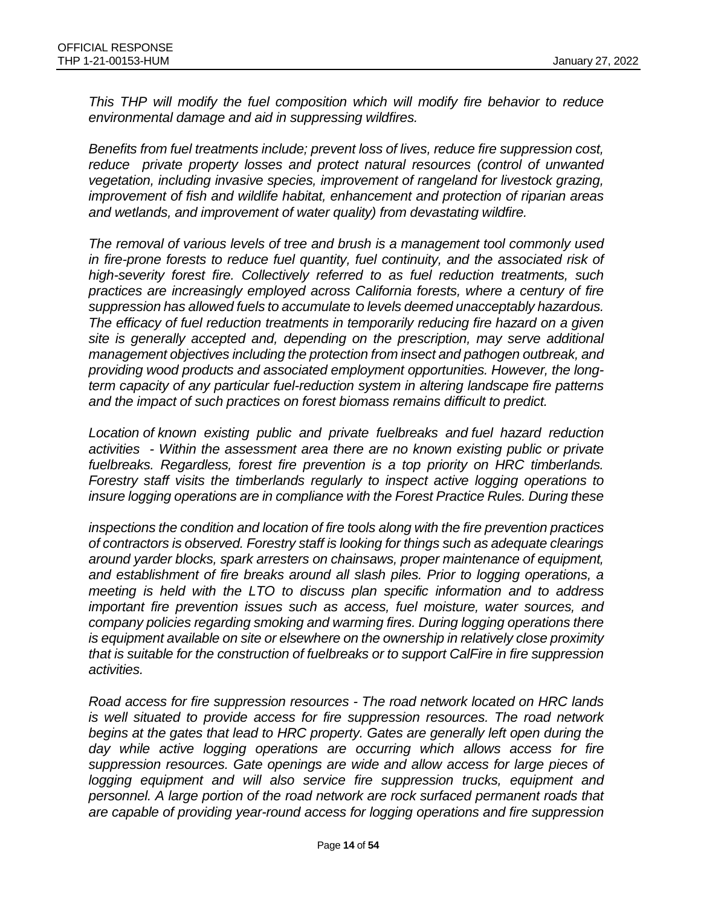*This THP will modify the fuel composition which will modify fire behavior to reduce environmental damage and aid in suppressing wildfires.*

*Benefits from fuel treatments include; prevent loss of lives, reduce fire suppression cost, reduce private property losses and protect natural resources (control of unwanted vegetation, including invasive species, improvement of rangeland for livestock grazing, improvement of fish and wildlife habitat, enhancement and protection of riparian areas and wetlands, and improvement of water quality) from devastating wildfire.*

*The removal of various levels of tree and brush is a management tool commonly used in fire-prone forests to reduce fuel quantity, fuel continuity, and the associated risk of high-severity forest fire. Collectively referred to as fuel reduction treatments, such practices are increasingly employed across California forests, where a century of fire suppression has allowed fuels to accumulate to levels deemed unacceptably hazardous. The efficacy of fuel reduction treatments in temporarily reducing fire hazard on a given site is generally accepted and, depending on the prescription, may serve additional management objectives including the protection from insect and pathogen outbreak, and providing wood products and associated employment opportunities. However, the longterm capacity of any particular fuel-reduction system in altering landscape fire patterns and the impact of such practices on forest biomass remains difficult to predict.*

*Location of known existing public and private fuelbreaks and fuel hazard reduction activities - Within the assessment area there are no known existing public or private fuelbreaks. Regardless, forest fire prevention is a top priority on HRC timberlands. Forestry staff visits the timberlands regularly to inspect active logging operations to insure logging operations are in compliance with the Forest Practice Rules. During these*

*inspections the condition and location of fire tools along with the fire prevention practices of contractors is observed. Forestry staff is looking for things such as adequate clearings around yarder blocks, spark arresters on chainsaws, proper maintenance of equipment, and establishment of fire breaks around all slash piles. Prior to logging operations, a meeting is held with the LTO to discuss plan specific information and to address important fire prevention issues such as access, fuel moisture, water sources, and company policies regarding smoking and warming fires. During logging operations there is equipment available on site or elsewhere on the ownership in relatively close proximity that is suitable for the construction of fuelbreaks or to support CalFire in fire suppression activities.*

*Road access for fire suppression resources - The road network located on HRC lands is well situated to provide access for fire suppression resources. The road network begins at the gates that lead to HRC property. Gates are generally left open during the*  day while active logging operations are occurring which allows access for fire *suppression resources. Gate openings are wide and allow access for large pieces of logging equipment and will also service fire suppression trucks, equipment and personnel. A large portion of the road network are rock surfaced permanent roads that are capable of providing year-round access for logging operations and fire suppression*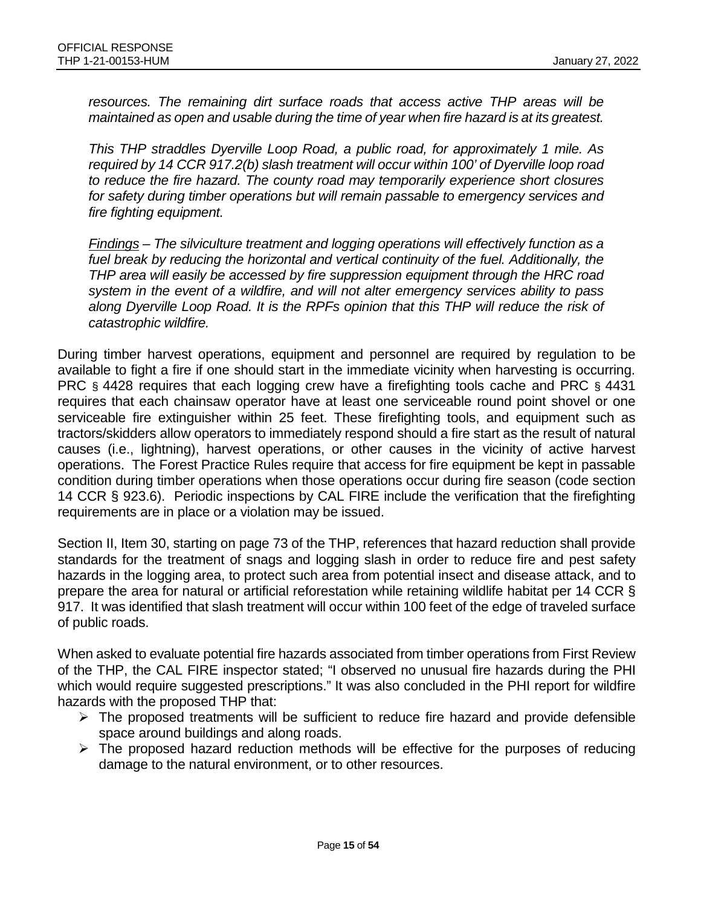*resources. The remaining dirt surface roads that access active THP areas will be maintained as open and usable during the time of year when fire hazard is at its greatest.*

*This THP straddles Dyerville Loop Road, a public road, for approximately 1 mile. As required by 14 CCR 917.2(b) slash treatment will occur within 100' of Dyerville loop road to reduce the fire hazard. The county road may temporarily experience short closures for safety during timber operations but will remain passable to emergency services and fire fighting equipment.*

*Findings – The silviculture treatment and logging operations will effectively function as a*  fuel break by reducing the horizontal and vertical continuity of the fuel. Additionally, the *THP area will easily be accessed by fire suppression equipment through the HRC road system in the event of a wildfire, and will not alter emergency services ability to pass along Dyerville Loop Road. It is the RPFs opinion that this THP will reduce the risk of catastrophic wildfire.*

During timber harvest operations, equipment and personnel are required by regulation to be available to fight a fire if one should start in the immediate vicinity when harvesting is occurring. PRC § 4428 requires that each logging crew have a firefighting tools cache and PRC § 4431 requires that each chainsaw operator have at least one serviceable round point shovel or one serviceable fire extinguisher within 25 feet. These firefighting tools, and equipment such as tractors/skidders allow operators to immediately respond should a fire start as the result of natural causes (i.e., lightning), harvest operations, or other causes in the vicinity of active harvest operations. The Forest Practice Rules require that access for fire equipment be kept in passable condition during timber operations when those operations occur during fire season (code section 14 CCR § 923.6). Periodic inspections by CAL FIRE include the verification that the firefighting requirements are in place or a violation may be issued.

Section II, Item 30, starting on page 73 of the THP, references that hazard reduction shall provide standards for the treatment of snags and logging slash in order to reduce fire and pest safety hazards in the logging area, to protect such area from potential insect and disease attack, and to prepare the area for natural or artificial reforestation while retaining wildlife habitat per 14 CCR § 917. It was identified that slash treatment will occur within 100 feet of the edge of traveled surface of public roads.

When asked to evaluate potential fire hazards associated from timber operations from First Review of the THP, the CAL FIRE inspector stated; "I observed no unusual fire hazards during the PHI which would require suggested prescriptions." It was also concluded in the PHI report for wildfire hazards with the proposed THP that:

- $\triangleright$  The proposed treatments will be sufficient to reduce fire hazard and provide defensible space around buildings and along roads.
- $\triangleright$  The proposed hazard reduction methods will be effective for the purposes of reducing damage to the natural environment, or to other resources.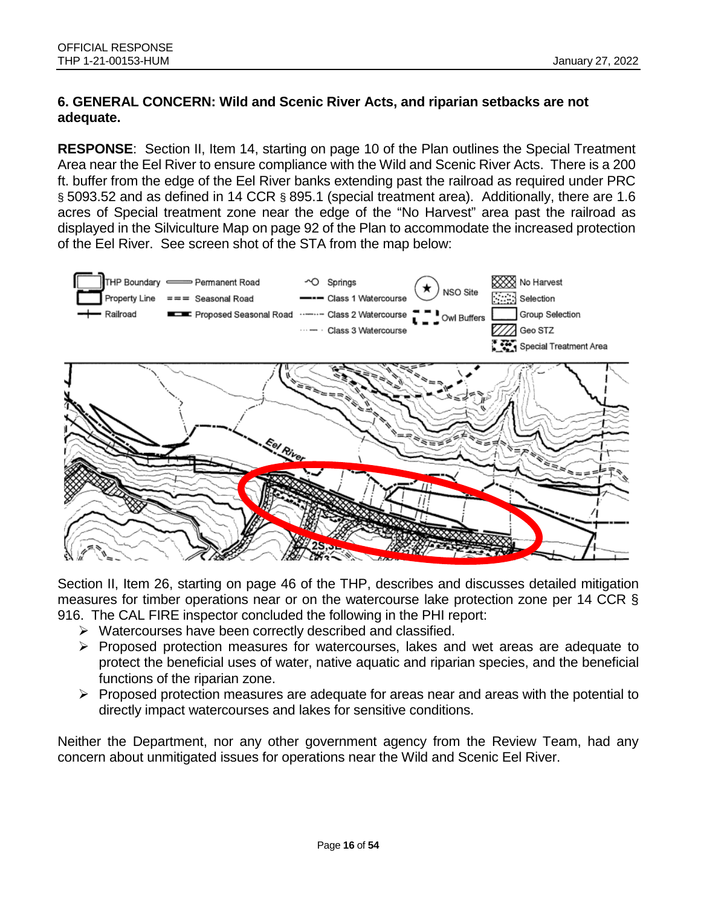### **6. GENERAL CONCERN: Wild and Scenic River Acts, and riparian setbacks are not adequate.**

**RESPONSE**: Section II, Item 14, starting on page 10 of the Plan outlines the Special Treatment Area near the Eel River to ensure compliance with the Wild and Scenic River Acts. There is a 200 ft. buffer from the edge of the Eel River banks extending past the railroad as required under PRC § 5093.52 and as defined in 14 CCR § 895.1 (special treatment area). Additionally, there are 1.6 acres of Special treatment zone near the edge of the "No Harvest" area past the railroad as displayed in the Silviculture Map on page 92 of the Plan to accommodate the increased protection of the Eel River. See screen shot of the STA from the map below:



Section II, Item 26, starting on page 46 of the THP, describes and discusses detailed mitigation measures for timber operations near or on the watercourse lake protection zone per 14 CCR § 916. The CAL FIRE inspector concluded the following in the PHI report:

- $\triangleright$  Watercourses have been correctly described and classified.
- $\triangleright$  Proposed protection measures for watercourses, lakes and wet areas are adequate to protect the beneficial uses of water, native aquatic and riparian species, and the beneficial functions of the riparian zone.
- $\triangleright$  Proposed protection measures are adequate for areas near and areas with the potential to directly impact watercourses and lakes for sensitive conditions.

Neither the Department, nor any other government agency from the Review Team, had any concern about unmitigated issues for operations near the Wild and Scenic Eel River.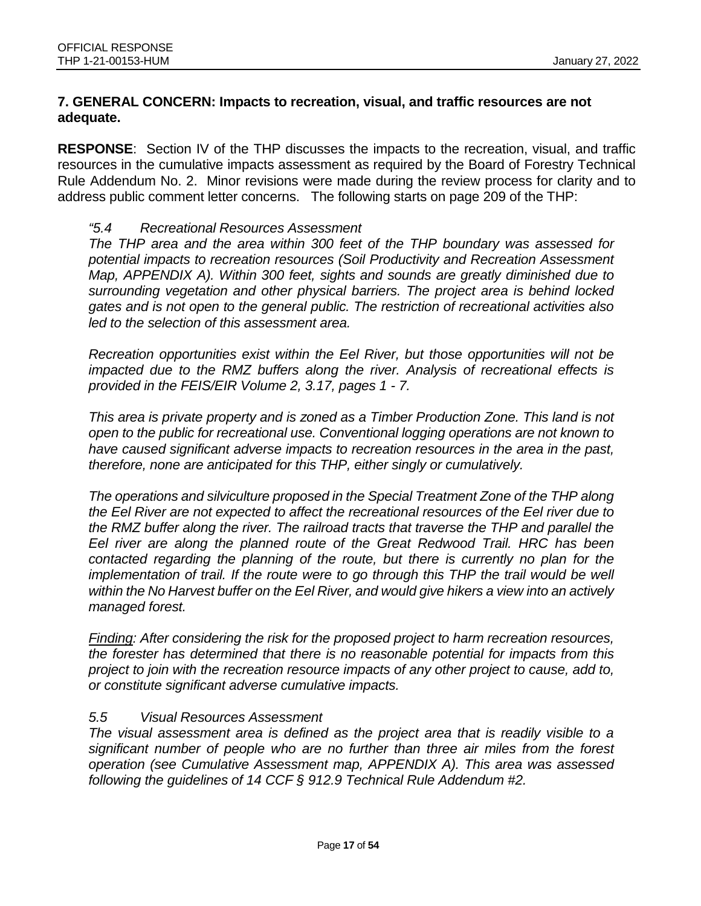### **7. GENERAL CONCERN: Impacts to recreation, visual, and traffic resources are not adequate.**

**RESPONSE**: Section IV of the THP discusses the impacts to the recreation, visual, and traffic resources in the cumulative impacts assessment as required by the Board of Forestry Technical Rule Addendum No. 2. Minor revisions were made during the review process for clarity and to address public comment letter concerns. The following starts on page 209 of the THP:

#### *"5.4 Recreational Resources Assessment*

*The THP area and the area within 300 feet of the THP boundary was assessed for potential impacts to recreation resources (Soil Productivity and Recreation Assessment Map, APPENDIX A). Within 300 feet, sights and sounds are greatly diminished due to surrounding vegetation and other physical barriers. The project area is behind locked gates and is not open to the general public. The restriction of recreational activities also led to the selection of this assessment area.*

*Recreation opportunities exist within the Eel River, but those opportunities will not be impacted due to the RMZ buffers along the river. Analysis of recreational effects is provided in the FEIS/EIR Volume 2, 3.17, pages 1 - 7.*

*This area is private property and is zoned as a Timber Production Zone. This land is not open to the public for recreational use. Conventional logging operations are not known to have caused significant adverse impacts to recreation resources in the area in the past, therefore, none are anticipated for this THP, either singly or cumulatively.*

*The operations and silviculture proposed in the Special Treatment Zone of the THP along the Eel River are not expected to affect the recreational resources of the Eel river due to the RMZ buffer along the river. The railroad tracts that traverse the THP and parallel the Eel river are along the planned route of the Great Redwood Trail. HRC has been contacted regarding the planning of the route, but there is currently no plan for the implementation of trail. If the route were to go through this THP the trail would be well within the No Harvest buffer on the Eel River, and would give hikers a view into an actively managed forest.*

*Finding: After considering the risk for the proposed project to harm recreation resources, the forester has determined that there is no reasonable potential for impacts from this project to join with the recreation resource impacts of any other project to cause, add to, or constitute significant adverse cumulative impacts.*

#### *5.5 Visual Resources Assessment*

*The visual assessment area is defined as the project area that is readily visible to a significant number of people who are no further than three air miles from the forest operation (see Cumulative Assessment map, APPENDIX A). This area was assessed following the guidelines of 14 CCF § 912.9 Technical Rule Addendum #2.*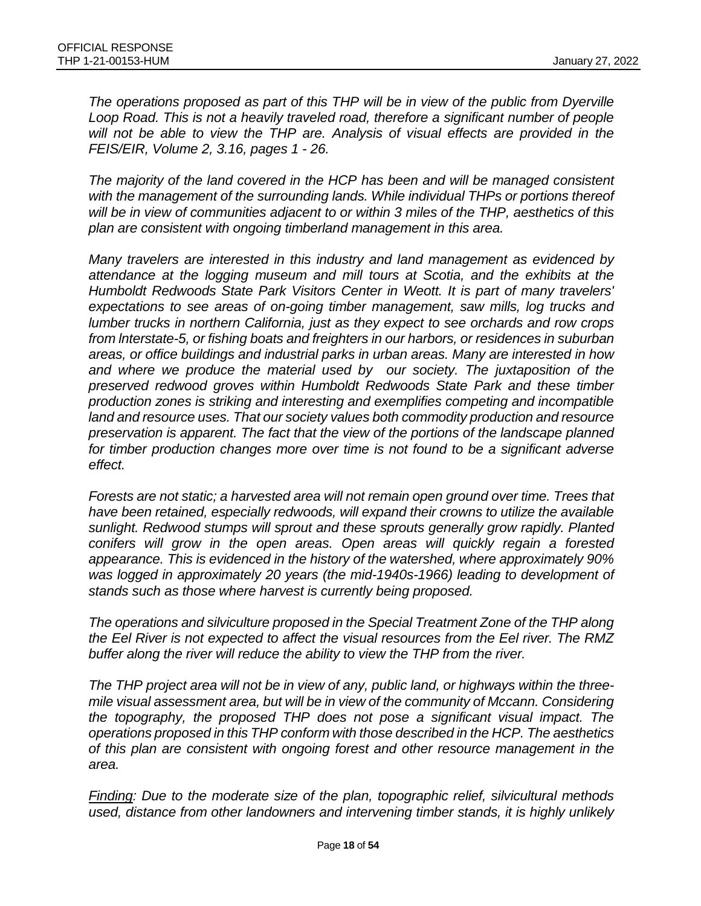*The operations proposed as part of this THP will be in view of the public from Dyerville Loop Road. This is not a heavily traveled road, therefore a significant number of people will not be able to view the THP are. Analysis of visual effects are provided in the FEIS/EIR, Volume 2, 3.16, pages 1 - 26.*

*The majority of the land covered in the HCP has been and will be managed consistent with the management of the surrounding lands. While individual THPs or portions thereof will be in view of communities adjacent to or within 3 miles of the THP, aesthetics of this plan are consistent with ongoing timberland management in this area.*

*Many travelers are interested in this industry and land management as evidenced by attendance at the logging museum and mill tours at Scotia, and the exhibits at the Humboldt Redwoods State Park Visitors Center in Weott. It is part of many travelers' expectations to see areas of on-going timber management, saw mills, log trucks and lumber trucks in northern California, just as they expect to see orchards and row crops from lnterstate-5, or fishing boats and freighters in our harbors, or residences in suburban areas, or office buildings and industrial parks in urban areas. Many are interested in how and where we produce the material used by our society. The juxtaposition of the preserved redwood groves within Humboldt Redwoods State Park and these timber production zones is striking and interesting and exemplifies competing and incompatible land and resource uses. That our society values both commodity production and resource preservation is apparent. The fact that the view of the portions of the landscape planned for timber production changes more over time is not found to be a significant adverse effect.*

*Forests are not static; a harvested area will not remain open ground over time. Trees that have been retained, especially redwoods, will expand their crowns to utilize the available sunlight. Redwood stumps will sprout and these sprouts generally grow rapidly. Planted conifers will grow in the open areas. Open areas will quickly regain a forested appearance. This is evidenced in the history of the watershed, where approximately 90% was logged in approximately 20 years (the mid-1940s-1966) leading to development of stands such as those where harvest is currently being proposed.*

*The operations and silviculture proposed in the Special Treatment Zone of the THP along the Eel River is not expected to affect the visual resources from the Eel river. The RMZ buffer along the river will reduce the ability to view the THP from the river.*

*The THP project area will not be in view of any, public land, or highways within the threemile visual assessment area, but will be in view of the community of Mccann. Considering the topography, the proposed THP does not pose a significant visual impact. The operations proposed in this THP conform with those described in the HCP. The aesthetics of this plan are consistent with ongoing forest and other resource management in the area.*

*Finding: Due to the moderate size of the plan, topographic relief, silvicultural methods used, distance from other landowners and intervening timber stands, it is highly unlikely*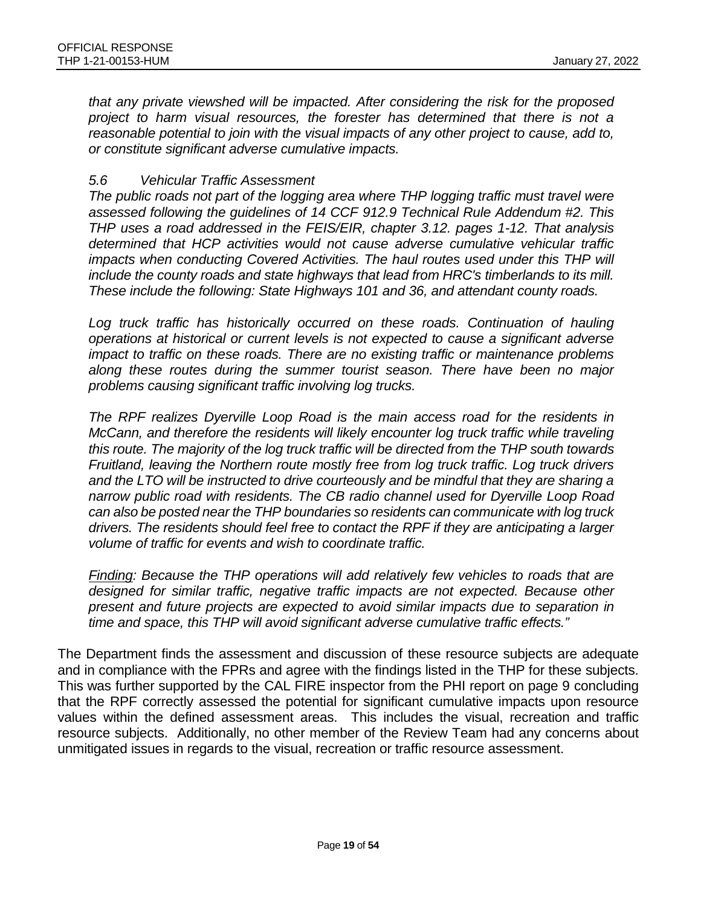*that any private viewshed will be impacted. After considering the risk for the proposed project to harm visual resources, the forester has determined that there is not a reasonable potential to join with the visual impacts of any other project to cause, add to, or constitute significant adverse cumulative impacts.*

#### *5.6 Vehicular Traffic Assessment*

*The public roads not part of the logging area where THP logging traffic must travel were assessed following the guidelines of 14 CCF 912.9 Technical Rule Addendum #2. This THP uses a road addressed in the FEIS/EIR, chapter 3.12. pages 1-12. That analysis determined that HCP activities would not cause adverse cumulative vehicular traffic impacts when conducting Covered Activities. The haul routes used under this THP will include the county roads and state highways that lead from HRC's timberlands to its mill. These include the following: State Highways 101 and 36, and attendant county roads.*

Log truck traffic has historically occurred on these roads. Continuation of hauling *operations at historical or current levels is not expected to cause a significant adverse impact to traffic on these roads. There are no existing traffic or maintenance problems along these routes during the summer tourist season. There have been no major problems causing significant traffic involving log trucks.*

*The RPF realizes Dyerville Loop Road is the main access road for the residents in McCann, and therefore the residents will likely encounter log truck traffic while traveling this route. The majority of the log truck traffic will be directed from the THP south towards Fruitland, leaving the Northern route mostly free from log truck traffic. Log truck drivers and the LTO will be instructed to drive courteously and be mindful that they are sharing a narrow public road with residents. The CB radio channel used for Dyerville Loop Road can also be posted near the THP boundaries so residents can communicate with log truck drivers. The residents should feel free to contact the RPF if they are anticipating a larger volume of traffic for events and wish to coordinate traffic.*

*Finding: Because the THP operations will add relatively few vehicles to roads that are designed for similar traffic, negative traffic impacts are not expected. Because other present and future projects are expected to avoid similar impacts due to separation in time and space, this THP will avoid significant adverse cumulative traffic effects."*

The Department finds the assessment and discussion of these resource subjects are adequate and in compliance with the FPRs and agree with the findings listed in the THP for these subjects. This was further supported by the CAL FIRE inspector from the PHI report on page 9 concluding that the RPF correctly assessed the potential for significant cumulative impacts upon resource values within the defined assessment areas. This includes the visual, recreation and traffic resource subjects. Additionally, no other member of the Review Team had any concerns about unmitigated issues in regards to the visual, recreation or traffic resource assessment.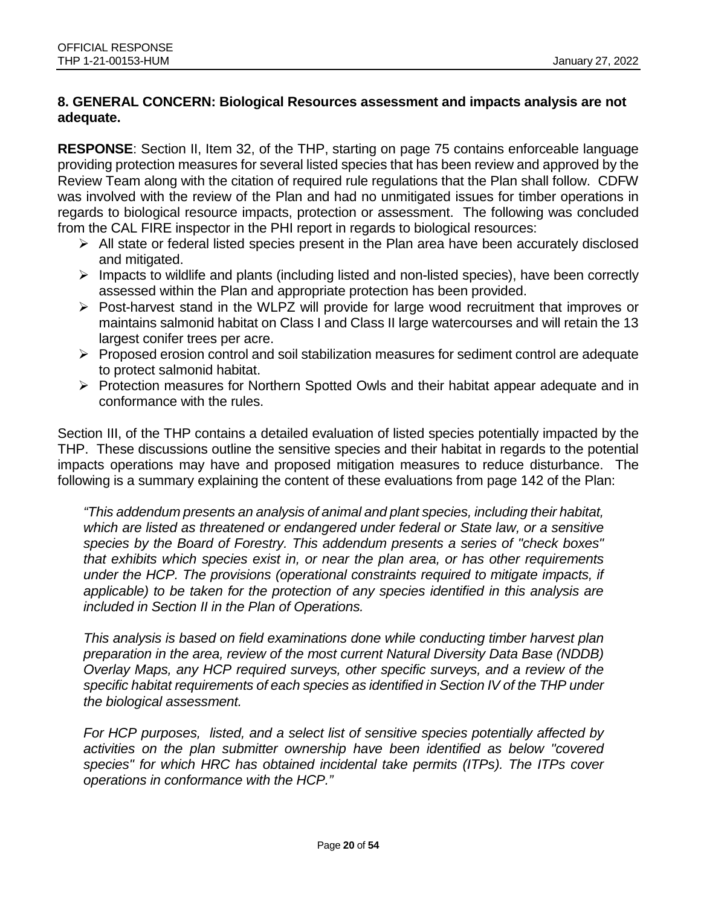### **8. GENERAL CONCERN: Biological Resources assessment and impacts analysis are not adequate.**

**RESPONSE**: Section II, Item 32, of the THP, starting on page 75 contains enforceable language providing protection measures for several listed species that has been review and approved by the Review Team along with the citation of required rule regulations that the Plan shall follow. CDFW was involved with the review of the Plan and had no unmitigated issues for timber operations in regards to biological resource impacts, protection or assessment. The following was concluded from the CAL FIRE inspector in the PHI report in regards to biological resources:

- $\triangleright$  All state or federal listed species present in the Plan area have been accurately disclosed and mitigated.
- $\triangleright$  Impacts to wildlife and plants (including listed and non-listed species), have been correctly assessed within the Plan and appropriate protection has been provided.
- $\triangleright$  Post-harvest stand in the WLPZ will provide for large wood recruitment that improves or maintains salmonid habitat on Class I and Class II large watercourses and will retain the 13 largest conifer trees per acre.
- $\triangleright$  Proposed erosion control and soil stabilization measures for sediment control are adequate to protect salmonid habitat.
- Protection measures for Northern Spotted Owls and their habitat appear adequate and in conformance with the rules.

Section III, of the THP contains a detailed evaluation of listed species potentially impacted by the THP. These discussions outline the sensitive species and their habitat in regards to the potential impacts operations may have and proposed mitigation measures to reduce disturbance. The following is a summary explaining the content of these evaluations from page 142 of the Plan:

*"This addendum presents an analysis of animal and plant species, including their habitat, which are listed as threatened or endangered under federal or State law, or a sensitive species by the Board of Forestry. This addendum presents a series of "check boxes" that exhibits which species exist in, or near the plan area, or has other requirements under the HCP. The provisions (operational constraints required to mitigate impacts, if applicable) to be taken for the protection of any species identified in this analysis are included in Section II in the Plan of Operations.*

*This analysis is based on field examinations done while conducting timber harvest plan preparation in the area, review of the most current Natural Diversity Data Base (NDDB) Overlay Maps, any HCP required surveys, other specific surveys, and a review of the specific habitat requirements of each species as identified in Section IV of the THP under the biological assessment.*

*For HCP purposes, listed, and a select list of sensitive species potentially affected by activities on the plan submitter ownership have been identified as below "covered species" for which HRC has obtained incidental take permits (ITPs). The ITPs cover operations in conformance with the HCP."*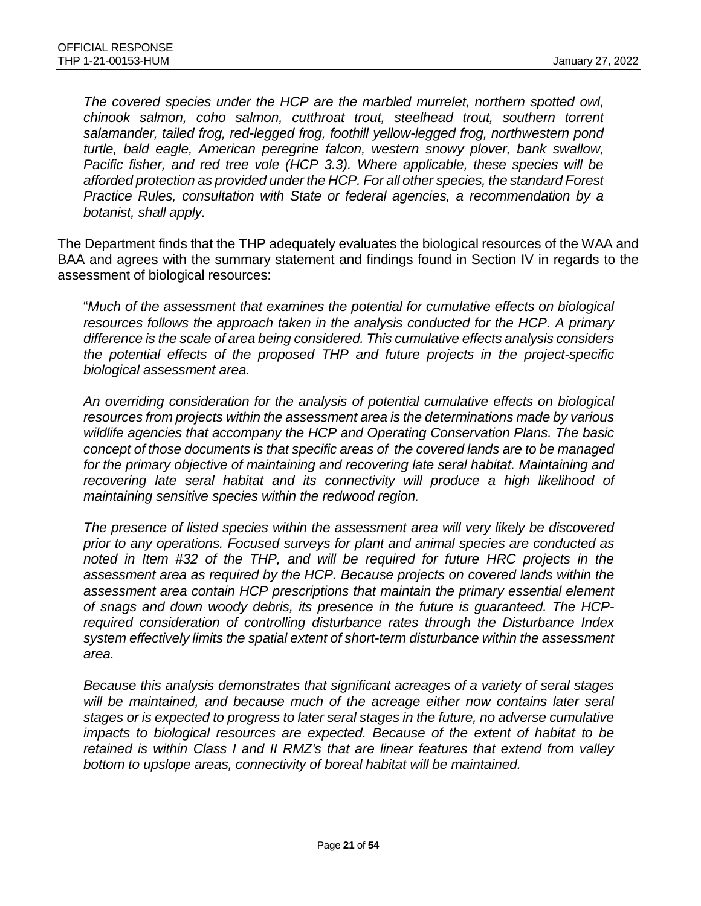*The covered species under the HCP are the marbled murrelet, northern spotted owl, chinook salmon, coho salmon, cutthroat trout, steelhead trout, southern torrent salamander, tailed frog, red-legged frog, foothill yellow-legged frog, northwestern pond turtle, bald eagle, American peregrine falcon, western snowy plover, bank swallow, Pacific fisher, and red tree vole (HCP 3.3). Where applicable, these species will be afforded protection as provided under the HCP. For all other species, the standard Forest Practice Rules, consultation with State or federal agencies, a recommendation by a botanist, shall apply.*

The Department finds that the THP adequately evaluates the biological resources of the WAA and BAA and agrees with the summary statement and findings found in Section IV in regards to the assessment of biological resources:

"*Much of the assessment that examines the potential for cumulative effects on biological resources follows the approach taken in the analysis conducted for the HCP. A primary difference is the scale of area being considered. This cumulative effects analysis considers the potential effects of the proposed THP and future projects in the project-specific biological assessment area.*

*An overriding consideration for the analysis of potential cumulative effects on biological resources from projects within the assessment area is the determinations made by various wildlife agencies that accompany the HCP and Operating Conservation Plans. The basic concept of those documents is that specific areas of the covered lands are to be managed for the primary objective of maintaining and recovering late seral habitat. Maintaining and*  recovering late seral habitat and its connectivity will produce a high likelihood of *maintaining sensitive species within the redwood region.*

*The presence of listed species within the assessment area will very likely be discovered prior to any operations. Focused surveys for plant and animal species are conducted as noted in Item #32 of the THP, and will be required for future HRC projects in the assessment area as required by the HCP. Because projects on covered lands within the assessment area contain HCP prescriptions that maintain the primary essential element of snags and down woody debris, its presence in the future is guaranteed. The HCPrequired consideration of controlling disturbance rates through the Disturbance Index system effectively limits the spatial extent of short-term disturbance within the assessment area.*

*Because this analysis demonstrates that significant acreages of a variety of seral stages*  will be maintained, and because much of the acreage either now contains later seral *stages or is expected to progress to later seral stages in the future, no adverse cumulative impacts to biological resources are expected. Because of the extent of habitat to be retained is within Class I and II RMZ's that are linear features that extend from valley bottom to upslope areas, connectivity of boreal habitat will be maintained.*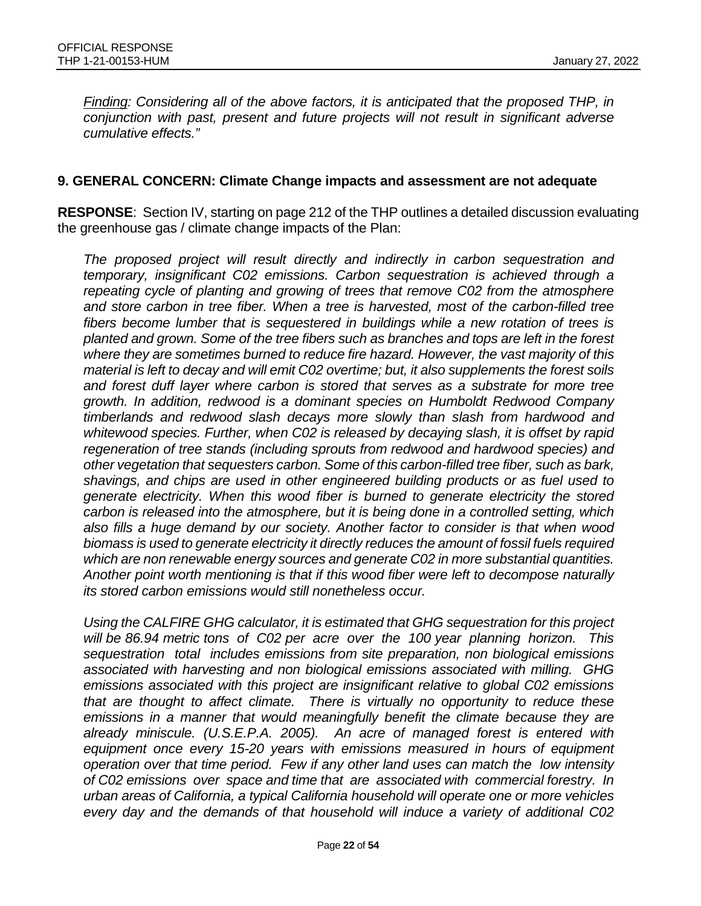*Finding: Considering all of the above factors, it is anticipated that the proposed THP, in conjunction with past, present and future projects will not result in significant adverse cumulative effects."*

#### **9. GENERAL CONCERN: Climate Change impacts and assessment are not adequate**

**RESPONSE**: Section IV, starting on page 212 of the THP outlines a detailed discussion evaluating the greenhouse gas / climate change impacts of the Plan:

*The proposed project will result directly and indirectly in carbon sequestration and temporary, insignificant C02 emissions. Carbon sequestration is achieved through a repeating cycle of planting and growing of trees that remove C02 from the atmosphere and store carbon in tree fiber. When a tree is harvested, most of the carbon-filled tree fibers become lumber that is sequestered in buildings while a new rotation of trees is planted and grown. Some of the tree fibers such as branches and tops are left in the forest where they are sometimes burned to reduce fire hazard. However, the vast majority of this material is left to decay and will emit C02 overtime; but, it also supplements the forest soils and forest duff layer where carbon is stored that serves as a substrate for more tree growth. In addition, redwood is a dominant species on Humboldt Redwood Company timberlands and redwood slash decays more slowly than slash from hardwood and whitewood species. Further, when C02 is released by decaying slash, it is offset by rapid regeneration of tree stands (including sprouts from redwood and hardwood species) and other vegetation that sequesters carbon. Some of this carbon-filled tree fiber, such as bark, shavings, and chips are used in other engineered building products or as fuel used to generate electricity. When this wood fiber is burned to generate electricity the stored carbon is released into the atmosphere, but it is being done in a controlled setting, which also fills a huge demand by our society. Another factor to consider is that when wood biomass is used to generate electricity it directly reduces the amount of fossil fuels required which are non renewable energy sources and generate C02 in more substantial quantities. Another point worth mentioning is that if this wood fiber were left to decompose naturally its stored carbon emissions would still nonetheless occur.*

*Using the CALFIRE GHG calculator, it is estimated that GHG sequestration for this project will be 86.94 metric tons of C02 per acre over the 100 year planning horizon. This sequestration total includes emissions from site preparation, non biological emissions associated with harvesting and non biological emissions associated with milling. GHG emissions associated with this project are insignificant relative to global C02 emissions that are thought to affect climate. There is virtually no opportunity to reduce these emissions in a manner that would meaningfully benefit the climate because they are already miniscule. (U.S.E.P.A. 2005). An acre of managed forest is entered with equipment once every 15-20 years with emissions measured in hours of equipment operation over that time period. Few if any other land uses can match the low intensity of C02 emissions over space and time that are associated with commercial forestry. In urban areas of California, a typical California household will operate one or more vehicles every day and the demands of that household will induce a variety of additional C02*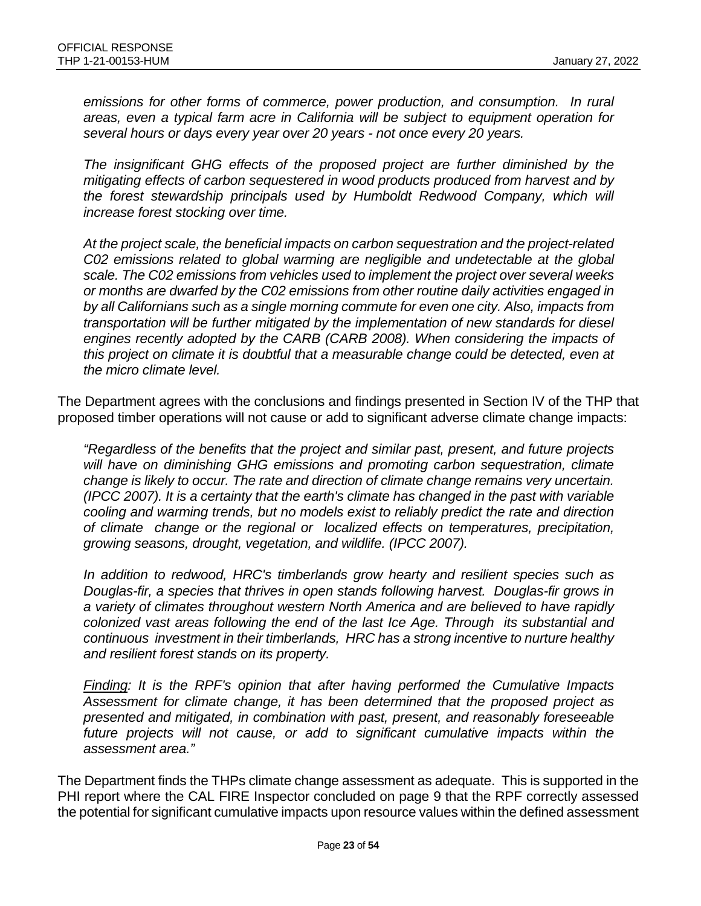*emissions for other forms of commerce, power production, and consumption. In rural areas, even a typical farm acre in California will be subject to equipment operation for several hours or days every year over 20 years - not once every 20 years.*

*The insignificant GHG effects of the proposed project are further diminished by the mitigating effects of carbon sequestered in wood products produced from harvest and by the forest stewardship principals used by Humboldt Redwood Company, which will increase forest stocking over time.*

*At the project scale, the beneficial impacts on carbon sequestration and the project-related C02 emissions related to global warming are negligible and undetectable at the global scale. The C02 emissions from vehicles used to implement the project over several weeks or months are dwarfed by the C02 emissions from other routine daily activities engaged in by all Californians such as a single morning commute for even one city. Also, impacts from transportation will be further mitigated by the implementation of new standards for diesel*  engines recently adopted by the CARB (CARB 2008). When considering the impacts of *this project on climate it is doubtful that a measurable change could be detected, even at the micro climate level.*

The Department agrees with the conclusions and findings presented in Section IV of the THP that proposed timber operations will not cause or add to significant adverse climate change impacts:

*"Regardless of the benefits that the project and similar past, present, and future projects will have on diminishing GHG emissions and promoting carbon sequestration, climate change is likely to occur. The rate and direction of climate change remains very uncertain. (IPCC 2007). It is a certainty that the earth's climate has changed in the past with variable cooling and warming trends, but no models exist to reliably predict the rate and direction of climate change or the regional or localized effects on temperatures, precipitation, growing seasons, drought, vegetation, and wildlife. (IPCC 2007).*

*In addition to redwood, HRC's timberlands grow hearty and resilient species such as Douglas-fir, a species that thrives in open stands following harvest. Douglas-fir grows in a variety of climates throughout western North America and are believed to have rapidly colonized vast areas following the end of the last Ice Age. Through its substantial and continuous investment in their timberlands, HRC has a strong incentive to nurture healthy and resilient forest stands on its property.*

*Finding: It is the RPF's opinion that after having performed the Cumulative Impacts Assessment for climate change, it has been determined that the proposed project as presented and mitigated, in combination with past, present, and reasonably foreseeable*  future projects will not cause, or add to significant cumulative impacts within the *assessment area."*

The Department finds the THPs climate change assessment as adequate. This is supported in the PHI report where the CAL FIRE Inspector concluded on page 9 that the RPF correctly assessed the potential for significant cumulative impacts upon resource values within the defined assessment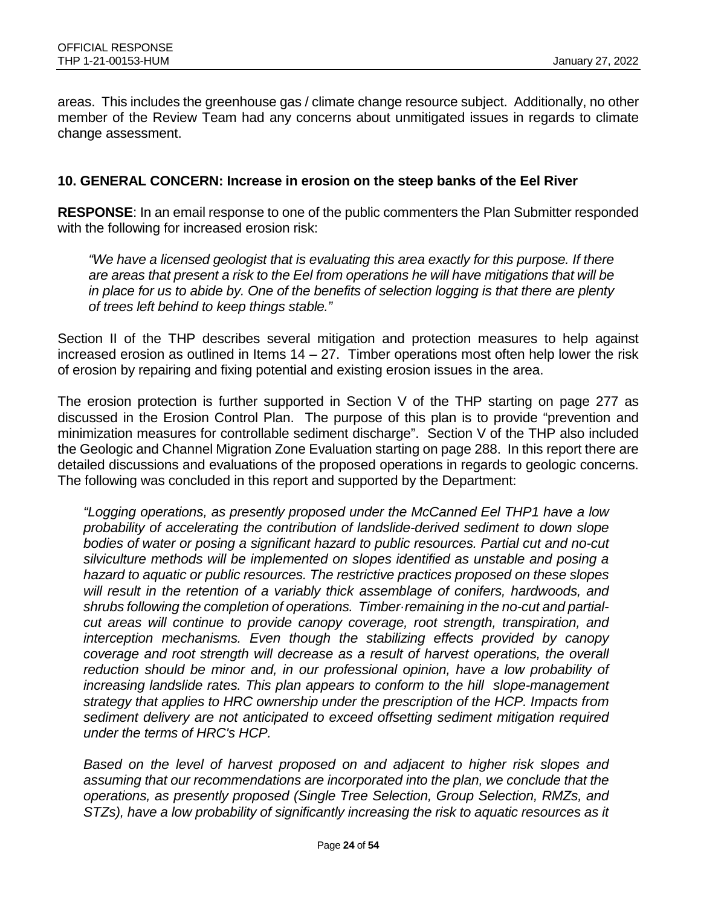areas. This includes the greenhouse gas / climate change resource subject. Additionally, no other member of the Review Team had any concerns about unmitigated issues in regards to climate change assessment.

#### **10. GENERAL CONCERN: Increase in erosion on the steep banks of the Eel River**

**RESPONSE**: In an email response to one of the public commenters the Plan Submitter responded with the following for increased erosion risk:

*"We have a licensed geologist that is evaluating this area exactly for this purpose. If there are areas that present a risk to the Eel from operations he will have mitigations that will be in place for us to abide by. One of the benefits of selection logging is that there are plenty of trees left behind to keep things stable."*

Section II of the THP describes several mitigation and protection measures to help against increased erosion as outlined in Items  $14 - 27$ . Timber operations most often help lower the risk of erosion by repairing and fixing potential and existing erosion issues in the area.

The erosion protection is further supported in Section V of the THP starting on page 277 as discussed in the Erosion Control Plan. The purpose of this plan is to provide "prevention and minimization measures for controllable sediment discharge". Section V of the THP also included the Geologic and Channel Migration Zone Evaluation starting on page 288. In this report there are detailed discussions and evaluations of the proposed operations in regards to geologic concerns. The following was concluded in this report and supported by the Department:

*"Logging operations, as presently proposed under the McCanned Eel THP1 have a low probability of accelerating the contribution of landslide-derived sediment to down slope bodies of water or posing a significant hazard to public resources. Partial cut and no-cut silviculture methods will be implemented on slopes identified as unstable and posing a hazard to aquatic or public resources. The restrictive practices proposed on these slopes will result in the retention of a variably thick assemblage of conifers, hardwoods, and shrubs following the completion of operations. Timber·remaining in the no-cut and partialcut areas will continue to provide canopy coverage, root strength, transpiration, and interception mechanisms. Even though the stabilizing effects provided by canopy coverage and root strength will decrease as a result of harvest operations, the overall*  reduction should be minor and, in our professional opinion, have a low probability of *increasing landslide rates. This plan appears to conform to the hill slope-management strategy that applies to HRC ownership under the prescription of the HCP. Impacts from sediment delivery are not anticipated to exceed offsetting sediment mitigation required under the terms of HRC's HCP.*

*Based on the level of harvest proposed on and adjacent to higher risk slopes and assuming that our recommendations are incorporated into the plan, we conclude that the operations, as presently proposed (Single Tree Selection, Group Selection, RMZs, and STZs), have a low probability of significantly increasing the risk to aquatic resources as it*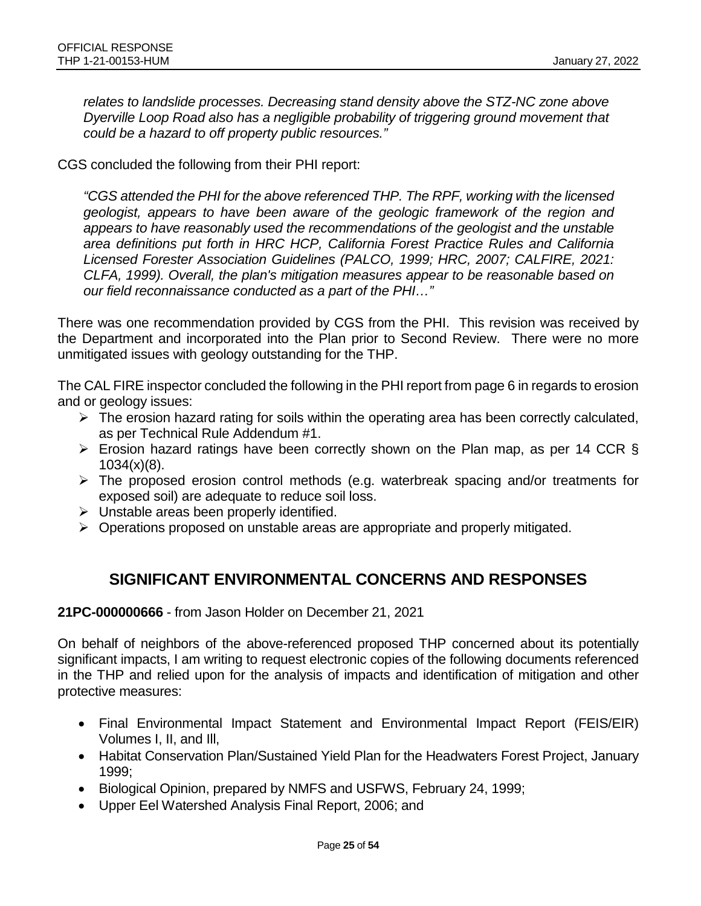*relates to landslide processes. Decreasing stand density above the STZ-NC zone above Dyerville Loop Road also has a negligible probability of triggering ground movement that could be a hazard to off property public resources."* 

CGS concluded the following from their PHI report:

*"CGS attended the PHI for the above referenced THP. The RPF, working with the licensed geologist, appears to have been aware of the geologic framework of the region and appears to have reasonably used the recommendations of the geologist and the unstable area definitions put forth in HRC HCP, California Forest Practice Rules and California Licensed Forester Association Guidelines (PALCO, 1999; HRC, 2007; CALFIRE, 2021: CLFA, 1999). Overall, the plan's mitigation measures appear to be reasonable based on our field reconnaissance conducted as a part of the PHI…"*

There was one recommendation provided by CGS from the PHI. This revision was received by the Department and incorporated into the Plan prior to Second Review. There were no more unmitigated issues with geology outstanding for the THP.

The CAL FIRE inspector concluded the following in the PHI report from page 6 in regards to erosion and or geology issues:

- $\triangleright$  The erosion hazard rating for soils within the operating area has been correctly calculated, as per Technical Rule Addendum #1.
- $\triangleright$  Erosion hazard ratings have been correctly shown on the Plan map, as per 14 CCR §  $1034(x)(8)$ .
- $\triangleright$  The proposed erosion control methods (e.g. waterbreak spacing and/or treatments for exposed soil) are adequate to reduce soil loss.
- $\triangleright$  Unstable areas been properly identified.
- $\triangleright$  Operations proposed on unstable areas are appropriate and properly mitigated.

# **SIGNIFICANT ENVIRONMENTAL CONCERNS AND RESPONSES**

**21PC-000000666** - from Jason Holder on December 21, 2021

On behalf of neighbors of the above-referenced proposed THP concerned about its potentially significant impacts, I am writing to request electronic copies of the following documents referenced in the THP and relied upon for the analysis of impacts and identification of mitigation and other protective measures:

- Final Environmental Impact Statement and Environmental Impact Report (FEIS/EIR) Volumes I, II, and Ill,
- Habitat Conservation Plan/Sustained Yield Plan for the Headwaters Forest Project, January 1999;
- Biological Opinion, prepared by NMFS and USFWS, February 24, 1999;
- Upper Eel Watershed Analysis Final Report, 2006; and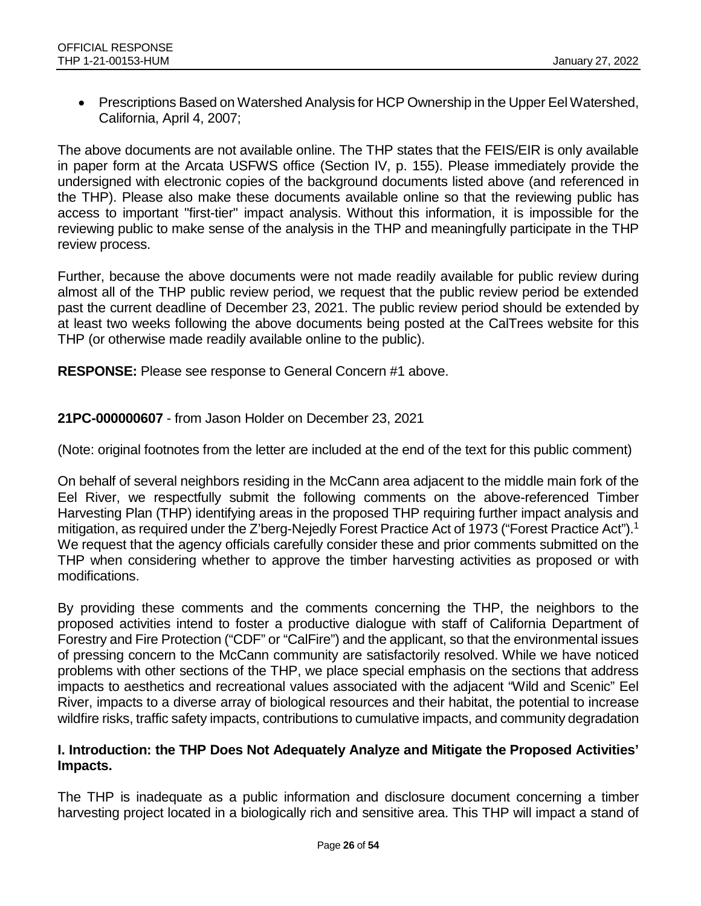• Prescriptions Based on Watershed Analysis for HCP Ownership in the Upper Eel Watershed, California, April 4, 2007;

The above documents are not available online. The THP states that the FEIS/EIR is only available in paper form at the Arcata USFWS office (Section IV, p. 155). Please immediately provide the undersigned with electronic copies of the background documents listed above (and referenced in the THP). Please also make these documents available online so that the reviewing public has access to important "first-tier" impact analysis. Without this information, it is impossible for the reviewing public to make sense of the analysis in the THP and meaningfully participate in the THP review process.

Further, because the above documents were not made readily available for public review during almost all of the THP public review period, we request that the public review period be extended past the current deadline of December 23, 2021. The public review period should be extended by at least two weeks following the above documents being posted at the CalTrees website for this THP (or otherwise made readily available online to the public).

**RESPONSE:** Please see response to General Concern #1 above.

#### **21PC-000000607** - from Jason Holder on December 23, 2021

(Note: original footnotes from the letter are included at the end of the text for this public comment)

On behalf of several neighbors residing in the McCann area adjacent to the middle main fork of the Eel River, we respectfully submit the following comments on the above-referenced Timber Harvesting Plan (THP) identifying areas in the proposed THP requiring further impact analysis and mitigation, as required under the Z'berg-Nejedly Forest Practice Act of 1973 ("Forest Practice Act").<sup>1</sup> We request that the agency officials carefully consider these and prior comments submitted on the THP when considering whether to approve the timber harvesting activities as proposed or with modifications.

By providing these comments and the comments concerning the THP, the neighbors to the proposed activities intend to foster a productive dialogue with staff of California Department of Forestry and Fire Protection ("CDF" or "CalFire") and the applicant, so that the environmental issues of pressing concern to the McCann community are satisfactorily resolved. While we have noticed problems with other sections of the THP, we place special emphasis on the sections that address impacts to aesthetics and recreational values associated with the adjacent "Wild and Scenic" Eel River, impacts to a diverse array of biological resources and their habitat, the potential to increase wildfire risks, traffic safety impacts, contributions to cumulative impacts, and community degradation

#### **I. Introduction: the THP Does Not Adequately Analyze and Mitigate the Proposed Activities' Impacts.**

The THP is inadequate as a public information and disclosure document concerning a timber harvesting project located in a biologically rich and sensitive area. This THP will impact a stand of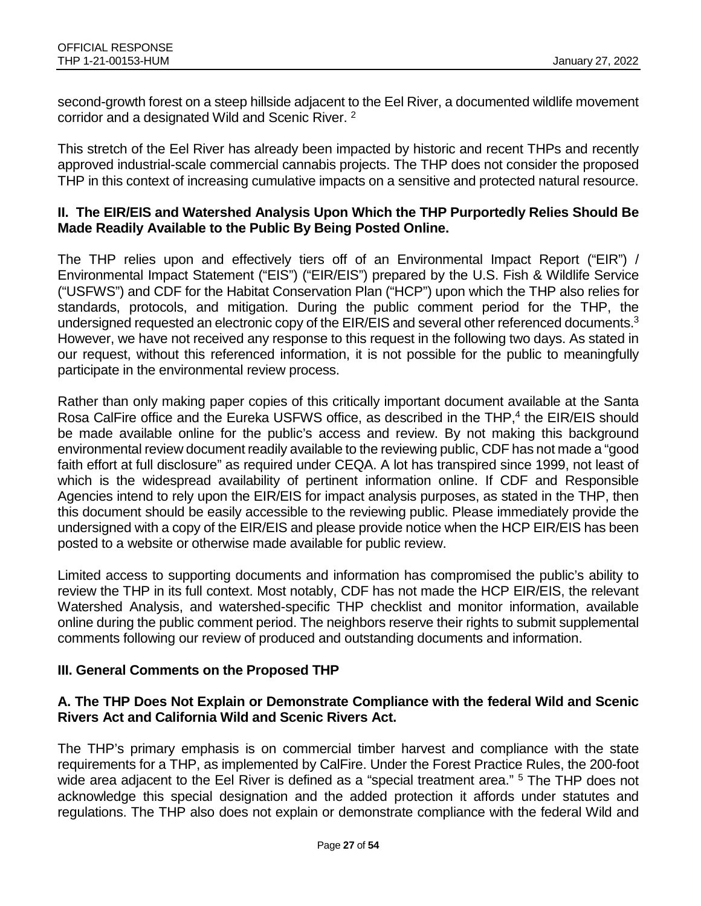second-growth forest on a steep hillside adjacent to the Eel River, a documented wildlife movement corridor and a designated Wild and Scenic River. <sup>2</sup>

This stretch of the Eel River has already been impacted by historic and recent THPs and recently approved industrial-scale commercial cannabis projects. The THP does not consider the proposed THP in this context of increasing cumulative impacts on a sensitive and protected natural resource.

#### **II. The EIR/EIS and Watershed Analysis Upon Which the THP Purportedly Relies Should Be Made Readily Available to the Public By Being Posted Online.**

The THP relies upon and effectively tiers off of an Environmental Impact Report ("EIR") / Environmental Impact Statement ("EIS") ("EIR/EIS") prepared by the U.S. Fish & Wildlife Service ("USFWS") and CDF for the Habitat Conservation Plan ("HCP") upon which the THP also relies for standards, protocols, and mitigation. During the public comment period for the THP, the undersigned requested an electronic copy of the EIR/EIS and several other referenced documents.<sup>3</sup> However, we have not received any response to this request in the following two days. As stated in our request, without this referenced information, it is not possible for the public to meaningfully participate in the environmental review process.

Rather than only making paper copies of this critically important document available at the Santa Rosa CalFire office and the Eureka USFWS office, as described in the THP,<sup>4</sup> the EIR/EIS should be made available online for the public's access and review. By not making this background environmental review document readily available to the reviewing public, CDF has not made a "good faith effort at full disclosure" as required under CEQA. A lot has transpired since 1999, not least of which is the widespread availability of pertinent information online. If CDF and Responsible Agencies intend to rely upon the EIR/EIS for impact analysis purposes, as stated in the THP, then this document should be easily accessible to the reviewing public. Please immediately provide the undersigned with a copy of the EIR/EIS and please provide notice when the HCP EIR/EIS has been posted to a website or otherwise made available for public review.

Limited access to supporting documents and information has compromised the public's ability to review the THP in its full context. Most notably, CDF has not made the HCP EIR/EIS, the relevant Watershed Analysis, and watershed-specific THP checklist and monitor information, available online during the public comment period. The neighbors reserve their rights to submit supplemental comments following our review of produced and outstanding documents and information.

### **III. General Comments on the Proposed THP**

#### **A. The THP Does Not Explain or Demonstrate Compliance with the federal Wild and Scenic Rivers Act and California Wild and Scenic Rivers Act.**

The THP's primary emphasis is on commercial timber harvest and compliance with the state requirements for a THP, as implemented by CalFire. Under the Forest Practice Rules, the 200-foot wide area adjacent to the Eel River is defined as a "special treatment area." <sup>5</sup> The THP does not acknowledge this special designation and the added protection it affords under statutes and regulations. The THP also does not explain or demonstrate compliance with the federal Wild and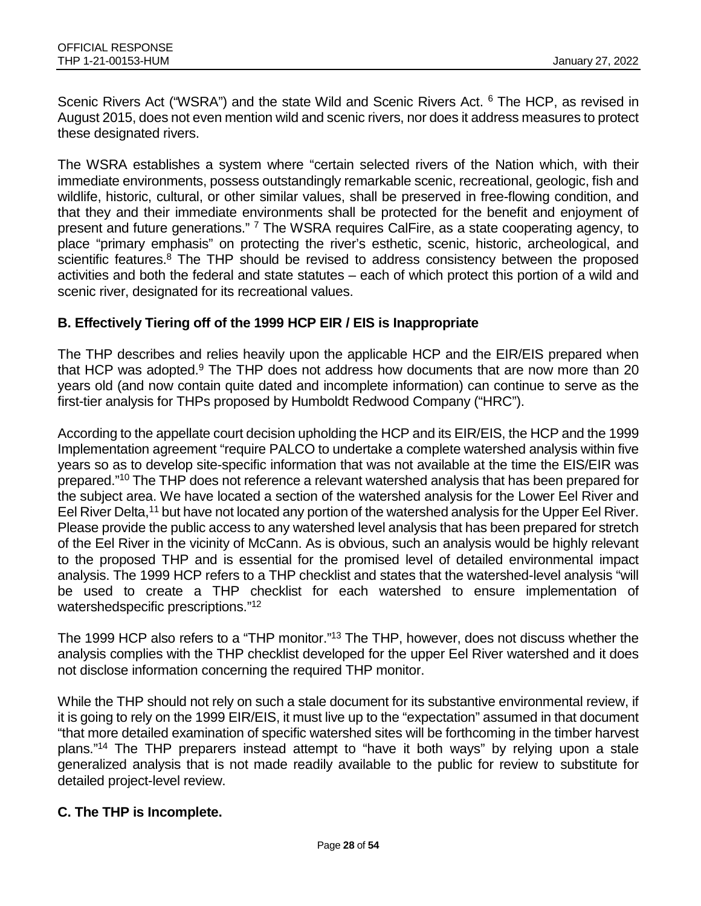Scenic Rivers Act ("WSRA") and the state Wild and Scenic Rivers Act. <sup>6</sup> The HCP, as revised in August 2015, does not even mention wild and scenic rivers, nor does it address measures to protect these designated rivers.

The WSRA establishes a system where "certain selected rivers of the Nation which, with their immediate environments, possess outstandingly remarkable scenic, recreational, geologic, fish and wildlife, historic, cultural, or other similar values, shall be preserved in free-flowing condition, and that they and their immediate environments shall be protected for the benefit and enjoyment of present and future generations." <sup>7</sup> The WSRA requires CalFire, as a state cooperating agency, to place "primary emphasis" on protecting the river's esthetic, scenic, historic, archeological, and scientific features. $8$  The THP should be revised to address consistency between the proposed activities and both the federal and state statutes – each of which protect this portion of a wild and scenic river, designated for its recreational values.

### **B. Effectively Tiering off of the 1999 HCP EIR / EIS is Inappropriate**

The THP describes and relies heavily upon the applicable HCP and the EIR/EIS prepared when that HCP was adopted. $9$  The THP does not address how documents that are now more than 20 years old (and now contain quite dated and incomplete information) can continue to serve as the first-tier analysis for THPs proposed by Humboldt Redwood Company ("HRC").

According to the appellate court decision upholding the HCP and its EIR/EIS, the HCP and the 1999 Implementation agreement "require PALCO to undertake a complete watershed analysis within five years so as to develop site-specific information that was not available at the time the EIS/EIR was prepared."10 The THP does not reference a relevant watershed analysis that has been prepared for the subject area. We have located a section of the watershed analysis for the Lower Eel River and Eel River Delta,<sup>11</sup> but have not located any portion of the watershed analysis for the Upper Eel River. Please provide the public access to any watershed level analysis that has been prepared for stretch of the Eel River in the vicinity of McCann. As is obvious, such an analysis would be highly relevant to the proposed THP and is essential for the promised level of detailed environmental impact analysis. The 1999 HCP refers to a THP checklist and states that the watershed-level analysis "will be used to create a THP checklist for each watershed to ensure implementation of watershedspecific prescriptions."<sup>12</sup>

The 1999 HCP also refers to a "THP monitor."13 The THP, however, does not discuss whether the analysis complies with the THP checklist developed for the upper Eel River watershed and it does not disclose information concerning the required THP monitor.

While the THP should not rely on such a stale document for its substantive environmental review, if it is going to rely on the 1999 EIR/EIS, it must live up to the "expectation" assumed in that document "that more detailed examination of specific watershed sites will be forthcoming in the timber harvest plans."14 The THP preparers instead attempt to "have it both ways" by relying upon a stale generalized analysis that is not made readily available to the public for review to substitute for detailed project-level review.

### **C. The THP is Incomplete.**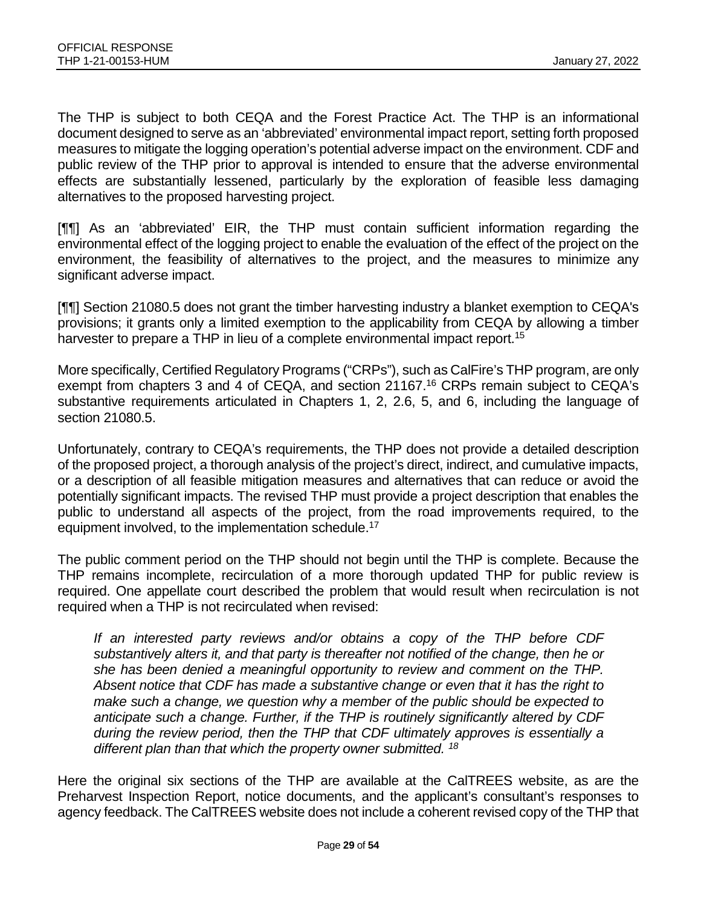The THP is subject to both CEQA and the Forest Practice Act. The THP is an informational document designed to serve as an 'abbreviated' environmental impact report, setting forth proposed measures to mitigate the logging operation's potential adverse impact on the environment. CDF and public review of the THP prior to approval is intended to ensure that the adverse environmental effects are substantially lessened, particularly by the exploration of feasible less damaging alternatives to the proposed harvesting project.

[¶¶] As an 'abbreviated' EIR, the THP must contain sufficient information regarding the environmental effect of the logging project to enable the evaluation of the effect of the project on the environment, the feasibility of alternatives to the project, and the measures to minimize any significant adverse impact.

[¶¶] Section 21080.5 does not grant the timber harvesting industry a blanket exemption to CEQA's provisions; it grants only a limited exemption to the applicability from CEQA by allowing a timber harvester to prepare a THP in lieu of a complete environmental impact report.<sup>15</sup>

More specifically, Certified Regulatory Programs ("CRPs"), such as CalFire's THP program, are only exempt from chapters 3 and 4 of CEQA, and section 21167.<sup>16</sup> CRPs remain subject to CEQA's substantive requirements articulated in Chapters 1, 2, 2.6, 5, and 6, including the language of section 21080.5.

Unfortunately, contrary to CEQA's requirements, the THP does not provide a detailed description of the proposed project, a thorough analysis of the project's direct, indirect, and cumulative impacts, or a description of all feasible mitigation measures and alternatives that can reduce or avoid the potentially significant impacts. The revised THP must provide a project description that enables the public to understand all aspects of the project, from the road improvements required, to the equipment involved, to the implementation schedule.<sup>17</sup>

The public comment period on the THP should not begin until the THP is complete. Because the THP remains incomplete, recirculation of a more thorough updated THP for public review is required. One appellate court described the problem that would result when recirculation is not required when a THP is not recirculated when revised:

*If an interested party reviews and/or obtains a copy of the THP before CDF substantively alters it, and that party is thereafter not notified of the change, then he or she has been denied a meaningful opportunity to review and comment on the THP. Absent notice that CDF has made a substantive change or even that it has the right to make such a change, we question why a member of the public should be expected to anticipate such a change. Further, if the THP is routinely significantly altered by CDF during the review period, then the THP that CDF ultimately approves is essentially a different plan than that which the property owner submitted. 18*

Here the original six sections of the THP are available at the CalTREES website, as are the Preharvest Inspection Report, notice documents, and the applicant's consultant's responses to agency feedback. The CalTREES website does not include a coherent revised copy of the THP that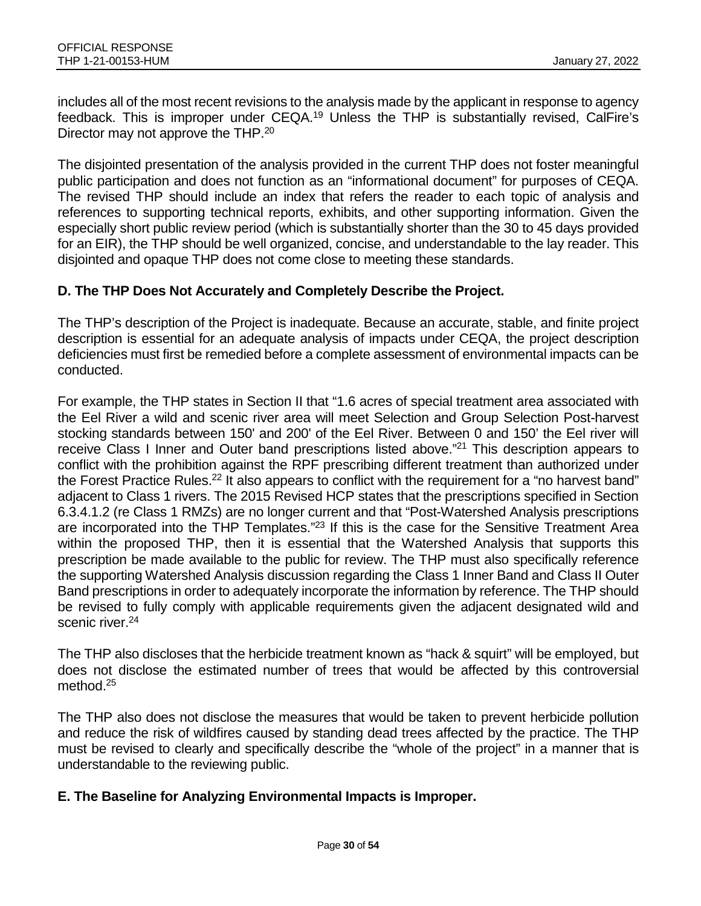includes all of the most recent revisions to the analysis made by the applicant in response to agency feedback. This is improper under CEQA.19 Unless the THP is substantially revised, CalFire's Director may not approve the THP.<sup>20</sup>

The disjointed presentation of the analysis provided in the current THP does not foster meaningful public participation and does not function as an "informational document" for purposes of CEQA. The revised THP should include an index that refers the reader to each topic of analysis and references to supporting technical reports, exhibits, and other supporting information. Given the especially short public review period (which is substantially shorter than the 30 to 45 days provided for an EIR), the THP should be well organized, concise, and understandable to the lay reader. This disjointed and opaque THP does not come close to meeting these standards.

#### **D. The THP Does Not Accurately and Completely Describe the Project.**

The THP's description of the Project is inadequate. Because an accurate, stable, and finite project description is essential for an adequate analysis of impacts under CEQA, the project description deficiencies must first be remedied before a complete assessment of environmental impacts can be conducted.

For example, the THP states in Section II that "1.6 acres of special treatment area associated with the Eel River a wild and scenic river area will meet Selection and Group Selection Post-harvest stocking standards between 150' and 200' of the Eel River. Between 0 and 150' the Eel river will receive Class I Inner and Outer band prescriptions listed above."<sup>21</sup> This description appears to conflict with the prohibition against the RPF prescribing different treatment than authorized under the Forest Practice Rules.<sup>22</sup> It also appears to conflict with the requirement for a "no harvest band" adjacent to Class 1 rivers. The 2015 Revised HCP states that the prescriptions specified in Section 6.3.4.1.2 (re Class 1 RMZs) are no longer current and that "Post-Watershed Analysis prescriptions are incorporated into the THP Templates."<sup>23</sup> If this is the case for the Sensitive Treatment Area within the proposed THP, then it is essential that the Watershed Analysis that supports this prescription be made available to the public for review. The THP must also specifically reference the supporting Watershed Analysis discussion regarding the Class 1 Inner Band and Class II Outer Band prescriptions in order to adequately incorporate the information by reference. The THP should be revised to fully comply with applicable requirements given the adjacent designated wild and scenic river.<sup>24</sup>

The THP also discloses that the herbicide treatment known as "hack & squirt" will be employed, but does not disclose the estimated number of trees that would be affected by this controversial method.<sup>25</sup>

The THP also does not disclose the measures that would be taken to prevent herbicide pollution and reduce the risk of wildfires caused by standing dead trees affected by the practice. The THP must be revised to clearly and specifically describe the "whole of the project" in a manner that is understandable to the reviewing public.

#### **E. The Baseline for Analyzing Environmental Impacts is Improper.**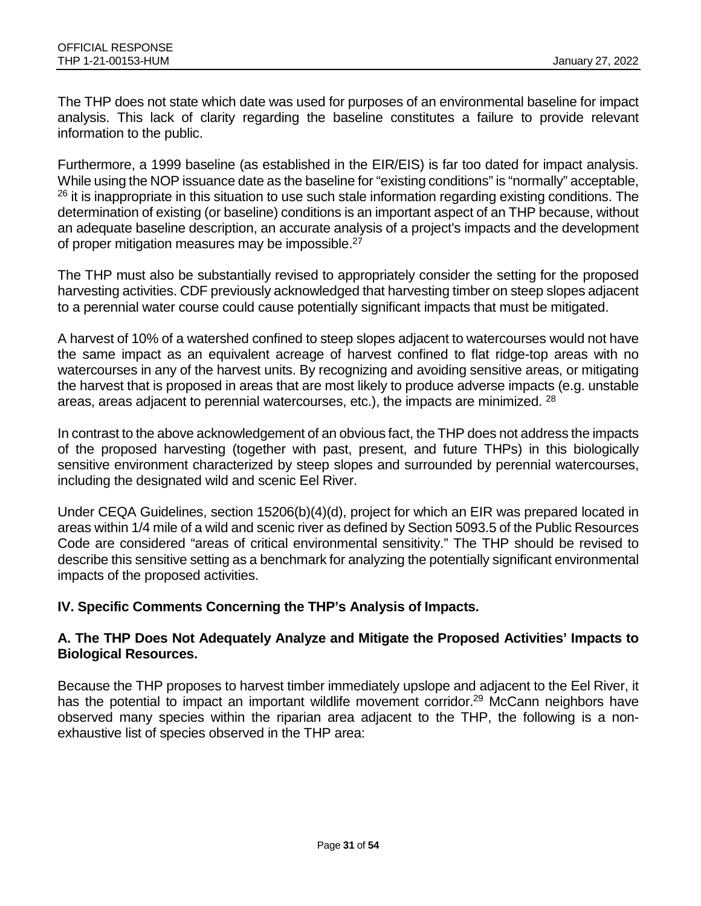The THP does not state which date was used for purposes of an environmental baseline for impact analysis. This lack of clarity regarding the baseline constitutes a failure to provide relevant information to the public.

Furthermore, a 1999 baseline (as established in the EIR/EIS) is far too dated for impact analysis. While using the NOP issuance date as the baseline for "existing conditions" is "normally" acceptable,  $26$  it is inappropriate in this situation to use such stale information regarding existing conditions. The determination of existing (or baseline) conditions is an important aspect of an THP because, without an adequate baseline description, an accurate analysis of a project's impacts and the development of proper mitigation measures may be impossible.<sup>27</sup>

The THP must also be substantially revised to appropriately consider the setting for the proposed harvesting activities. CDF previously acknowledged that harvesting timber on steep slopes adjacent to a perennial water course could cause potentially significant impacts that must be mitigated.

A harvest of 10% of a watershed confined to steep slopes adjacent to watercourses would not have the same impact as an equivalent acreage of harvest confined to flat ridge-top areas with no watercourses in any of the harvest units. By recognizing and avoiding sensitive areas, or mitigating the harvest that is proposed in areas that are most likely to produce adverse impacts (e.g. unstable areas, areas adjacent to perennial watercourses, etc.), the impacts are minimized. 28

In contrast to the above acknowledgement of an obvious fact, the THP does not address the impacts of the proposed harvesting (together with past, present, and future THPs) in this biologically sensitive environment characterized by steep slopes and surrounded by perennial watercourses, including the designated wild and scenic Eel River.

Under CEQA Guidelines, section 15206(b)(4)(d), project for which an EIR was prepared located in areas within 1/4 mile of a wild and scenic river as defined by Section 5093.5 of the Public Resources Code are considered "areas of critical environmental sensitivity." The THP should be revised to describe this sensitive setting as a benchmark for analyzing the potentially significant environmental impacts of the proposed activities.

### **IV. Specific Comments Concerning the THP's Analysis of Impacts.**

#### **A. The THP Does Not Adequately Analyze and Mitigate the Proposed Activities' Impacts to Biological Resources.**

Because the THP proposes to harvest timber immediately upslope and adjacent to the Eel River, it has the potential to impact an important wildlife movement corridor.<sup>29</sup> McCann neighbors have observed many species within the riparian area adjacent to the THP, the following is a nonexhaustive list of species observed in the THP area: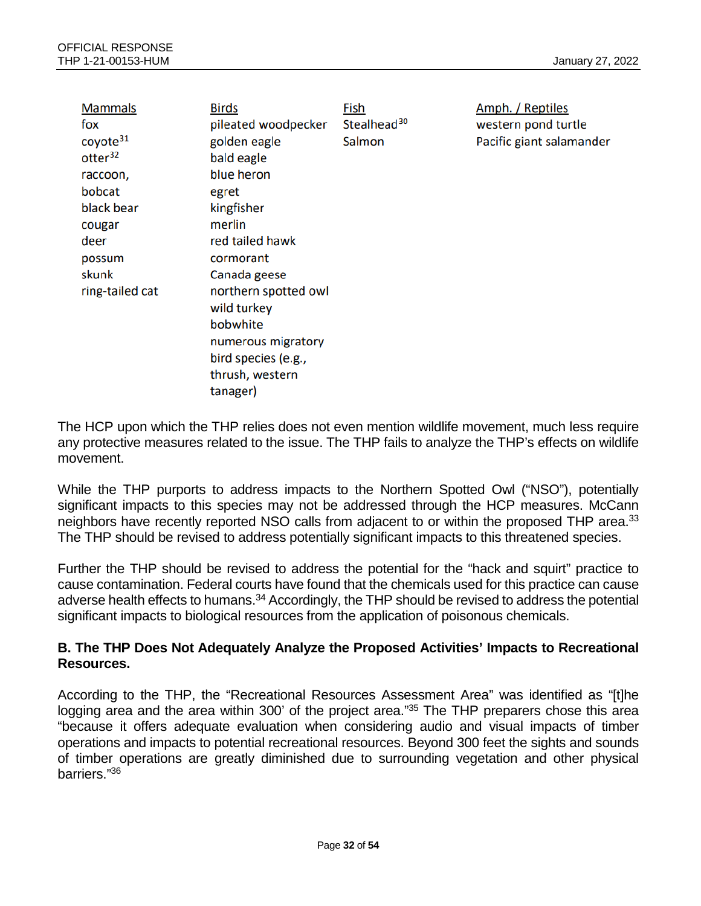| <b>Mammals</b><br>fox | <b>Birds</b><br>pileated woodpecker | Fish<br>Stealhead <sup>30</sup> | Amph. / Reptiles<br>western pond turtle |
|-----------------------|-------------------------------------|---------------------------------|-----------------------------------------|
| coyote <sup>31</sup>  | golden eagle                        | Salmon                          | Pacific giant salamander                |
| otter <sup>32</sup>   | bald eagle                          |                                 |                                         |
| raccoon,              | blue heron                          |                                 |                                         |
| bobcat                | egret                               |                                 |                                         |
| black bear            | kingfisher                          |                                 |                                         |
| cougar                | merlin                              |                                 |                                         |
| deer                  | red tailed hawk                     |                                 |                                         |
| possum                | cormorant                           |                                 |                                         |
| skunk                 | Canada geese                        |                                 |                                         |
| ring-tailed cat       | northern spotted owl                |                                 |                                         |
|                       | wild turkey                         |                                 |                                         |
|                       | bobwhite                            |                                 |                                         |
|                       | numerous migratory                  |                                 |                                         |
|                       | bird species (e.g.,                 |                                 |                                         |
|                       | thrush, western                     |                                 |                                         |
|                       | tanager)                            |                                 |                                         |

The HCP upon which the THP relies does not even mention wildlife movement, much less require any protective measures related to the issue. The THP fails to analyze the THP's effects on wildlife movement.

While the THP purports to address impacts to the Northern Spotted Owl ("NSO"), potentially significant impacts to this species may not be addressed through the HCP measures. McCann neighbors have recently reported NSO calls from adjacent to or within the proposed THP area.<sup>33</sup> The THP should be revised to address potentially significant impacts to this threatened species.

Further the THP should be revised to address the potential for the "hack and squirt" practice to cause contamination. Federal courts have found that the chemicals used for this practice can cause adverse health effects to humans.<sup>34</sup> Accordingly, the THP should be revised to address the potential significant impacts to biological resources from the application of poisonous chemicals.

### **B. The THP Does Not Adequately Analyze the Proposed Activities' Impacts to Recreational Resources.**

According to the THP, the "Recreational Resources Assessment Area" was identified as "[t]he logging area and the area within 300' of the project area."<sup>35</sup> The THP preparers chose this area "because it offers adequate evaluation when considering audio and visual impacts of timber operations and impacts to potential recreational resources. Beyond 300 feet the sights and sounds of timber operations are greatly diminished due to surrounding vegetation and other physical barriers."36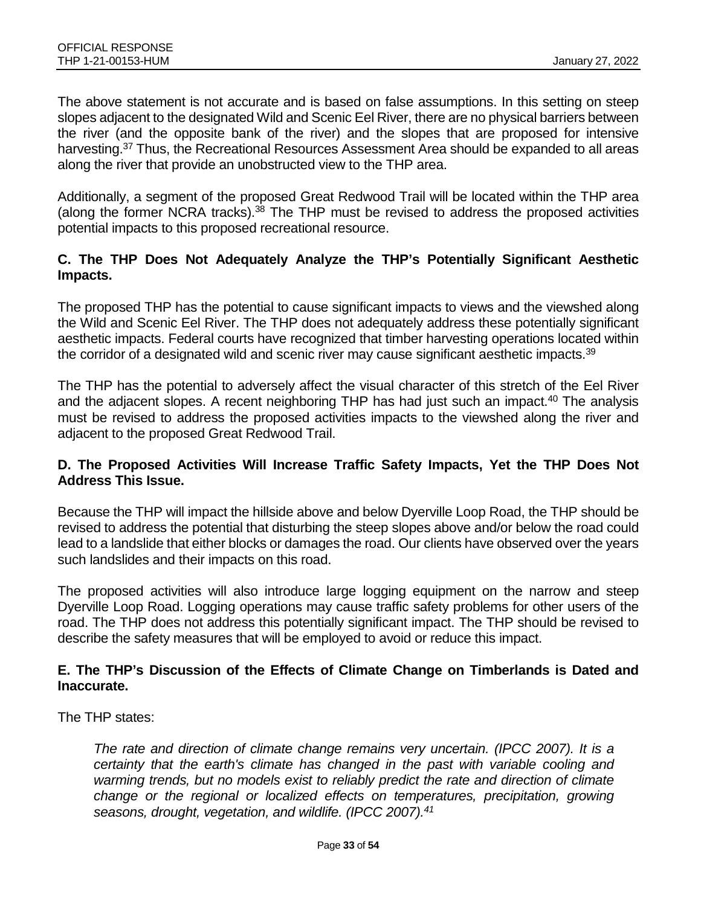The above statement is not accurate and is based on false assumptions. In this setting on steep slopes adjacent to the designated Wild and Scenic Eel River, there are no physical barriers between the river (and the opposite bank of the river) and the slopes that are proposed for intensive harvesting.<sup>37</sup> Thus, the Recreational Resources Assessment Area should be expanded to all areas along the river that provide an unobstructed view to the THP area.

Additionally, a segment of the proposed Great Redwood Trail will be located within the THP area (along the former NCRA tracks). $38$  The THP must be revised to address the proposed activities potential impacts to this proposed recreational resource.

#### **C. The THP Does Not Adequately Analyze the THP's Potentially Significant Aesthetic Impacts.**

The proposed THP has the potential to cause significant impacts to views and the viewshed along the Wild and Scenic Eel River. The THP does not adequately address these potentially significant aesthetic impacts. Federal courts have recognized that timber harvesting operations located within the corridor of a designated wild and scenic river may cause significant aesthetic impacts.<sup>39</sup>

The THP has the potential to adversely affect the visual character of this stretch of the Eel River and the adjacent slopes. A recent neighboring THP has had just such an impact.<sup>40</sup> The analysis must be revised to address the proposed activities impacts to the viewshed along the river and adjacent to the proposed Great Redwood Trail.

#### **D. The Proposed Activities Will Increase Traffic Safety Impacts, Yet the THP Does Not Address This Issue.**

Because the THP will impact the hillside above and below Dyerville Loop Road, the THP should be revised to address the potential that disturbing the steep slopes above and/or below the road could lead to a landslide that either blocks or damages the road. Our clients have observed over the years such landslides and their impacts on this road.

The proposed activities will also introduce large logging equipment on the narrow and steep Dyerville Loop Road. Logging operations may cause traffic safety problems for other users of the road. The THP does not address this potentially significant impact. The THP should be revised to describe the safety measures that will be employed to avoid or reduce this impact.

#### **E. The THP's Discussion of the Effects of Climate Change on Timberlands is Dated and Inaccurate.**

The THP states:

*The rate and direction of climate change remains very uncertain. (IPCC 2007). It is a certainty that the earth's climate has changed in the past with variable cooling and warming trends, but no models exist to reliably predict the rate and direction of climate change or the regional or localized effects on temperatures, precipitation, growing seasons, drought, vegetation, and wildlife. (IPCC 2007).41*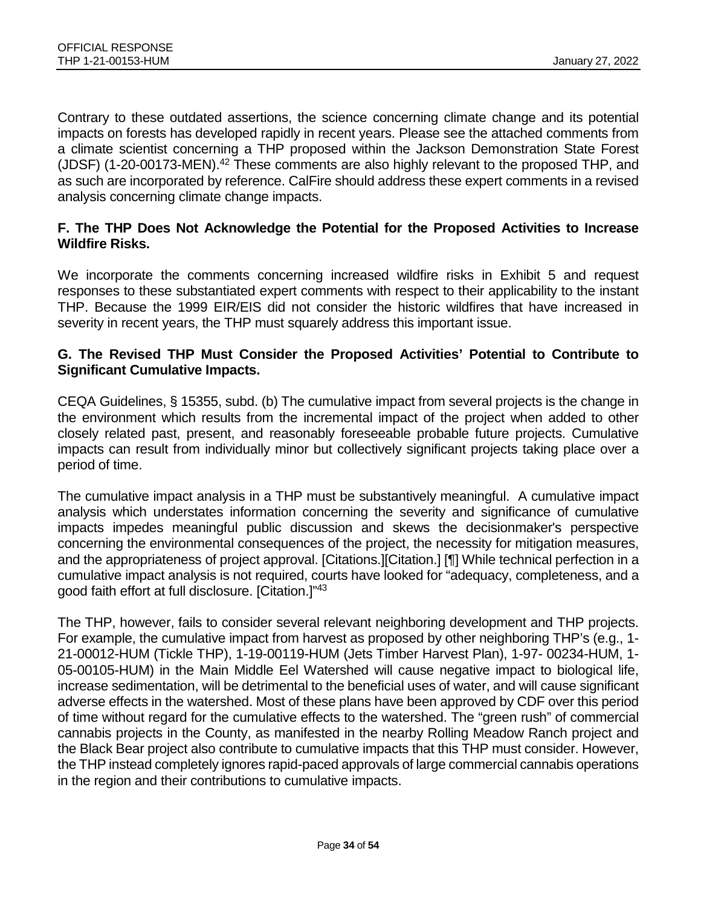Contrary to these outdated assertions, the science concerning climate change and its potential impacts on forests has developed rapidly in recent years. Please see the attached comments from a climate scientist concerning a THP proposed within the Jackson Demonstration State Forest (JDSF) (1-20-00173-MEN).<sup>42</sup> These comments are also highly relevant to the proposed THP, and as such are incorporated by reference. CalFire should address these expert comments in a revised analysis concerning climate change impacts.

#### **F. The THP Does Not Acknowledge the Potential for the Proposed Activities to Increase Wildfire Risks.**

We incorporate the comments concerning increased wildfire risks in Exhibit 5 and request responses to these substantiated expert comments with respect to their applicability to the instant THP. Because the 1999 EIR/EIS did not consider the historic wildfires that have increased in severity in recent years, the THP must squarely address this important issue.

#### **G. The Revised THP Must Consider the Proposed Activities' Potential to Contribute to Significant Cumulative Impacts.**

CEQA Guidelines, § 15355, subd. (b) The cumulative impact from several projects is the change in the environment which results from the incremental impact of the project when added to other closely related past, present, and reasonably foreseeable probable future projects. Cumulative impacts can result from individually minor but collectively significant projects taking place over a period of time.

The cumulative impact analysis in a THP must be substantively meaningful. A cumulative impact analysis which understates information concerning the severity and significance of cumulative impacts impedes meaningful public discussion and skews the decisionmaker's perspective concerning the environmental consequences of the project, the necessity for mitigation measures, and the appropriateness of project approval. [Citations.][Citation.] [¶] While technical perfection in a cumulative impact analysis is not required, courts have looked for "adequacy, completeness, and a good faith effort at full disclosure. [Citation.]"43

The THP, however, fails to consider several relevant neighboring development and THP projects. For example, the cumulative impact from harvest as proposed by other neighboring THP's (e.g., 1- 21-00012-HUM (Tickle THP), 1-19-00119-HUM (Jets Timber Harvest Plan), 1-97- 00234-HUM, 1- 05-00105-HUM) in the Main Middle Eel Watershed will cause negative impact to biological life, increase sedimentation, will be detrimental to the beneficial uses of water, and will cause significant adverse effects in the watershed. Most of these plans have been approved by CDF over this period of time without regard for the cumulative effects to the watershed. The "green rush" of commercial cannabis projects in the County, as manifested in the nearby Rolling Meadow Ranch project and the Black Bear project also contribute to cumulative impacts that this THP must consider. However, the THP instead completely ignores rapid-paced approvals of large commercial cannabis operations in the region and their contributions to cumulative impacts.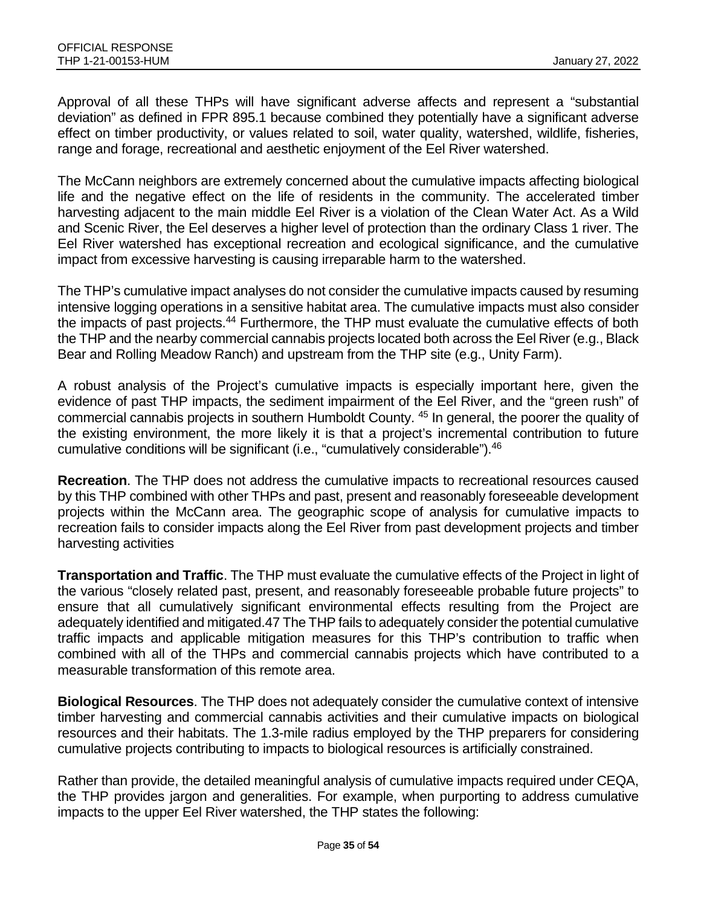Approval of all these THPs will have significant adverse affects and represent a "substantial deviation" as defined in FPR 895.1 because combined they potentially have a significant adverse effect on timber productivity, or values related to soil, water quality, watershed, wildlife, fisheries, range and forage, recreational and aesthetic enjoyment of the Eel River watershed.

The McCann neighbors are extremely concerned about the cumulative impacts affecting biological life and the negative effect on the life of residents in the community. The accelerated timber harvesting adjacent to the main middle Eel River is a violation of the Clean Water Act. As a Wild and Scenic River, the Eel deserves a higher level of protection than the ordinary Class 1 river. The Eel River watershed has exceptional recreation and ecological significance, and the cumulative impact from excessive harvesting is causing irreparable harm to the watershed.

The THP's cumulative impact analyses do not consider the cumulative impacts caused by resuming intensive logging operations in a sensitive habitat area. The cumulative impacts must also consider the impacts of past projects.44 Furthermore, the THP must evaluate the cumulative effects of both the THP and the nearby commercial cannabis projects located both across the Eel River (e.g., Black Bear and Rolling Meadow Ranch) and upstream from the THP site (e.g., Unity Farm).

A robust analysis of the Project's cumulative impacts is especially important here, given the evidence of past THP impacts, the sediment impairment of the Eel River, and the "green rush" of commercial cannabis projects in southern Humboldt County. 45 In general, the poorer the quality of the existing environment, the more likely it is that a project's incremental contribution to future cumulative conditions will be significant (i.e., "cumulatively considerable").46

**Recreation**. The THP does not address the cumulative impacts to recreational resources caused by this THP combined with other THPs and past, present and reasonably foreseeable development projects within the McCann area. The geographic scope of analysis for cumulative impacts to recreation fails to consider impacts along the Eel River from past development projects and timber harvesting activities

**Transportation and Traffic**. The THP must evaluate the cumulative effects of the Project in light of the various "closely related past, present, and reasonably foreseeable probable future projects" to ensure that all cumulatively significant environmental effects resulting from the Project are adequately identified and mitigated.47 The THP fails to adequately consider the potential cumulative traffic impacts and applicable mitigation measures for this THP's contribution to traffic when combined with all of the THPs and commercial cannabis projects which have contributed to a measurable transformation of this remote area.

**Biological Resources**. The THP does not adequately consider the cumulative context of intensive timber harvesting and commercial cannabis activities and their cumulative impacts on biological resources and their habitats. The 1.3-mile radius employed by the THP preparers for considering cumulative projects contributing to impacts to biological resources is artificially constrained.

Rather than provide, the detailed meaningful analysis of cumulative impacts required under CEQA, the THP provides jargon and generalities. For example, when purporting to address cumulative impacts to the upper Eel River watershed, the THP states the following: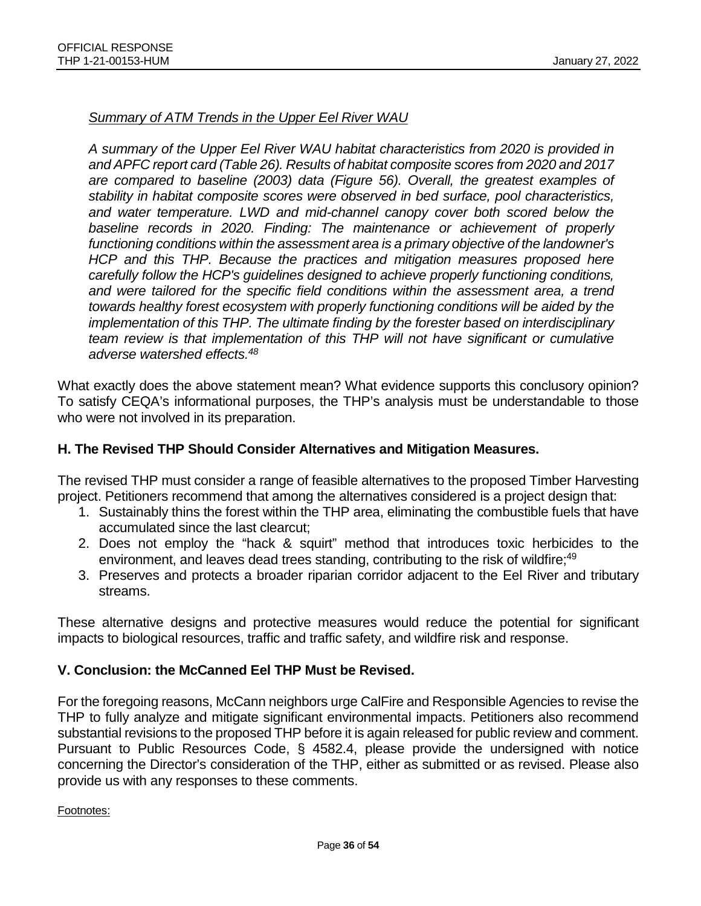#### *Summary of ATM Trends in the Upper Eel River WAU*

*A summary of the Upper Eel River WAU habitat characteristics from 2020 is provided in and APFC report card (Table 26). Results of habitat composite scores from 2020 and 2017 are compared to baseline (2003) data (Figure 56). Overall, the greatest examples of stability in habitat composite scores were observed in bed surface, pool characteristics, and water temperature. LWD and mid-channel canopy cover both scored below the baseline records in 2020. Finding: The maintenance or achievement of properly functioning conditions within the assessment area is a primary objective of the landowner's HCP and this THP. Because the practices and mitigation measures proposed here carefully follow the HCP's guidelines designed to achieve properly functioning conditions, and were tailored for the specific field conditions within the assessment area, a trend towards healthy forest ecosystem with properly functioning conditions will be aided by the implementation of this THP. The ultimate finding by the forester based on interdisciplinary team review is that implementation of this THP will not have significant or cumulative adverse watershed effects.48*

What exactly does the above statement mean? What evidence supports this conclusory opinion? To satisfy CEQA's informational purposes, the THP's analysis must be understandable to those who were not involved in its preparation.

#### **H. The Revised THP Should Consider Alternatives and Mitigation Measures.**

The revised THP must consider a range of feasible alternatives to the proposed Timber Harvesting project. Petitioners recommend that among the alternatives considered is a project design that:

- 1. Sustainably thins the forest within the THP area, eliminating the combustible fuels that have accumulated since the last clearcut;
- 2. Does not employ the "hack & squirt" method that introduces toxic herbicides to the environment, and leaves dead trees standing, contributing to the risk of wildfire;<sup>49</sup>
- 3. Preserves and protects a broader riparian corridor adjacent to the Eel River and tributary streams.

These alternative designs and protective measures would reduce the potential for significant impacts to biological resources, traffic and traffic safety, and wildfire risk and response.

#### **V. Conclusion: the McCanned Eel THP Must be Revised.**

For the foregoing reasons, McCann neighbors urge CalFire and Responsible Agencies to revise the THP to fully analyze and mitigate significant environmental impacts. Petitioners also recommend substantial revisions to the proposed THP before it is again released for public review and comment. Pursuant to Public Resources Code, § 4582.4, please provide the undersigned with notice concerning the Director's consideration of the THP, either as submitted or as revised. Please also provide us with any responses to these comments.

Footnotes: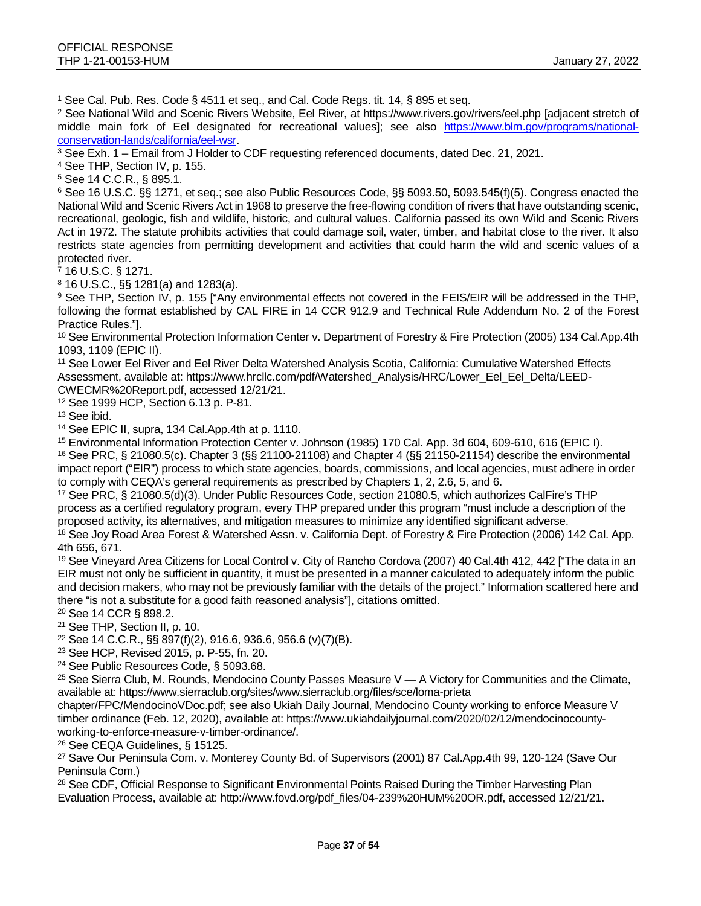<sup>1</sup> See Cal. Pub. Res. Code § 4511 et seq., and Cal. Code Regs. tit. 14, § 895 et seq.

<sup>2</sup> See National Wild and Scenic Rivers Website, Eel River, at https://www.rivers.gov/rivers/eel.php [adjacent stretch of middle main fork of Eel designated for recreational values]; see also [https://www.blm.gov/programs/national](https://www.blm.gov/programs/national-conservation-lands/california/eel-wsr)[conservation-lands/california/eel-wsr.](https://www.blm.gov/programs/national-conservation-lands/california/eel-wsr)<br><sup>3</sup> See Exh. 1 – Email from J Holder to CDF requesting referenced documents, dated Dec. 21, 2021.

<sup>4</sup> See THP, Section IV, p. 155.

<sup>5</sup> See 14 C.C.R., § 895.1.

<sup>6</sup> See 16 U.S.C. §§ 1271, et seq.; see also Public Resources Code, §§ 5093.50, 5093.545(f)(5). Congress enacted the National Wild and Scenic Rivers Act in 1968 to preserve the free-flowing condition of rivers that have outstanding scenic, recreational, geologic, fish and wildlife, historic, and cultural values. California passed its own Wild and Scenic Rivers Act in 1972. The statute prohibits activities that could damage soil, water, timber, and habitat close to the river. It also restricts state agencies from permitting development and activities that could harm the wild and scenic values of a protected river.

<sup>7</sup> 16 U.S.C. § 1271.

<sup>8</sup> 16 U.S.C., §§ 1281(a) and 1283(a).

9 See THP, Section IV, p. 155 ["Any environmental effects not covered in the FEIS/EIR will be addressed in the THP, following the format established by CAL FIRE in 14 CCR 912.9 and Technical Rule Addendum No. 2 of the Forest Practice Rules."].

<sup>10</sup> See Environmental Protection Information Center v. Department of Forestry & Fire Protection (2005) 134 Cal.App.4th 1093, 1109 (EPIC II).

<sup>11</sup> See Lower Eel River and Eel River Delta Watershed Analysis Scotia, California: Cumulative Watershed Effects Assessment, available at: https://www.hrcllc.com/pdf/Watershed\_Analysis/HRC/Lower\_Eel\_Eel\_Delta/LEED-CWECMR%20Report.pdf, accessed 12/21/21.

<sup>12</sup> See 1999 HCP, Section 6.13 p. P-81.

<sup>13</sup> See ibid.

<sup>14</sup> See EPIC II, supra, 134 Cal.App.4th at p. 1110.

<sup>15</sup> Environmental Information Protection Center v. Johnson (1985) 170 Cal. App. 3d 604, 609-610, 616 (EPIC I).

<sup>16</sup> See PRC, § 21080.5(c). Chapter 3 (§§ 21100-21108) and Chapter 4 (§§ 21150-21154) describe the environmental impact report ("EIR") process to which state agencies, boards, commissions, and local agencies, must adhere in order to comply with CEQA's general requirements as prescribed by Chapters 1, 2, 2.6, 5, and 6.

<sup>17</sup> See PRC, § 21080.5(d)(3). Under Public Resources Code, section 21080.5, which authorizes CalFire's THP process as a certified regulatory program, every THP prepared under this program "must include a description of the proposed activity, its alternatives, and mitigation measures to minimize any identified significant adverse.

<sup>18</sup> See Joy Road Area Forest & Watershed Assn. v. California Dept. of Forestry & Fire Protection (2006) 142 Cal. App. 4th 656, 671.

<sup>19</sup> See Vineyard Area Citizens for Local Control v. City of Rancho Cordova (2007) 40 Cal.4th 412, 442 ["The data in an EIR must not only be sufficient in quantity, it must be presented in a manner calculated to adequately inform the public and decision makers, who may not be previously familiar with the details of the project." Information scattered here and there "is not a substitute for a good faith reasoned analysis"], citations omitted.

<sup>20</sup> See 14 CCR § 898.2.

<sup>21</sup> See THP, Section II, p. 10.

<sup>22</sup> See 14 C.C.R., §§ 897(f)(2), 916.6, 936.6, 956.6 (v)(7)(B).

<sup>23</sup> See HCP, Revised 2015, p. P-55, fn. 20.

<sup>24</sup> See Public Resources Code, § 5093.68.

<sup>25</sup> See Sierra Club, M. Rounds, Mendocino County Passes Measure V — A Victory for Communities and the Climate, available at: https://www.sierraclub.org/sites/www.sierraclub.org/files/sce/loma-prieta

chapter/FPC/MendocinoVDoc.pdf; see also Ukiah Daily Journal, Mendocino County working to enforce Measure V timber ordinance (Feb. 12, 2020), available at: https://www.ukiahdailyjournal.com/2020/02/12/mendocinocountyworking-to-enforce-measure-v-timber-ordinance/.

<sup>26</sup> See CEQA Guidelines, § 15125.

<sup>27</sup> Save Our Peninsula Com. v. Monterey County Bd. of Supervisors (2001) 87 Cal.App.4th 99, 120-124 (Save Our Peninsula Com.)

<sup>28</sup> See CDF, Official Response to Significant Environmental Points Raised During the Timber Harvesting Plan Evaluation Process, available at: http://www.fovd.org/pdf\_files/04-239%20HUM%20OR.pdf, accessed 12/21/21.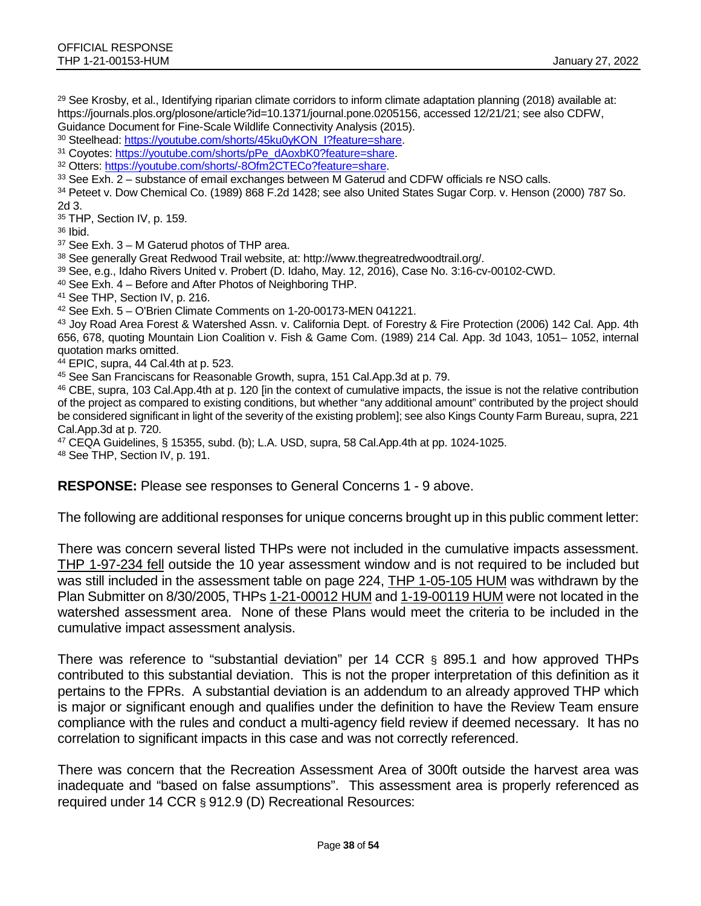<sup>29</sup> See Krosby, et al., Identifying riparian climate corridors to inform climate adaptation planning (2018) available at: https://journals.plos.org/plosone/article?id=10.1371/journal.pone.0205156, accessed 12/21/21; see also CDFW, Guidance Document for Fine-Scale Wildlife Connectivity Analysis (2015).

30 Steelhead: https://youtube.com/shorts/45ku0yKON\_l?feature=share.

<sup>31</sup> Coyotes: [https://youtube.com/shorts/pPe\\_dAoxbK0?feature=share.](https://youtube.com/shorts/pPe_dAoxbK0?feature=share)

<sup>32</sup> Otters[: https://youtube.com/shorts/-8Ofm2CTECo?feature=share.](https://youtube.com/shorts/-8Ofm2CTECo?feature=share)

<sup>33</sup> See Exh. 2 – substance of email exchanges between M Gaterud and CDFW officials re NSO calls.

<sup>34</sup> Peteet v. Dow Chemical Co. (1989) 868 F.2d 1428; see also United States Sugar Corp. v. Henson (2000) 787 So. 2d 3.

<sup>35</sup> THP, Section IV, p. 159.

<sup>36</sup> Ibid.

 $37$  See Exh.  $3 - M$  Gaterud photos of THP area.

<sup>38</sup> See generally Great Redwood Trail website, at: http://www.thegreatredwoodtrail.org/.

<sup>39</sup> See, e.g., Idaho Rivers United v. Probert (D. Idaho, May. 12, 2016), Case No. 3:16-cv-00102-CWD.

<sup>40</sup> See Exh. 4 – Before and After Photos of Neighboring THP.

<sup>41</sup> See THP, Section IV, p. 216.

<sup>42</sup> See Exh. 5 – O'Brien Climate Comments on 1-20-00173-MEN 041221.

<sup>43</sup> Joy Road Area Forest & Watershed Assn. v. California Dept. of Forestry & Fire Protection (2006) 142 Cal. App. 4th 656, 678, quoting Mountain Lion Coalition v. Fish & Game Com. (1989) 214 Cal. App. 3d 1043, 1051– 1052, internal quotation marks omitted.

<sup>44</sup> EPIC, supra, 44 Cal.4th at p. 523.

<sup>45</sup> See San Franciscans for Reasonable Growth, supra, 151 Cal.App.3d at p. 79.

<sup>46</sup> CBE, supra, 103 Cal.App.4th at p. 120 [in the context of cumulative impacts, the issue is not the relative contribution of the project as compared to existing conditions, but whether "any additional amount" contributed by the project should be considered significant in light of the severity of the existing problem]; see also Kings County Farm Bureau, supra, 221 Cal.App.3d at p. 720.

<sup>47</sup> CEQA Guidelines, § 15355, subd. (b); L.A. USD, supra, 58 Cal.App.4th at pp. 1024-1025.

<sup>48</sup> See THP, Section IV, p. 191.

**RESPONSE:** Please see responses to General Concerns 1 - 9 above.

The following are additional responses for unique concerns brought up in this public comment letter:

There was concern several listed THPs were not included in the cumulative impacts assessment. THP 1-97-234 fell outside the 10 year assessment window and is not required to be included but was still included in the assessment table on page 224, THP 1-05-105 HUM was withdrawn by the Plan Submitter on 8/30/2005, THPs 1-21-00012 HUM and 1-19-00119 HUM were not located in the watershed assessment area. None of these Plans would meet the criteria to be included in the cumulative impact assessment analysis.

There was reference to "substantial deviation" per 14 CCR § 895.1 and how approved THPs contributed to this substantial deviation. This is not the proper interpretation of this definition as it pertains to the FPRs. A substantial deviation is an addendum to an already approved THP which is major or significant enough and qualifies under the definition to have the Review Team ensure compliance with the rules and conduct a multi-agency field review if deemed necessary. It has no correlation to significant impacts in this case and was not correctly referenced.

There was concern that the Recreation Assessment Area of 300ft outside the harvest area was inadequate and "based on false assumptions". This assessment area is properly referenced as required under 14 CCR § 912.9 (D) Recreational Resources: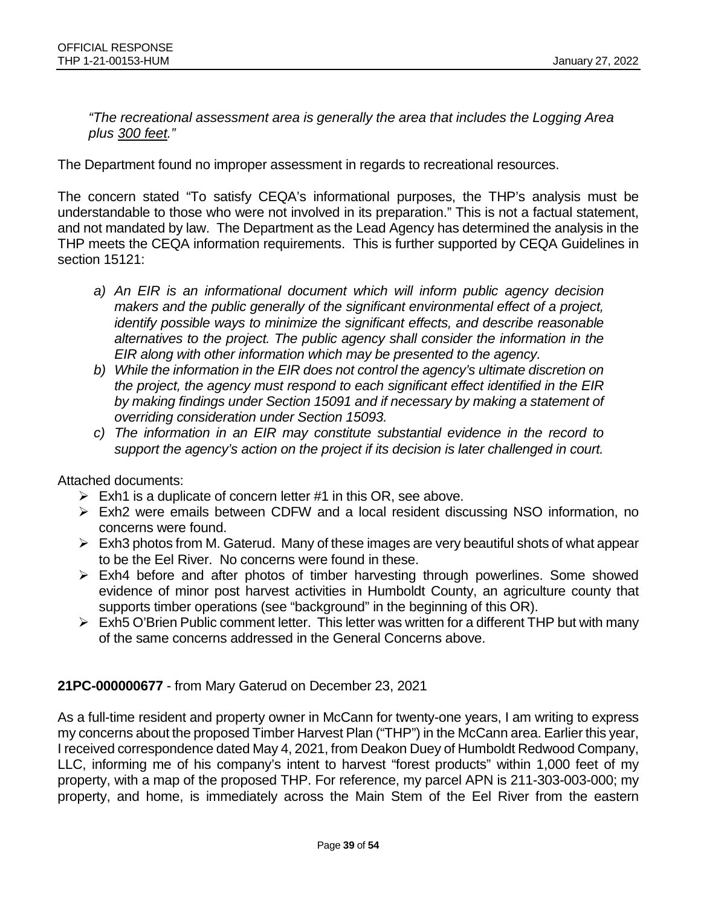*"The recreational assessment area is generally the area that includes the Logging Area plus 300 feet."*

The Department found no improper assessment in regards to recreational resources.

The concern stated "To satisfy CEQA's informational purposes, the THP's analysis must be understandable to those who were not involved in its preparation." This is not a factual statement, and not mandated by law. The Department as the Lead Agency has determined the analysis in the THP meets the CEQA information requirements. This is further supported by CEQA Guidelines in section 15121:

- *a) An EIR is an informational document which will inform public agency decision makers and the public generally of the significant environmental effect of a project, identify possible ways to minimize the significant effects, and describe reasonable alternatives to the project. The public agency shall consider the information in the EIR along with other information which may be presented to the agency.*
- *b) While the information in the EIR does not control the agency's ultimate discretion on the project, the agency must respond to each significant effect identified in the EIR by making findings under Section 15091 and if necessary by making a statement of overriding consideration under Section 15093.*
- *c) The information in an EIR may constitute substantial evidence in the record to support the agency's action on the project if its decision is later challenged in court.*

Attached documents:

- $\triangleright$  Exh1 is a duplicate of concern letter #1 in this OR, see above.
- Exh2 were emails between CDFW and a local resident discussing NSO information, no concerns were found.
- $\triangleright$  Exh3 photos from M. Gaterud. Many of these images are very beautiful shots of what appear to be the Eel River. No concerns were found in these.
- $\triangleright$  Exh4 before and after photos of timber harvesting through powerlines. Some showed evidence of minor post harvest activities in Humboldt County, an agriculture county that supports timber operations (see "background" in the beginning of this OR).
- $\triangleright$  Exh5 O'Brien Public comment letter. This letter was written for a different THP but with many of the same concerns addressed in the General Concerns above.

### **21PC-000000677** - from Mary Gaterud on December 23, 2021

As a full-time resident and property owner in McCann for twenty-one years, I am writing to express my concerns about the proposed Timber Harvest Plan ("THP") in the McCann area. Earlier this year, I received correspondence dated May 4, 2021, from Deakon Duey of Humboldt Redwood Company, LLC, informing me of his company's intent to harvest "forest products" within 1,000 feet of my property, with a map of the proposed THP. For reference, my parcel APN is 211-303-003-000; my property, and home, is immediately across the Main Stem of the Eel River from the eastern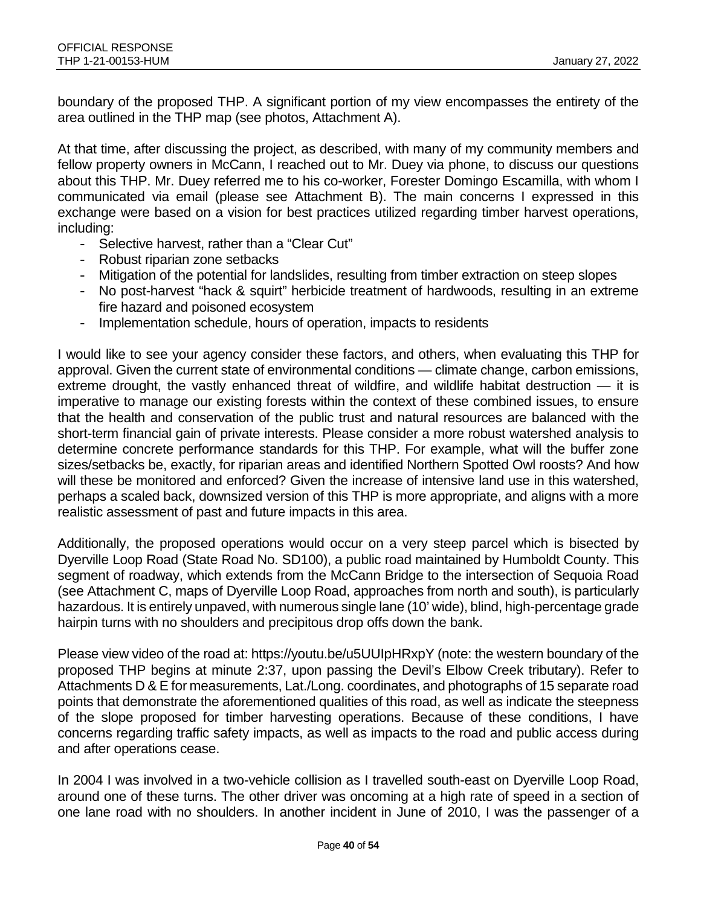boundary of the proposed THP. A significant portion of my view encompasses the entirety of the area outlined in the THP map (see photos, Attachment A).

At that time, after discussing the project, as described, with many of my community members and fellow property owners in McCann, I reached out to Mr. Duey via phone, to discuss our questions about this THP. Mr. Duey referred me to his co-worker, Forester Domingo Escamilla, with whom I communicated via email (please see Attachment B). The main concerns I expressed in this exchange were based on a vision for best practices utilized regarding timber harvest operations, including:

- Selective harvest, rather than a "Clear Cut"
- Robust riparian zone setbacks
- Mitigation of the potential for landslides, resulting from timber extraction on steep slopes
- No post-harvest "hack & squirt" herbicide treatment of hardwoods, resulting in an extreme fire hazard and poisoned ecosystem
- Implementation schedule, hours of operation, impacts to residents

I would like to see your agency consider these factors, and others, when evaluating this THP for approval. Given the current state of environmental conditions — climate change, carbon emissions, extreme drought, the vastly enhanced threat of wildfire, and wildlife habitat destruction — it is imperative to manage our existing forests within the context of these combined issues, to ensure that the health and conservation of the public trust and natural resources are balanced with the short-term financial gain of private interests. Please consider a more robust watershed analysis to determine concrete performance standards for this THP. For example, what will the buffer zone sizes/setbacks be, exactly, for riparian areas and identified Northern Spotted Owl roosts? And how will these be monitored and enforced? Given the increase of intensive land use in this watershed, perhaps a scaled back, downsized version of this THP is more appropriate, and aligns with a more realistic assessment of past and future impacts in this area.

Additionally, the proposed operations would occur on a very steep parcel which is bisected by Dyerville Loop Road (State Road No. SD100), a public road maintained by Humboldt County. This segment of roadway, which extends from the McCann Bridge to the intersection of Sequoia Road (see Attachment C, maps of Dyerville Loop Road, approaches from north and south), is particularly hazardous. It is entirely unpaved, with numerous single lane (10' wide), blind, high-percentage grade hairpin turns with no shoulders and precipitous drop offs down the bank.

Please view video of the road at: https://youtu.be/u5UUIpHRxpY (note: the western boundary of the proposed THP begins at minute 2:37, upon passing the Devil's Elbow Creek tributary). Refer to Attachments D & E for measurements, Lat./Long. coordinates, and photographs of 15 separate road points that demonstrate the aforementioned qualities of this road, as well as indicate the steepness of the slope proposed for timber harvesting operations. Because of these conditions, I have concerns regarding traffic safety impacts, as well as impacts to the road and public access during and after operations cease.

In 2004 I was involved in a two-vehicle collision as I travelled south-east on Dyerville Loop Road, around one of these turns. The other driver was oncoming at a high rate of speed in a section of one lane road with no shoulders. In another incident in June of 2010, I was the passenger of a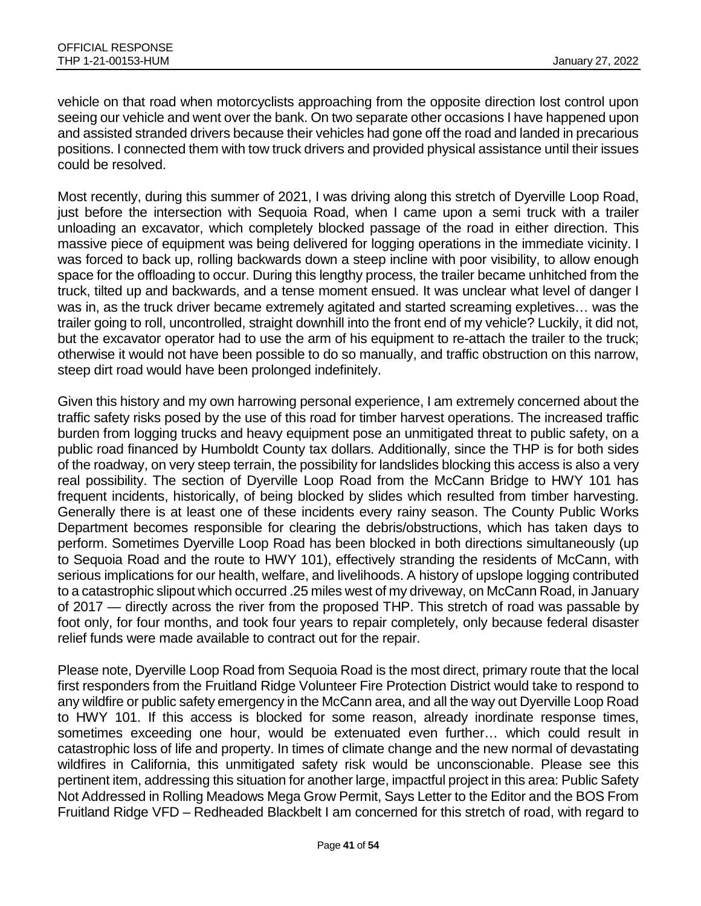vehicle on that road when motorcyclists approaching from the opposite direction lost control upon seeing our vehicle and went over the bank. On two separate other occasions I have happened upon and assisted stranded drivers because their vehicles had gone off the road and landed in precarious positions. I connected them with tow truck drivers and provided physical assistance until their issues could be resolved.

Most recently, during this summer of 2021, I was driving along this stretch of Dyerville Loop Road, just before the intersection with Sequoia Road, when I came upon a semi truck with a trailer unloading an excavator, which completely blocked passage of the road in either direction. This massive piece of equipment was being delivered for logging operations in the immediate vicinity. I was forced to back up, rolling backwards down a steep incline with poor visibility, to allow enough space for the offloading to occur. During this lengthy process, the trailer became unhitched from the truck, tilted up and backwards, and a tense moment ensued. It was unclear what level of danger I was in, as the truck driver became extremely agitated and started screaming expletives… was the trailer going to roll, uncontrolled, straight downhill into the front end of my vehicle? Luckily, it did not, but the excavator operator had to use the arm of his equipment to re-attach the trailer to the truck; otherwise it would not have been possible to do so manually, and traffic obstruction on this narrow, steep dirt road would have been prolonged indefinitely.

Given this history and my own harrowing personal experience, I am extremely concerned about the traffic safety risks posed by the use of this road for timber harvest operations. The increased traffic burden from logging trucks and heavy equipment pose an unmitigated threat to public safety, on a public road financed by Humboldt County tax dollars. Additionally, since the THP is for both sides of the roadway, on very steep terrain, the possibility for landslides blocking this access is also a very real possibility. The section of Dyerville Loop Road from the McCann Bridge to HWY 101 has frequent incidents, historically, of being blocked by slides which resulted from timber harvesting. Generally there is at least one of these incidents every rainy season. The County Public Works Department becomes responsible for clearing the debris/obstructions, which has taken days to perform. Sometimes Dyerville Loop Road has been blocked in both directions simultaneously (up to Sequoia Road and the route to HWY 101), effectively stranding the residents of McCann, with serious implications for our health, welfare, and livelihoods. A history of upslope logging contributed to a catastrophic slipout which occurred .25 miles west of my driveway, on McCann Road, in January of 2017 — directly across the river from the proposed THP. This stretch of road was passable by foot only, for four months, and took four years to repair completely, only because federal disaster relief funds were made available to contract out for the repair.

Please note, Dyerville Loop Road from Sequoia Road is the most direct, primary route that the local first responders from the Fruitland Ridge Volunteer Fire Protection District would take to respond to any wildfire or public safety emergency in the McCann area, and all the way out Dyerville Loop Road to HWY 101. If this access is blocked for some reason, already inordinate response times, sometimes exceeding one hour, would be extenuated even further… which could result in catastrophic loss of life and property. In times of climate change and the new normal of devastating wildfires in California, this unmitigated safety risk would be unconscionable. Please see this pertinent item, addressing this situation for another large, impactful project in this area: Public Safety Not Addressed in Rolling Meadows Mega Grow Permit, Says Letter to the Editor and the BOS From Fruitland Ridge VFD – Redheaded Blackbelt I am concerned for this stretch of road, with regard to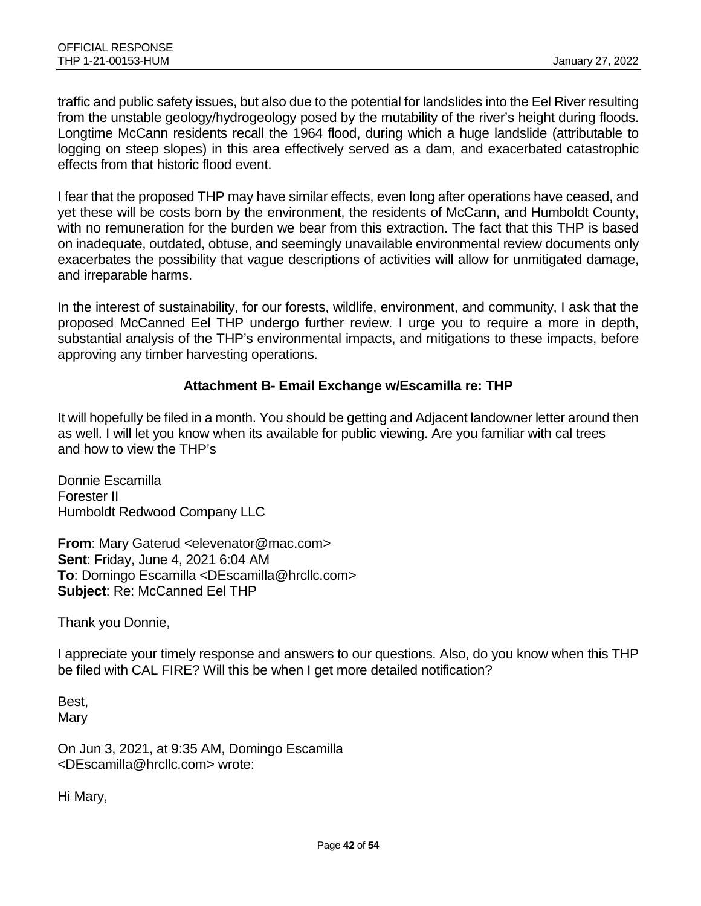traffic and public safety issues, but also due to the potential for landslides into the Eel River resulting from the unstable geology/hydrogeology posed by the mutability of the river's height during floods. Longtime McCann residents recall the 1964 flood, during which a huge landslide (attributable to logging on steep slopes) in this area effectively served as a dam, and exacerbated catastrophic effects from that historic flood event.

I fear that the proposed THP may have similar effects, even long after operations have ceased, and yet these will be costs born by the environment, the residents of McCann, and Humboldt County, with no remuneration for the burden we bear from this extraction. The fact that this THP is based on inadequate, outdated, obtuse, and seemingly unavailable environmental review documents only exacerbates the possibility that vague descriptions of activities will allow for unmitigated damage, and irreparable harms.

In the interest of sustainability, for our forests, wildlife, environment, and community, I ask that the proposed McCanned Eel THP undergo further review. I urge you to require a more in depth, substantial analysis of the THP's environmental impacts, and mitigations to these impacts, before approving any timber harvesting operations.

### **Attachment B- Email Exchange w/Escamilla re: THP**

It will hopefully be filed in a month. You should be getting and Adjacent landowner letter around then as well. I will let you know when its available for public viewing. Are you familiar with cal trees and how to view the THP's

Donnie Escamilla Forester II Humboldt Redwood Company LLC

**From**: Mary Gaterud <elevenator@mac.com> **Sent**: Friday, June 4, 2021 6:04 AM **To**: Domingo Escamilla <DEscamilla@hrcllc.com> **Subject**: Re: McCanned Eel THP

Thank you Donnie,

I appreciate your timely response and answers to our questions. Also, do you know when this THP be filed with CAL FIRE? Will this be when I get more detailed notification?

Best, **Mary** 

On Jun 3, 2021, at 9:35 AM, Domingo Escamilla <DEscamilla@hrcllc.com> wrote:

Hi Mary,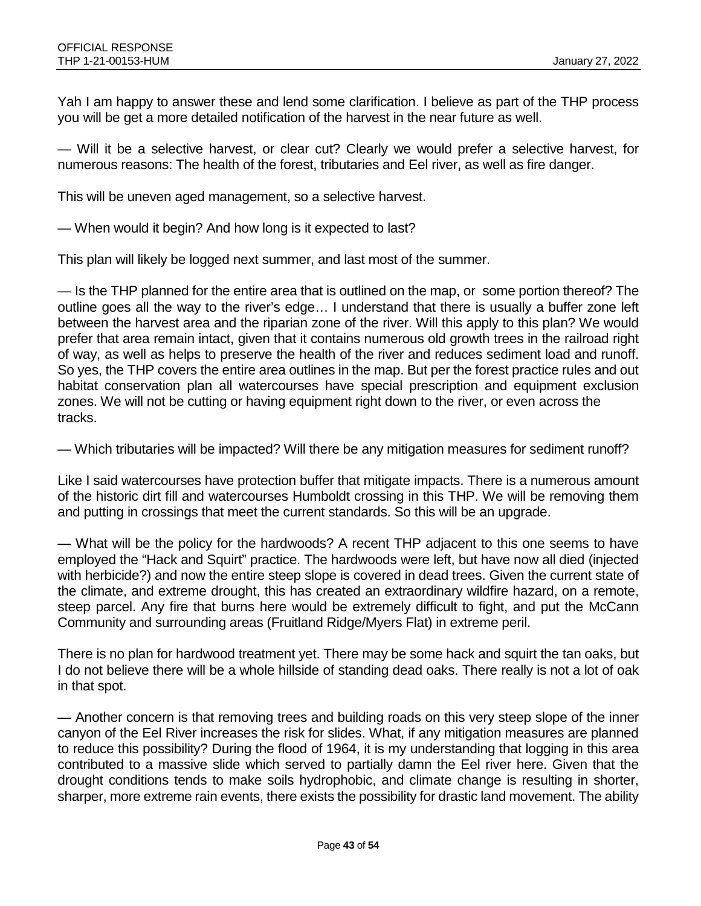Yah I am happy to answer these and lend some clarification. I believe as part of the THP process you will be get a more detailed notification of the harvest in the near future as well.

— Will it be a selective harvest, or clear cut? Clearly we would prefer a selective harvest, for numerous reasons: The health of the forest, tributaries and Eel river, as well as fire danger.

This will be uneven aged management, so a selective harvest.

— When would it begin? And how long is it expected to last?

This plan will likely be logged next summer, and last most of the summer.

— Is the THP planned for the entire area that is outlined on the map, or some portion thereof? The outline goes all the way to the river's edge… I understand that there is usually a buffer zone left between the harvest area and the riparian zone of the river. Will this apply to this plan? We would prefer that area remain intact, given that it contains numerous old growth trees in the railroad right of way, as well as helps to preserve the health of the river and reduces sediment load and runoff. So yes, the THP covers the entire area outlines in the map. But per the forest practice rules and out habitat conservation plan all watercourses have special prescription and equipment exclusion zones. We will not be cutting or having equipment right down to the river, or even across the tracks.

— Which tributaries will be impacted? Will there be any mitigation measures for sediment runoff?

Like I said watercourses have protection buffer that mitigate impacts. There is a numerous amount of the historic dirt fill and watercourses Humboldt crossing in this THP. We will be removing them and putting in crossings that meet the current standards. So this will be an upgrade.

— What will be the policy for the hardwoods? A recent THP adjacent to this one seems to have employed the "Hack and Squirt" practice. The hardwoods were left, but have now all died (injected with herbicide?) and now the entire steep slope is covered in dead trees. Given the current state of the climate, and extreme drought, this has created an extraordinary wildfire hazard, on a remote, steep parcel. Any fire that burns here would be extremely difficult to fight, and put the McCann Community and surrounding areas (Fruitland Ridge/Myers Flat) in extreme peril.

There is no plan for hardwood treatment yet. There may be some hack and squirt the tan oaks, but I do not believe there will be a whole hillside of standing dead oaks. There really is not a lot of oak in that spot.

— Another concern is that removing trees and building roads on this very steep slope of the inner canyon of the Eel River increases the risk for slides. What, if any mitigation measures are planned to reduce this possibility? During the flood of 1964, it is my understanding that logging in this area contributed to a massive slide which served to partially damn the Eel river here. Given that the drought conditions tends to make soils hydrophobic, and climate change is resulting in shorter, sharper, more extreme rain events, there exists the possibility for drastic land movement. The ability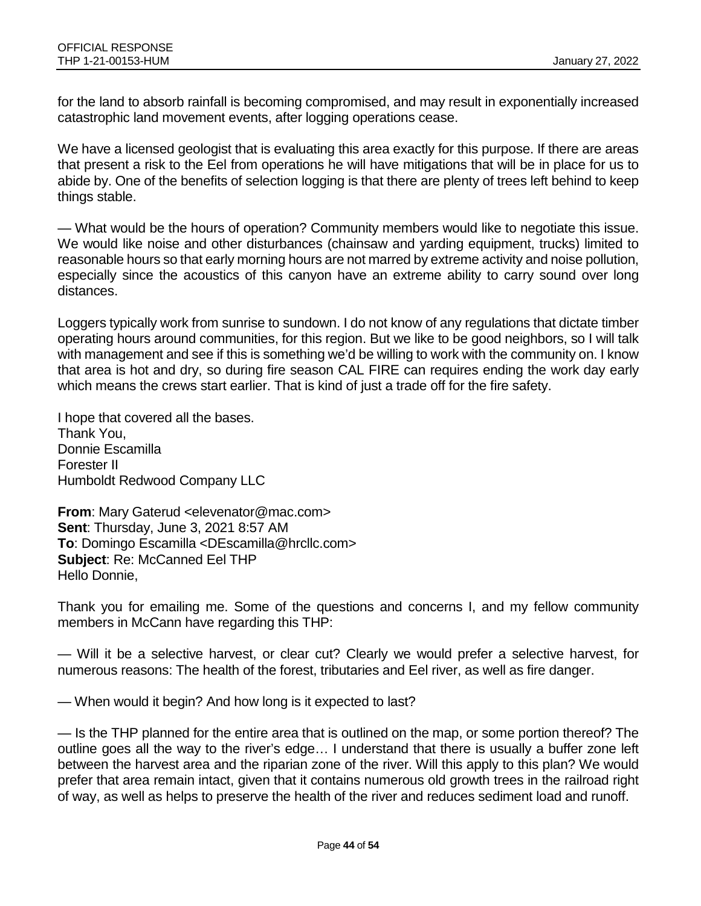for the land to absorb rainfall is becoming compromised, and may result in exponentially increased catastrophic land movement events, after logging operations cease.

We have a licensed geologist that is evaluating this area exactly for this purpose. If there are areas that present a risk to the Eel from operations he will have mitigations that will be in place for us to abide by. One of the benefits of selection logging is that there are plenty of trees left behind to keep things stable.

— What would be the hours of operation? Community members would like to negotiate this issue. We would like noise and other disturbances (chainsaw and yarding equipment, trucks) limited to reasonable hours so that early morning hours are not marred by extreme activity and noise pollution, especially since the acoustics of this canyon have an extreme ability to carry sound over long distances.

Loggers typically work from sunrise to sundown. I do not know of any regulations that dictate timber operating hours around communities, for this region. But we like to be good neighbors, so I will talk with management and see if this is something we'd be willing to work with the community on. I know that area is hot and dry, so during fire season CAL FIRE can requires ending the work day early which means the crews start earlier. That is kind of just a trade off for the fire safety.

I hope that covered all the bases. Thank You, Donnie Escamilla Forester II Humboldt Redwood Company LLC

**From**: Mary Gaterud <elevenator@mac.com> **Sent**: Thursday, June 3, 2021 8:57 AM **To**: Domingo Escamilla <DEscamilla@hrcllc.com> **Subject**: Re: McCanned Eel THP Hello Donnie,

Thank you for emailing me. Some of the questions and concerns I, and my fellow community members in McCann have regarding this THP:

— Will it be a selective harvest, or clear cut? Clearly we would prefer a selective harvest, for numerous reasons: The health of the forest, tributaries and Eel river, as well as fire danger.

— When would it begin? And how long is it expected to last?

— Is the THP planned for the entire area that is outlined on the map, or some portion thereof? The outline goes all the way to the river's edge… I understand that there is usually a buffer zone left between the harvest area and the riparian zone of the river. Will this apply to this plan? We would prefer that area remain intact, given that it contains numerous old growth trees in the railroad right of way, as well as helps to preserve the health of the river and reduces sediment load and runoff.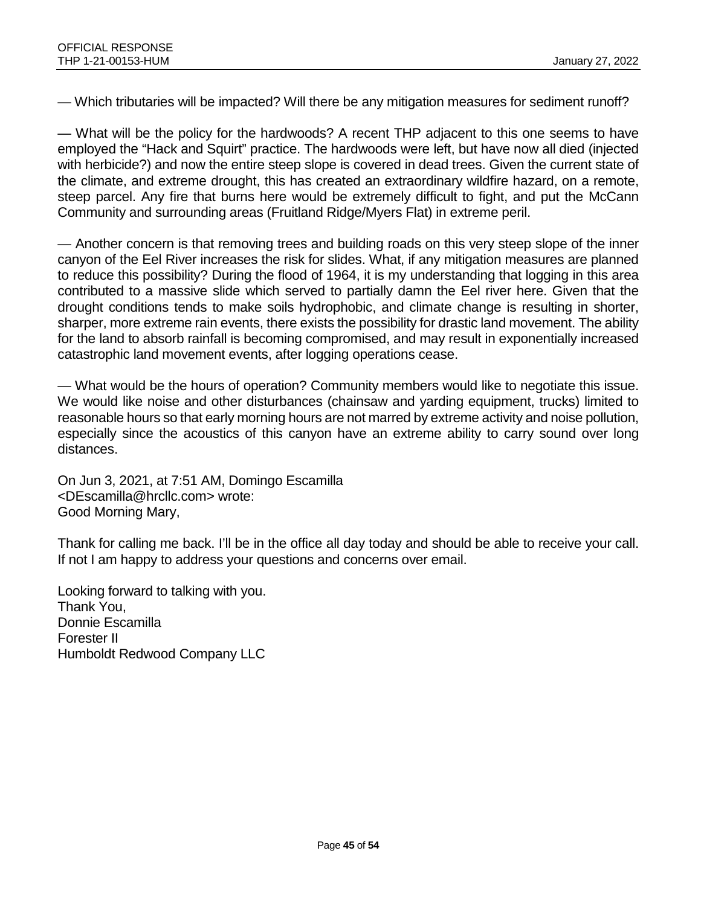— Which tributaries will be impacted? Will there be any mitigation measures for sediment runoff?

— What will be the policy for the hardwoods? A recent THP adjacent to this one seems to have employed the "Hack and Squirt" practice. The hardwoods were left, but have now all died (injected with herbicide?) and now the entire steep slope is covered in dead trees. Given the current state of the climate, and extreme drought, this has created an extraordinary wildfire hazard, on a remote, steep parcel. Any fire that burns here would be extremely difficult to fight, and put the McCann Community and surrounding areas (Fruitland Ridge/Myers Flat) in extreme peril.

— Another concern is that removing trees and building roads on this very steep slope of the inner canyon of the Eel River increases the risk for slides. What, if any mitigation measures are planned to reduce this possibility? During the flood of 1964, it is my understanding that logging in this area contributed to a massive slide which served to partially damn the Eel river here. Given that the drought conditions tends to make soils hydrophobic, and climate change is resulting in shorter, sharper, more extreme rain events, there exists the possibility for drastic land movement. The ability for the land to absorb rainfall is becoming compromised, and may result in exponentially increased catastrophic land movement events, after logging operations cease.

— What would be the hours of operation? Community members would like to negotiate this issue. We would like noise and other disturbances (chainsaw and yarding equipment, trucks) limited to reasonable hours so that early morning hours are not marred by extreme activity and noise pollution, especially since the acoustics of this canyon have an extreme ability to carry sound over long distances.

On Jun 3, 2021, at 7:51 AM, Domingo Escamilla <DEscamilla@hrcllc.com> wrote: Good Morning Mary,

Thank for calling me back. I'll be in the office all day today and should be able to receive your call. If not I am happy to address your questions and concerns over email.

Looking forward to talking with you. Thank You, Donnie Escamilla Forester II Humboldt Redwood Company LLC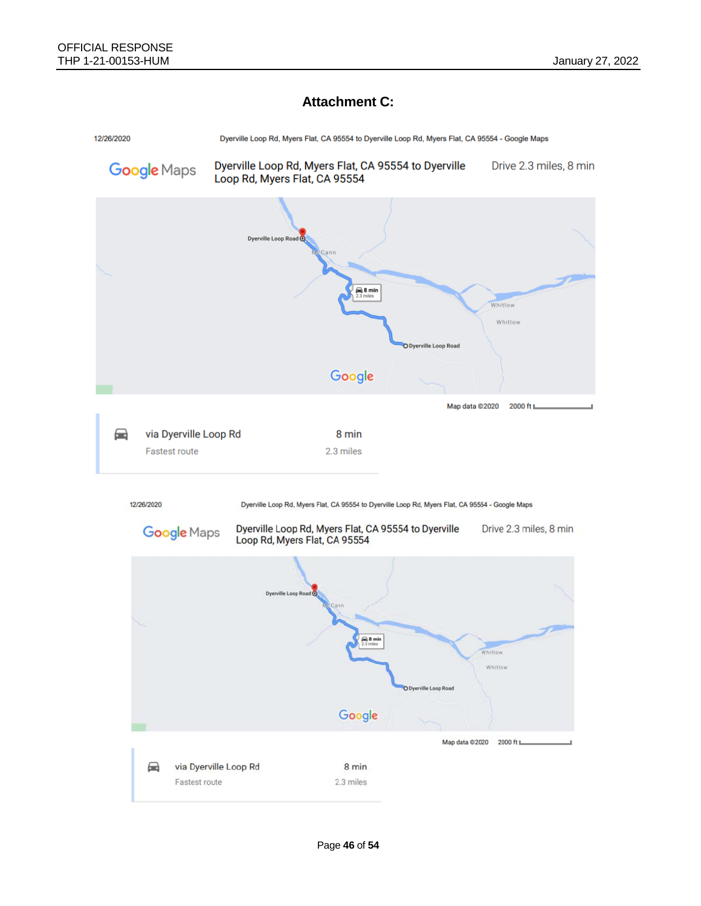### **Attachment C:**

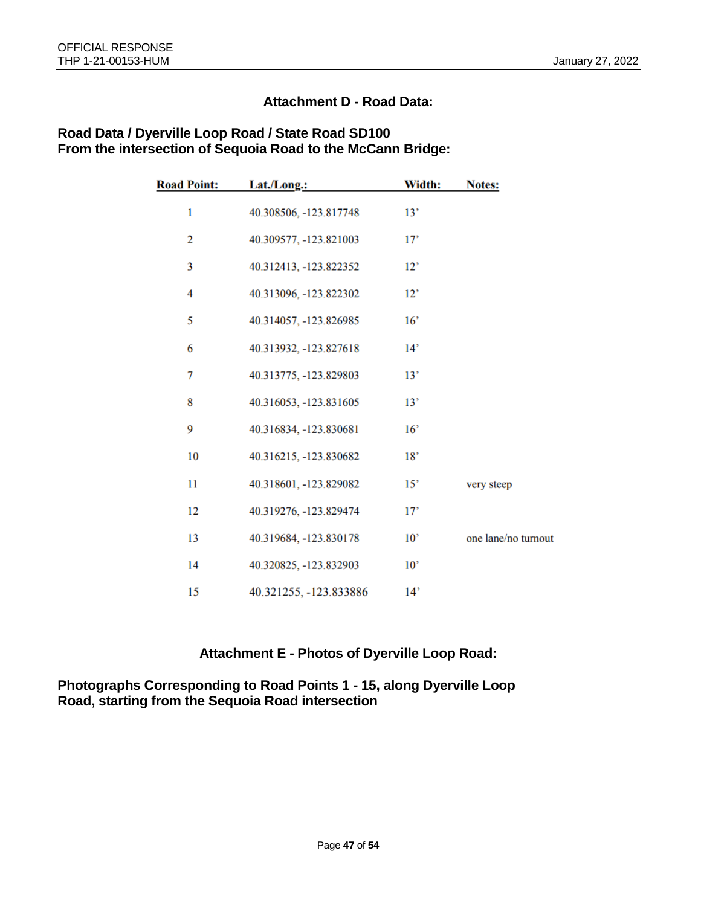### **Attachment D - Road Data:**

| <b>Road Point:</b> | Lat./Long.:            | Width:          | <b>Notes:</b>       |
|--------------------|------------------------|-----------------|---------------------|
| $\mathbf{1}$       | 40.308506, -123.817748 | 13'             |                     |
| $\overline{2}$     | 40.309577, -123.821003 | 17'             |                     |
| 3                  | 40.312413, -123.822352 | 12'             |                     |
| 4                  | 40.313096, -123.822302 | 12'             |                     |
| 5                  | 40.314057, -123.826985 | 16'             |                     |
| 6                  | 40.313932, -123.827618 | 14'             |                     |
| 7                  | 40.313775, -123.829803 | 13'             |                     |
| 8                  | 40.316053, -123.831605 | 13'             |                     |
| 9                  | 40.316834, -123.830681 | 16'             |                     |
| 10                 | 40.316215, -123.830682 | 18'             |                     |
| 11                 | 40.318601, -123.829082 | 15'             | very steep          |
| 12                 | 40.319276, -123.829474 | 17'             |                     |
| 13                 | 40.319684, -123.830178 | $10^{\circ}$    | one lane/no turnout |
| 14                 | 40.320825, -123.832903 | 10 <sup>2</sup> |                     |
| 15                 | 40.321255, -123.833886 | 14'             |                     |

#### **Road Data / Dyerville Loop Road / State Road SD100 From the intersection of Sequoia Road to the McCann Bridge:**

### **Attachment E - Photos of Dyerville Loop Road:**

**Photographs Corresponding to Road Points 1 - 15, along Dyerville Loop Road, starting from the Sequoia Road intersection**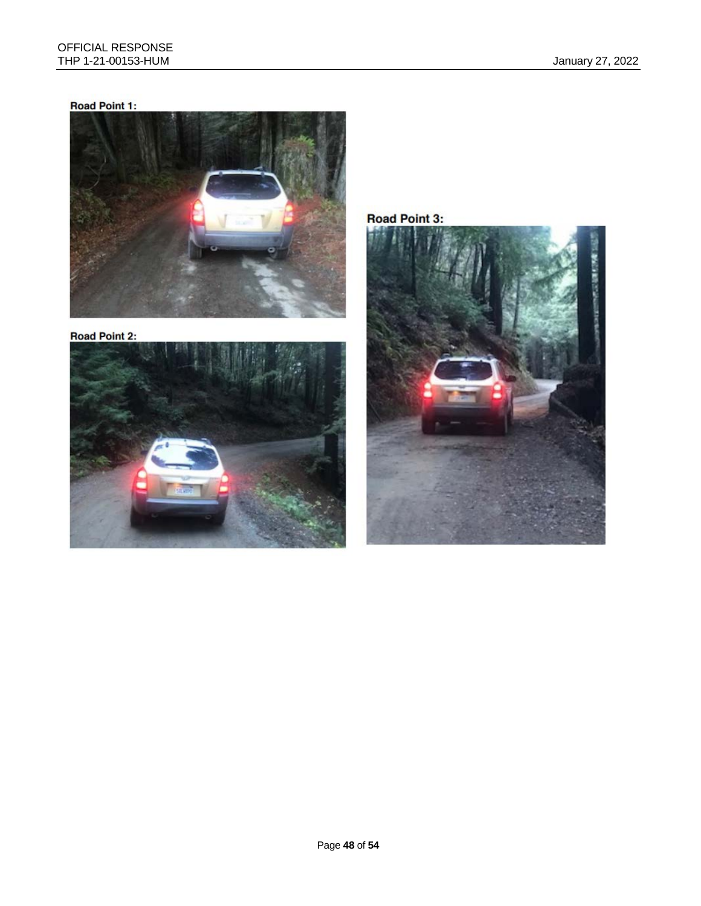## Road Point 1:



**Road Point 2:** 



Road Point 3:

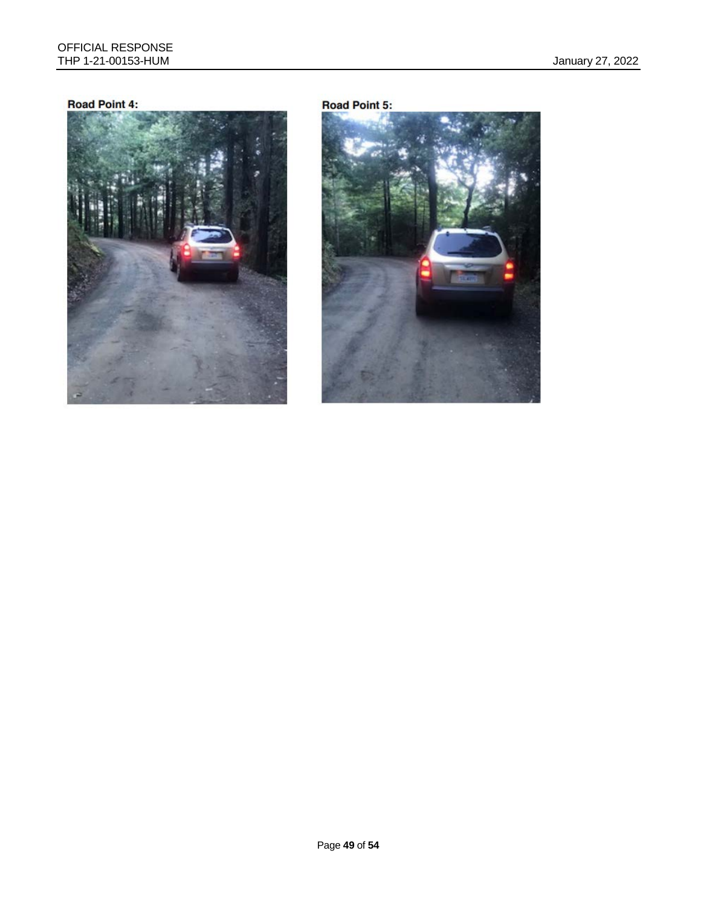#### Road Point 4:



#### **Road Point 5:**

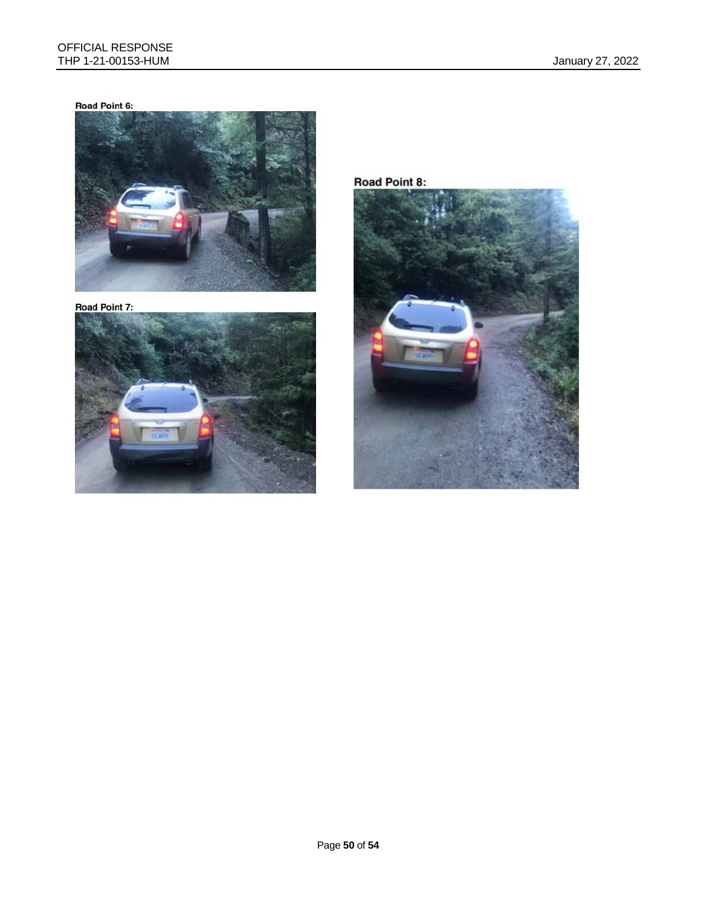#### Road Point 6:



**Road Point 7:** 



**Road Point 8:** 

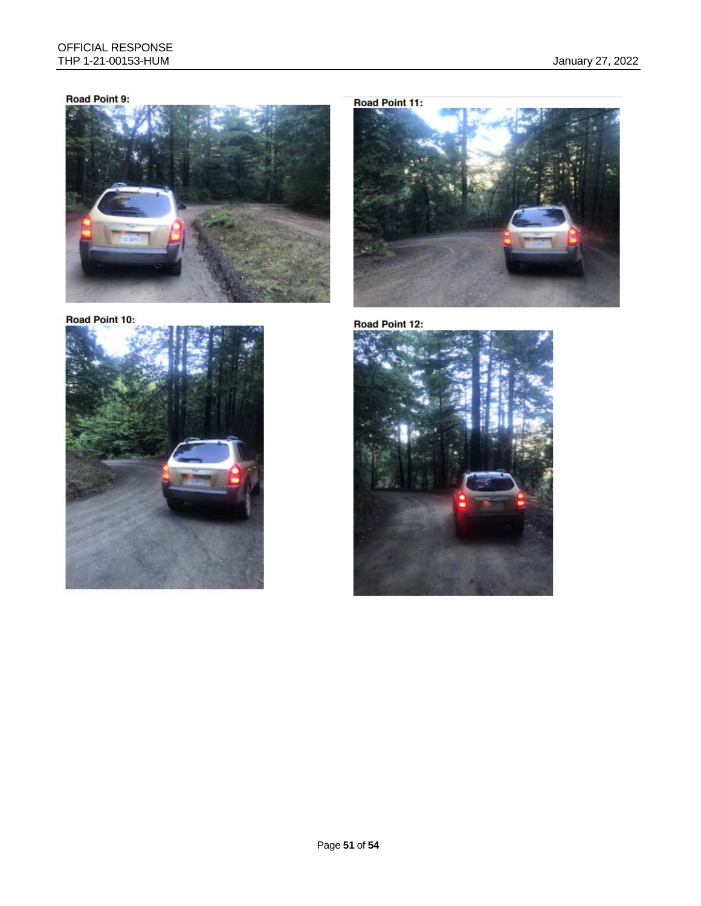#### Road Point 9:



Road Point 10:



**Road Point 11:** 



Road Point 12:

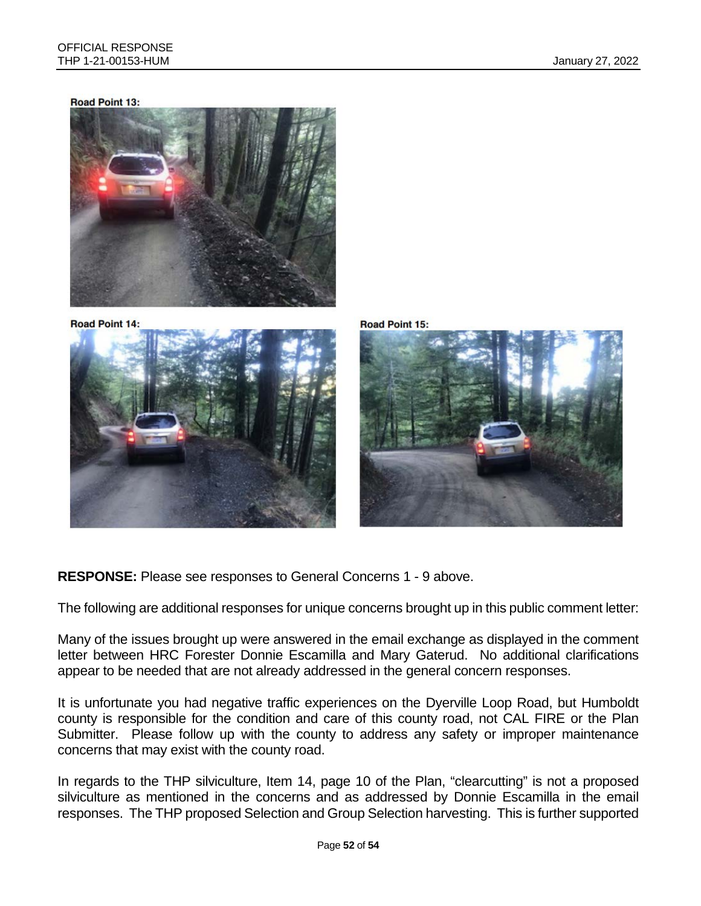#### **Road Point 13:**



**Road Point 14:** 







**RESPONSE:** Please see responses to General Concerns 1 - 9 above.

The following are additional responses for unique concerns brought up in this public comment letter:

Many of the issues brought up were answered in the email exchange as displayed in the comment letter between HRC Forester Donnie Escamilla and Mary Gaterud. No additional clarifications appear to be needed that are not already addressed in the general concern responses.

It is unfortunate you had negative traffic experiences on the Dyerville Loop Road, but Humboldt county is responsible for the condition and care of this county road, not CAL FIRE or the Plan Submitter. Please follow up with the county to address any safety or improper maintenance concerns that may exist with the county road.

In regards to the THP silviculture, Item 14, page 10 of the Plan, "clearcutting" is not a proposed silviculture as mentioned in the concerns and as addressed by Donnie Escamilla in the email responses. The THP proposed Selection and Group Selection harvesting. This is further supported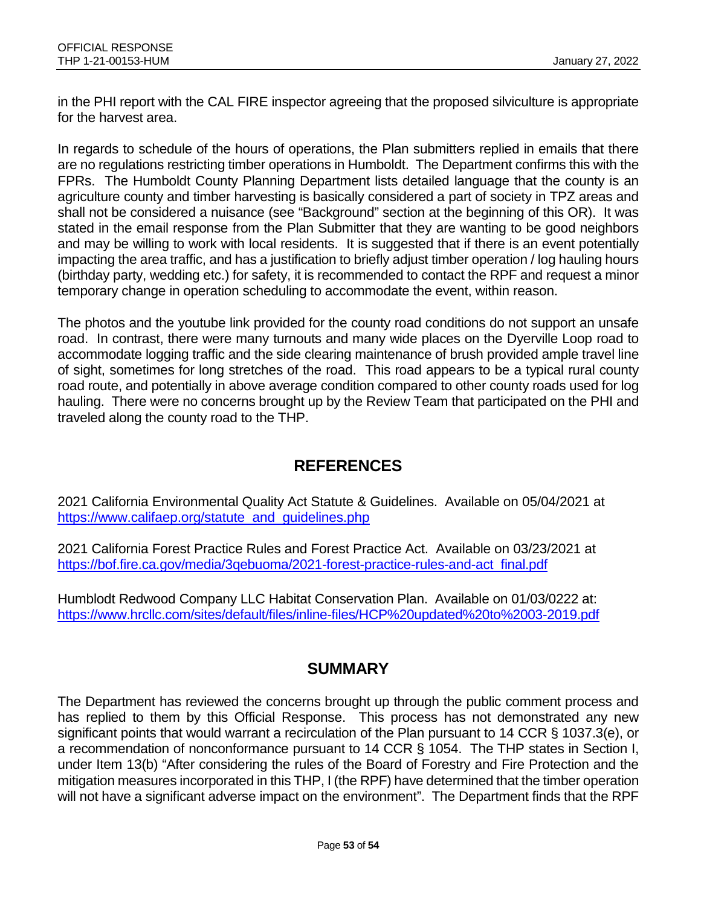in the PHI report with the CAL FIRE inspector agreeing that the proposed silviculture is appropriate for the harvest area.

In regards to schedule of the hours of operations, the Plan submitters replied in emails that there are no regulations restricting timber operations in Humboldt. The Department confirms this with the FPRs. The Humboldt County Planning Department lists detailed language that the county is an agriculture county and timber harvesting is basically considered a part of society in TPZ areas and shall not be considered a nuisance (see "Background" section at the beginning of this OR). It was stated in the email response from the Plan Submitter that they are wanting to be good neighbors and may be willing to work with local residents. It is suggested that if there is an event potentially impacting the area traffic, and has a justification to briefly adjust timber operation / log hauling hours (birthday party, wedding etc.) for safety, it is recommended to contact the RPF and request a minor temporary change in operation scheduling to accommodate the event, within reason.

The photos and the youtube link provided for the county road conditions do not support an unsafe road. In contrast, there were many turnouts and many wide places on the Dyerville Loop road to accommodate logging traffic and the side clearing maintenance of brush provided ample travel line of sight, sometimes for long stretches of the road. This road appears to be a typical rural county road route, and potentially in above average condition compared to other county roads used for log hauling. There were no concerns brought up by the Review Team that participated on the PHI and traveled along the county road to the THP.

# **REFERENCES**

2021 California Environmental Quality Act Statute & Guidelines. Available on 05/04/2021 at [https://www.califaep.org/statute\\_and\\_guidelines.php](https://www.califaep.org/statute_and_guidelines.php)

2021 California Forest Practice Rules and Forest Practice Act. Available on 03/23/2021 at [https://bof.fire.ca.gov/media/3qebuoma/2021-forest-practice-rules-and-act\\_final.pdf](https://bof.fire.ca.gov/media/3qebuoma/2021-forest-practice-rules-and-act_final.pdf)

Humblodt Redwood Company LLC Habitat Conservation Plan. Available on 01/03/0222 at: <https://www.hrcllc.com/sites/default/files/inline-files/HCP%20updated%20to%2003-2019.pdf>

# **SUMMARY**

The Department has reviewed the concerns brought up through the public comment process and has replied to them by this Official Response. This process has not demonstrated any new significant points that would warrant a recirculation of the Plan pursuant to 14 CCR § 1037.3(e), or a recommendation of nonconformance pursuant to 14 CCR § 1054. The THP states in Section I, under Item 13(b) "After considering the rules of the Board of Forestry and Fire Protection and the mitigation measures incorporated in this THP, I (the RPF) have determined that the timber operation will not have a significant adverse impact on the environment". The Department finds that the RPF